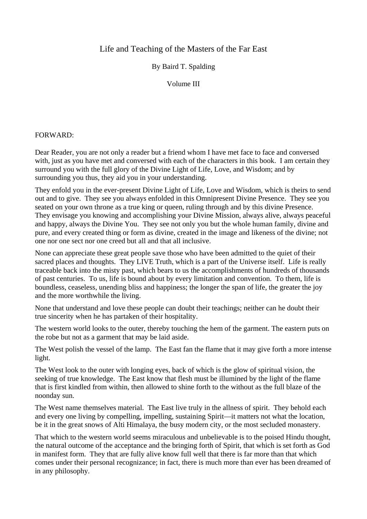Life and Teaching of the Masters of the Far East

# By Baird T. Spalding

Volume III

## FORWARD:

Dear Reader, you are not only a reader but a friend whom I have met face to face and conversed with, just as you have met and conversed with each of the characters in this book. I am certain they surround you with the full glory of the Divine Light of Life, Love, and Wisdom; and by surrounding you thus, they aid you in your understanding.

They enfold you in the ever-present Divine Light of Life, Love and Wisdom, which is theirs to send out and to give. They see you always enfolded in this Omnipresent Divine Presence. They see you seated on your own throne as a true king or queen, ruling through and by this divine Presence. They envisage you knowing and accomplishing your Divine Mission, always alive, always peaceful and happy, always the Divine You. They see not only you but the whole human family, divine and pure, and every created thing or form as divine, created in the image and likeness of the divine; not one nor one sect nor one creed but all and that all inclusive.

None can appreciate these great people save those who have been admitted to the quiet of their sacred places and thoughts. They LIVE Truth, which is a part of the Universe itself. Life is really traceable back into the misty past, which bears to us the accomplishments of hundreds of thousands of past centuries. To us, life is bound about by every limitation and convention. To them, life is boundless, ceaseless, unending bliss and happiness; the longer the span of life, the greater the joy and the more worthwhile the living.

None that understand and love these people can doubt their teachings; neither can he doubt their true sincerity when he has partaken of their hospitality.

The western world looks to the outer, thereby touching the hem of the garment. The eastern puts on the robe but not as a garment that may be laid aside.

The West polish the vessel of the lamp. The East fan the flame that it may give forth a more intense light.

The West look to the outer with longing eyes, back of which is the glow of spiritual vision, the seeking of true knowledge. The East know that flesh must be illumined by the light of the flame that is first kindled from within, then allowed to shine forth to the without as the full blaze of the noonday sun.

The West name themselves material. The East live truly in the allness of spirit. They behold each and every one living by compelling, impelling, sustaining Spirit—it matters not what the location, be it in the great snows of Alti Himalaya, the busy modern city, or the most secluded monastery.

That which to the western world seems miraculous and unbelievable is to the poised Hindu thought, the natural outcome of the acceptance and the bringing forth of Spirit, that which is set forth as God in manifest form. They that are fully alive know full well that there is far more than that which comes under their personal recognizance; in fact, there is much more than ever has been dreamed of in any philosophy.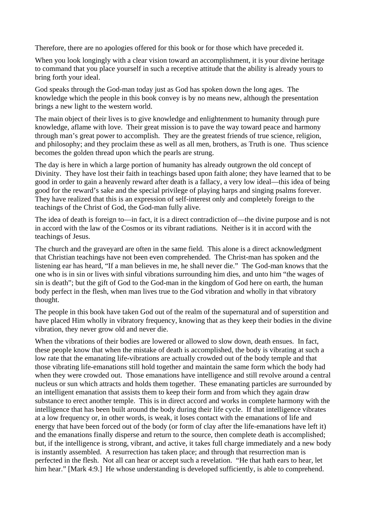Therefore, there are no apologies offered for this book or for those which have preceded it.

When you look longingly with a clear vision toward an accomplishment, it is your divine heritage to command that you place yourself in such a receptive attitude that the ability is already yours to bring forth your ideal.

God speaks through the God-man today just as God has spoken down the long ages. The knowledge which the people in this book convey is by no means new, although the presentation brings a new light to the western world.

The main object of their lives is to give knowledge and enlightenment to humanity through pure knowledge, aflame with love. Their great mission is to pave the way toward peace and harmony through man's great power to accomplish. They are the greatest friends of true science, religion, and philosophy; and they proclaim these as well as all men, brothers, as Truth is one. Thus science becomes the golden thread upon which the pearls are strung.

The day is here in which a large portion of humanity has already outgrown the old concept of Divinity. They have lost their faith in teachings based upon faith alone; they have learned that to be good in order to gain a heavenly reward after death is a fallacy, a very low ideal—this idea of being good for the reward's sake and the special privilege of playing harps and singing psalms forever. They have realized that this is an expression of self-interest only and completely foreign to the teachings of the Christ of God, the God-man fully alive.

The idea of death is foreign to—in fact, it is a direct contradiction of—the divine purpose and is not in accord with the law of the Cosmos or its vibrant radiations. Neither is it in accord with the teachings of Jesus.

The church and the graveyard are often in the same field. This alone is a direct acknowledgment that Christian teachings have not been even comprehended. The Christ-man has spoken and the listening ear has heard, "If a man believes in me, he shall never die." The God-man knows that the one who is in sin or lives with sinful vibrations surrounding him dies, and unto him "the wages of sin is death"; but the gift of God to the God-man in the kingdom of God here on earth, the human body perfect in the flesh, when man lives true to the God vibration and wholly in that vibratory thought.

The people in this book have taken God out of the realm of the supernatural and of superstition and have placed Him wholly in vibratory frequency, knowing that as they keep their bodies in the divine vibration, they never grow old and never die.

When the vibrations of their bodies are lowered or allowed to slow down, death ensues. In fact, these people know that when the mistake of death is accomplished, the body is vibrating at such a low rate that the emanating life-vibrations are actually crowded out of the body temple and that those vibrating life-emanations still hold together and maintain the same form which the body had when they were crowded out. Those emanations have intelligence and still revolve around a central nucleus or sun which attracts and holds them together. These emanating particles are surrounded by an intelligent emanation that assists them to keep their form and from which they again draw substance to erect another temple. This is in direct accord and works in complete harmony with the intelligence that has been built around the body during their life cycle. If that intelligence vibrates at a low frequency or, in other words, is weak, it loses contact with the emanations of life and energy that have been forced out of the body (or form of clay after the life-emanations have left it) and the emanations finally disperse and return to the source, then complete death is accomplished; but, if the intelligence is strong, vibrant, and active, it takes full charge immediately and a new body is instantly assembled. A resurrection has taken place; and through that resurrection man is perfected in the flesh. Not all can hear or accept such a revelation. "He that hath ears to hear, let him hear." [Mark 4:9.] He whose understanding is developed sufficiently, is able to comprehend.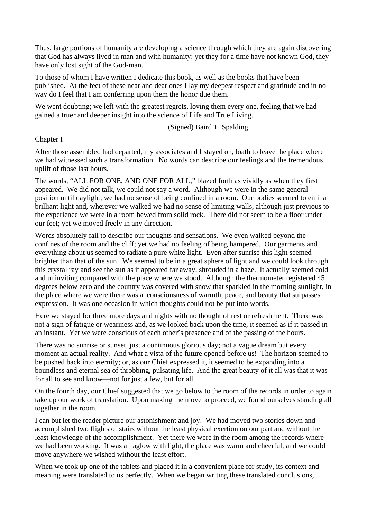Thus, large portions of humanity are developing a science through which they are again discovering that God has always lived in man and with humanity; yet they for a time have not known God, they have only lost sight of the God-man.

To those of whom I have written I dedicate this book, as well as the books that have been published. At the feet of these near and dear ones I lay my deepest respect and gratitude and in no way do I feel that I am conferring upon them the honor due them.

We went doubting; we left with the greatest regrets, loving them every one, feeling that we had gained a truer and deeper insight into the science of Life and True Living.

(Signed) Baird T. Spalding

## Chapter I

After those assembled had departed, my associates and I stayed on, loath to leave the place where we had witnessed such a transformation. No words can describe our feelings and the tremendous uplift of those last hours.

The words, "ALL FOR ONE, AND ONE FOR ALL," blazed forth as vividly as when they first appeared. We did not talk, we could not say a word. Although we were in the same general position until daylight, we had no sense of being confined in a room. Our bodies seemed to emit a brilliant light and, wherever we walked we had no sense of limiting walls, although just previous to the experience we were in a room hewed from solid rock. There did not seem to be a floor under our feet; yet we moved freely in any direction.

Words absolutely fail to describe our thoughts and sensations. We even walked beyond the confines of the room and the cliff; yet we had no feeling of being hampered. Our garments and everything about us seemed to radiate a pure white light. Even after sunrise this light seemed brighter than that of the sun. We seemed to be in a great sphere of light and we could look through this crystal ray and see the sun as it appeared far away, shrouded in a haze. It actually seemed cold and uninviting compared with the place where we stood. Although the thermometer registered 45 degrees below zero and the country was covered with snow that sparkled in the morning sunlight, in the place where we were there was a consciousness of warmth, peace, and beauty that surpasses expression. It was one occasion in which thoughts could not be put into words.

Here we stayed for three more days and nights with no thought of rest or refreshment. There was not a sign of fatigue or weariness and, as we looked back upon the time, it seemed as if it passed in an instant. Yet we were conscious of each other's presence and of the passing of the hours.

There was no sunrise or sunset, just a continuous glorious day; not a vague dream but every moment an actual reality. And what a vista of the future opened before us! The horizon seemed to be pushed back into eternity; or, as our Chief expressed it, it seemed to be expanding into a boundless and eternal sea of throbbing, pulsating life. And the great beauty of it all was that it was for all to see and know—not for just a few, but for all.

On the fourth day, our Chief suggested that we go below to the room of the records in order to again take up our work of translation. Upon making the move to proceed, we found ourselves standing all together in the room.

I can but let the reader picture our astonishment and joy. We had moved two stories down and accomplished two flights of stairs without the least physical exertion on our part and without the least knowledge of the accomplishment. Yet there we were in the room among the records where we had been working. It was all aglow with light, the place was warm and cheerful, and we could move anywhere we wished without the least effort.

When we took up one of the tablets and placed it in a convenient place for study, its context and meaning were translated to us perfectly. When we began writing these translated conclusions,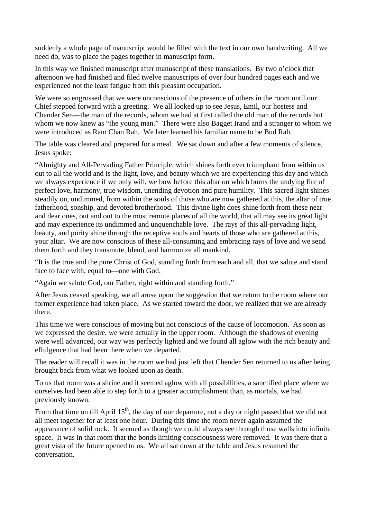suddenly a whole page of manuscript would be filled with the text in our own handwriting. All we need do, was to place the pages together in manuscript form.

In this way we finished manuscript after manuscript of these translations. By two o'clock that afternoon we had finished and filed twelve manuscripts of over four hundred pages each and we experienced not the least fatigue from this pleasant occupation.

We were so engrossed that we were unconscious of the presence of others in the room until our Chief stepped forward with a greeting. We all looked up to see Jesus, Emil, our hostess and Chander Sen—the man of the records, whom we had at first called the old man of the records but whom we now knew as "the young man." There were also Bagget Irand and a stranger to whom we were introduced as Ram Chan Rah. We later learned his familiar name to be Bud Rah.

The table was cleared and prepared for a meal. We sat down and after a few moments of silence, Jesus spoke:

"Almighty and All-Pervading Father Principle, which shines forth ever triumphant from within us out to all the world and is the light, love, and beauty which we are experiencing this day and which we always experience if we only will, we bow before this altar on which burns the undying fire of perfect love, harmony, true wisdom, unending devotion and pure humility. This sacred light shines steadily on, undimmed, from within the souls of those who are now gathered at this, the altar of true fatherhood, sonship, and devoted brotherhood. This divine light does shine forth from these near and dear ones, out and out to the most remote places of all the world, that all may see its great light and may experience its undimmed and unquenchable love. The rays of this all-pervading light, beauty, and purity shine through the receptive souls and hearts of those who are gathered at this, your altar. We are now conscious of these all-consuming and embracing rays of love and we send them forth and they transmute, blend, and harmonize all mankind.

"It is the true and the pure Christ of God, standing forth from each and all, that we salute and stand face to face with, equal to—one with God.

"Again we salute God, our Father, right within and standing forth."

After Jesus ceased speaking, we all arose upon the suggestion that we return to the room where our former experience had taken place. As we started toward the door, we realized that we are already there.

This time we were conscious of moving but not conscious of the cause of locomotion. As soon as we expressed the desire, we were actually in the upper room. Although the shadows of evening were well advanced, our way was perfectly lighted and we found all aglow with the rich beauty and effulgence that had been there when we departed.

The reader will recall it was in the room we had just left that Chender Sen returned to us after being brought back from what we looked upon as death.

To us that room was a shrine and it seemed aglow with all possibilities, a sanctified place where we ourselves had been able to step forth to a greater accomplishment than, as mortals, we had previously known.

From that time on till April  $15<sup>th</sup>$ , the day of our departure, not a day or night passed that we did not all meet together for at least one hour. During this time the room never again assumed the appearance of solid rock. It seemed as though we could always see through those walls into infinite space. It was in that room that the bonds limiting consciousness were removed. It was there that a great vista of the future opened to us. We all sat down at the table and Jesus resumed the conversation.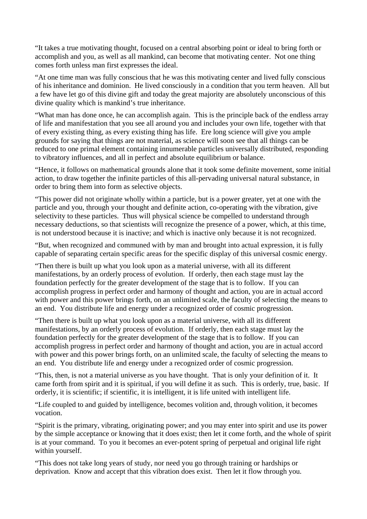"It takes a true motivating thought, focused on a central absorbing point or ideal to bring forth or accomplish and you, as well as all mankind, can become that motivating center. Not one thing comes forth unless man first expresses the ideal.

"At one time man was fully conscious that he was this motivating center and lived fully conscious of his inheritance and dominion. He lived consciously in a condition that you term heaven. All but a few have let go of this divine gift and today the great majority are absolutely unconscious of this divine quality which is mankind's true inheritance.

"What man has done once, he can accomplish again. This is the principle back of the endless array of life and manifestation that you see all around you and includes your own life, together with that of every existing thing, as every existing thing has life. Ere long science will give you ample grounds for saying that things are not material, as science will soon see that all things can be reduced to one primal element containing innumerable particles universally distributed, responding to vibratory influences, and all in perfect and absolute equilibrium or balance.

"Hence, it follows on mathematical grounds alone that it took some definite movement, some initial action, to draw together the infinite particles of this all-pervading universal natural substance, in order to bring them into form as selective objects.

"This power did not originate wholly within a particle, but is a power greater, yet at one with the particle and you, through your thought and definite action, co-operating with the vibration, give selectivity to these particles. Thus will physical science be compelled to understand through necessary deductions, so that scientists will recognize the presence of a power, which, at this time, is not understood because it is inactive; and which is inactive only because it is not recognized.

"But, when recognized and communed with by man and brought into actual expression, it is fully capable of separating certain specific areas for the specific display of this universal cosmic energy.

"Then there is built up what you look upon as a material universe, with all its different manifestations, by an orderly process of evolution. If orderly, then each stage must lay the foundation perfectly for the greater development of the stage that is to follow. If you can accomplish progress in perfect order and harmony of thought and action, you are in actual accord with power and this power brings forth, on an unlimited scale, the faculty of selecting the means to an end. You distribute life and energy under a recognized order of cosmic progression.

"Then there is built up what you look upon as a material universe, with all its different manifestations, by an orderly process of evolution. If orderly, then each stage must lay the foundation perfectly for the greater development of the stage that is to follow. If you can accomplish progress in perfect order and harmony of thought and action, you are in actual accord with power and this power brings forth, on an unlimited scale, the faculty of selecting the means to an end. You distribute life and energy under a recognized order of cosmic progression.

"This, then, is not a material universe as you have thought. That is only your definition of it. It came forth from spirit and it is spiritual, if you will define it as such. This is orderly, true, basic. If orderly, it is scientific; if scientific, it is intelligent, it is life united with intelligent life.

"Life coupled to and guided by intelligence, becomes volition and, through volition, it becomes vocation.

"Spirit is the primary, vibrating, originating power; and you may enter into spirit and use its power by the simple acceptance or knowing that it does exist; then let it come forth, and the whole of spirit is at your command. To you it becomes an ever-potent spring of perpetual and original life right within yourself.

"This does not take long years of study, nor need you go through training or hardships or deprivation. Know and accept that this vibration does exist. Then let it flow through you.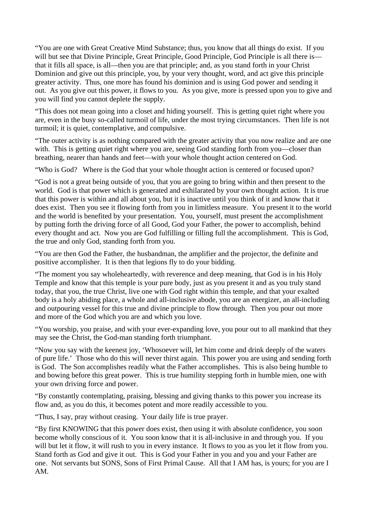"You are one with Great Creative Mind Substance; thus, you know that all things do exist. If you will but see that Divine Principle, Great Principle, Good Principle, God Principle is all there is that it fills all space, is all—then you are that principle; and, as you stand forth in your Christ Dominion and give out this principle, you, by your very thought, word, and act give this principle greater activity. Thus, one more has found his dominion and is using God power and sending it out. As you give out this power, it flows to you. As you give, more is pressed upon you to give and you will find you cannot deplete the supply.

"This does not mean going into a closet and hiding yourself. This is getting quiet right where you are, even in the busy so-called turmoil of life, under the most trying circumstances. Then life is not turmoil; it is quiet, contemplative, and compulsive.

"The outer activity is as nothing compared with the greater activity that you now realize and are one with. This is getting quiet right where you are, seeing God standing forth from you—closer than breathing, nearer than hands and feet—with your whole thought action centered on God.

"Who is God? Where is the God that your whole thought action is centered or focused upon?

"God is not a great being outside of you, that you are going to bring within and then present to the world. God is that power which is generated and exhilarated by your own thought action. It is true that this power is within and all about you, but it is inactive until you think of it and know that it does exist. Then you see it flowing forth from you in limitless measure. You present it to the world and the world is benefited by your presentation. You, yourself, must present the accomplishment by putting forth the driving force of all Good, God your Father, the power to accomplish, behind every thought and act. Now you are God fulfilling or filling full the accomplishment. This is God, the true and only God, standing forth from you.

"You are then God the Father, the husbandman, the amplifier and the projector, the definite and positive accomplisher. It is then that legions fly to do your bidding.

"The moment you say wholeheartedly, with reverence and deep meaning, that God is in his Holy Temple and know that this temple is your pure body, just as you present it and as you truly stand today, that you, the true Christ, live one with God right within this temple, and that your exalted body is a holy abiding place, a whole and all-inclusive abode, you are an energizer, an all-including and outpouring vessel for this true and divine principle to flow through. Then you pour out more and more of the God which you are and which you love.

"You worship, you praise, and with your ever-expanding love, you pour out to all mankind that they may see the Christ, the God-man standing forth triumphant.

"Now you say with the keenest joy, 'Whosoever will, let him come and drink deeply of the waters of pure life.' Those who do this will never thirst again. This power you are using and sending forth is God. The Son accomplishes readily what the Father accomplishes. This is also being humble to and bowing before this great power. This is true humility stepping forth in humble mien, one with your own driving force and power.

"By constantly contemplating, praising, blessing and giving thanks to this power you increase its flow and, as you do this, it becomes potent and more readily accessible to you.

"Thus, I say, pray without ceasing. Your daily life is true prayer.

"By first KNOWING that this power does exist, then using it with absolute confidence, you soon become wholly conscious of it. You soon know that it is all-inclusive in and through you. If you will but let it flow, it will rush to you in every instance. It flows to you as you let it flow from you. Stand forth as God and give it out. This is God your Father in you and you and your Father are one. Not servants but SONS, Sons of First Primal Cause. All that I AM has, is yours; for you are I AM.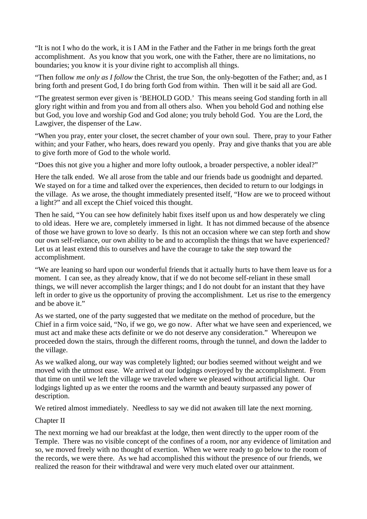"It is not I who do the work, it is I AM in the Father and the Father in me brings forth the great accomplishment. As you know that you work, one with the Father, there are no limitations, no boundaries; you know it is your divine right to accomplish all things.

"Then follow *me only as I follow* the Christ, the true Son, the only-begotten of the Father; and, as I bring forth and present God, I do bring forth God from within. Then will it be said all are God.

"The greatest sermon ever given is 'BEHOLD GOD.' This means seeing God standing forth in all glory right within and from you and from all others also. When you behold God and nothing else but God, you love and worship God and God alone; you truly behold God. You are the Lord, the Lawgiver, the dispenser of the Law.

"When you pray, enter your closet, the secret chamber of your own soul. There, pray to your Father within; and your Father, who hears, does reward you openly. Pray and give thanks that you are able to give forth more of God to the whole world.

"Does this not give you a higher and more lofty outlook, a broader perspective, a nobler ideal?"

Here the talk ended. We all arose from the table and our friends bade us goodnight and departed. We stayed on for a time and talked over the experiences, then decided to return to our lodgings in the village. As we arose, the thought immediately presented itself, "How are we to proceed without a light?" and all except the Chief voiced this thought.

Then he said, "You can see how definitely habit fixes itself upon us and how desperately we cling to old ideas. Here we are, completely immersed in light. It has not dimmed because of the absence of those we have grown to love so dearly. Is this not an occasion where we can step forth and show our own self-reliance, our own ability to be and to accomplish the things that we have experienced? Let us at least extend this to ourselves and have the courage to take the step toward the accomplishment.

"We are leaning so hard upon our wonderful friends that it actually hurts to have them leave us for a moment. I can see, as they already know, that if we do not become self-reliant in these small things, we will never accomplish the larger things; and I do not doubt for an instant that they have left in order to give us the opportunity of proving the accomplishment. Let us rise to the emergency and be above it."

As we started, one of the party suggested that we meditate on the method of procedure, but the Chief in a firm voice said, "No, if we go, we go now. After what we have seen and experienced, we must act and make these acts definite or we do not deserve any consideration." Whereupon we proceeded down the stairs, through the different rooms, through the tunnel, and down the ladder to the village.

As we walked along, our way was completely lighted; our bodies seemed without weight and we moved with the utmost ease. We arrived at our lodgings overjoyed by the accomplishment. From that time on until we left the village we traveled where we pleased without artificial light. Our lodgings lighted up as we enter the rooms and the warmth and beauty surpassed any power of description.

We retired almost immediately. Needless to say we did not awaken till late the next morning.

## Chapter II

The next morning we had our breakfast at the lodge, then went directly to the upper room of the Temple. There was no visible concept of the confines of a room, nor any evidence of limitation and so, we moved freely with no thought of exertion. When we were ready to go below to the room of the records, we were there. As we had accomplished this without the presence of our friends, we realized the reason for their withdrawal and were very much elated over our attainment.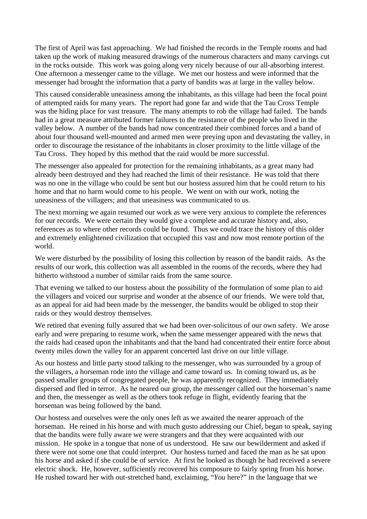The first of April was fast approaching. We had finished the records in the Temple rooms and had taken up the work of making measured drawings of the numerous characters and many carvings cut in the rocks outside. This work was going along very nicely because of our all-absorbing interest. One afternoon a messenger came to the village. We met our hostess and were informed that the messenger had brought the information that a party of bandits was at large in the valley below.

This caused considerable uneasiness among the inhabitants, as this village had been the focal point of attempted raids for many years. The report had gone far and wide that the Tau Cross Temple was the hiding place for vast treasure. The many attempts to rob the village had failed. The bands had in a great measure attributed former failures to the resistance of the people who lived in the valley below. A number of the bands had now concentrated their combined forces and a band of about four thousand well-mounted and armed men were preying upon and devastating the valley, in order to discourage the resistance of the inhabitants in closer proximity to the little village of the Tau Cross. They hoped by this method that the raid would be more successful.

The messenger also appealed for protection for the remaining inhabitants, as a great many had already been destroyed and they had reached the limit of their resistance. He was told that there was no one in the village who could be sent but our hostess assured him that he could return to his home and that no harm would come to his people. We went on with our work, noting the uneasiness of the villagers; and that uneasiness was communicated to us.

The next morning we again resumed our work as we were very anxious to complete the references for our records. We were certain they would give a complete and accurate history and, also, references as to where other records could be found. Thus we could trace the history of this older and extremely enlightened civilization that occupied this vast and now most remote portion of the world.

We were disturbed by the possibility of losing this collection by reason of the bandit raids. As the results of our work, this collection was all assembled in the rooms of the records, where they had hitherto withstood a number of similar raids from the same source.

That evening we talked to our hostess about the possibility of the formulation of some plan to aid the villagers and voiced our surprise and wonder at the absence of our friends. We were told that, as an appeal for aid had been made by the messenger, the bandits would be obliged to stop their raids or they would destroy themselves.

We retired that evening fully assured that we had been over-solicitous of our own safety. We arose early and were preparing to resume work, when the same messenger appeared with the news that the raids had ceased upon the inhabitants and that the band had concentrated their entire force about twenty miles down the valley for an apparent concerted last drive on our little village.

As our hostess and little party stood talking to the messenger, who was surrounded by a group of the villagers, a horseman rode into the village and came toward us. In coming toward us, as he passed smaller groups of congregated people, he was apparently recognized. They immediately dispersed and fled in terror. As he neared our group, the messenger called out the horseman's name and then, the messenger as well as the others took refuge in flight, evidently fearing that the horseman was being followed by the band.

Our hostess and ourselves were the only ones left as we awaited the nearer approach of the horseman. He reined in his horse and with much gusto addressing our Chief, began to speak, saying that the bandits were fully aware we were strangers and that they were acquainted with our mission. He spoke in a tongue that none of us understood. He saw our bewilderment and asked if there were not some one that could interpret. Our hostess turned and faced the man as he sat upon his horse and asked if she could be of service. At first he looked as though he had received a severe electric shock. He, however, sufficiently recovered his composure to fairly spring from his horse. He rushed toward her with out-stretched hand, exclaiming, "*You* here?" in the language that we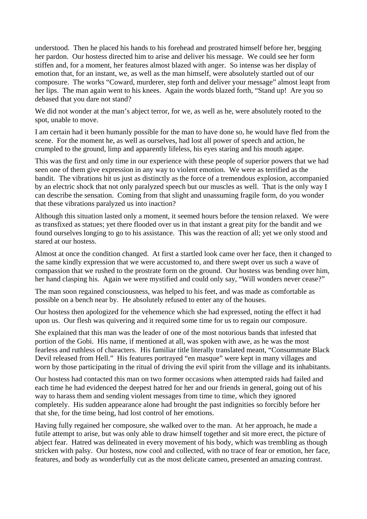understood. Then he placed his hands to his forehead and prostrated himself before her, begging her pardon. Our hostess directed him to arise and deliver his message. We could see her form stiffen and, for a moment, her features almost blazed with anger. So intense was her display of emotion that, for an instant, we, as well as the man himself, were absolutely startled out of our composure. The works "Coward, murderer, step forth and deliver your message" almost leapt from her lips. The man again went to his knees. Again the words blazed forth, "Stand up! Are you so debased that you dare not stand?

We did not wonder at the man's abject terror, for we, as well as he, were absolutely rooted to the spot, unable to move.

I am certain had it been humanly possible for the man to have done so, he would have fled from the scene. For the moment he, as well as ourselves, had lost all power of speech and action, he crumpled to the ground, limp and apparently lifeless, his eyes staring and his mouth agape.

This was the first and only time in our experience with these people of superior powers that we had seen one of them give expression in any way to violent emotion. We were as terrified as the bandit. The vibrations hit us just as distinctly as the force of a tremendous explosion, accompanied by an electric shock that not only paralyzed speech but our muscles as well. That is the only way I can describe the sensation. Coming from that slight and unassuming fragile form, do you wonder that these vibrations paralyzed us into inaction?

Although this situation lasted only a moment, it seemed hours before the tension relaxed. We were as transfixed as statues; yet there flooded over us in that instant a great pity for the bandit and we found ourselves longing to go to his assistance. This was the reaction of all; yet we only stood and stared at our hostess.

Almost at once the condition changed. At first a startled look came over her face, then it changed to the same kindly expression that we were accustomed to, and there swept over us such a wave of compassion that we rushed to the prostrate form on the ground. Our hostess was bending over him, her hand clasping his. Again we were mystified and could only say, "Will wonders never cease?"

The man soon regained consciousness, was helped to his feet, and was made as comfortable as possible on a bench near by. He absolutely refused to enter any of the houses.

Our hostess then apologized for the vehemence which she had expressed, noting the effect it had upon us. Our flesh was quivering and it required some time for us to regain our composure.

She explained that this man was the leader of one of the most notorious bands that infested that portion of the Gobi. His name, if mentioned at all, was spoken with awe, as he was the most fearless and ruthless of characters. His familiar title literally translated meant, "Consummate Black Devil released from Hell." His features portrayed "en masque" were kept in many villages and worn by those participating in the ritual of driving the evil spirit from the village and its inhabitants.

Our hostess had contacted this man on two former occasions when attempted raids had failed and each time he had evidenced the deepest hatred for her and our friends in general, going out of his way to harass them and sending violent messages from time to time, which they ignored completely. His sudden appearance alone had brought the past indignities so forcibly before her that she, for the time being, had lost control of her emotions.

Having fully regained her composure, she walked over to the man. At her approach, he made a futile attempt to arise, but was only able to draw himself together and sit more erect, the picture of abject fear. Hatred was delineated in every movement of his body, which was trembling as though stricken with palsy. Our hostess, now cool and collected, with no trace of fear or emotion, her face, features, and body as wonderfully cut as the most delicate cameo, presented an amazing contrast.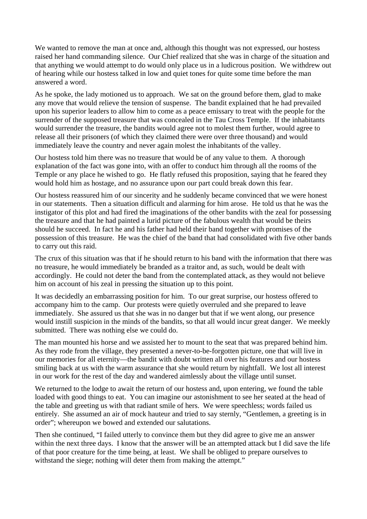We wanted to remove the man at once and, although this thought was not expressed, our hostess raised her hand commanding silence. Our Chief realized that she was in charge of the situation and that anything we would attempt to do would only place us in a ludicrous position. We withdrew out of hearing while our hostess talked in low and quiet tones for quite some time before the man answered a word.

As he spoke, the lady motioned us to approach. We sat on the ground before them, glad to make any move that would relieve the tension of suspense. The bandit explained that he had prevailed upon his superior leaders to allow him to come as a peace emissary to treat with the people for the surrender of the supposed treasure that was concealed in the Tau Cross Temple. If the inhabitants would surrender the treasure, the bandits would agree not to molest them further, would agree to release all their prisoners (of which they claimed there were over three thousand) and would immediately leave the country and never again molest the inhabitants of the valley.

Our hostess told him there was no treasure that would be of any value to them. A thorough explanation of the fact was gone into, with an offer to conduct him through all the rooms of the Temple or any place he wished to go. He flatly refused this proposition, saying that he feared they would hold him as hostage, and no assurance upon our part could break down this fear.

Our hostess reassured him of our sincerity and he suddenly became convinced that we were honest in our statements. Then a situation difficult and alarming for him arose. He told us that he was the instigator of this plot and had fired the imaginations of the other bandits with the zeal for possessing the treasure and that he had painted a lurid picture of the fabulous wealth that would be theirs should he succeed. In fact he and his father had held their band together with promises of the possession of this treasure. He was the chief of the band that had consolidated with five other bands to carry out this raid.

The crux of this situation was that if he should return to his band with the information that there was no treasure, he would immediately be branded as a traitor and, as such, would be dealt with accordingly. He could not deter the band from the contemplated attack, as they would not believe him on account of his zeal in pressing the situation up to this point.

It was decidedly an embarrassing position for him. To our great surprise, our hostess offered to accompany him to the camp. Our protests were quietly overruled and she prepared to leave immediately. She assured us that she was in no danger but that if we went along, our presence would instill suspicion in the minds of the bandits, so that all would incur great danger. We meekly submitted. There was nothing else we could do.

The man mounted his horse and we assisted her to mount to the seat that was prepared behind him. As they rode from the village, they presented a never-to-be-forgotten picture, one that will live in our memories for all eternity—the bandit with doubt written all over his features and our hostess smiling back at us with the warm assurance that she would return by nightfall. We lost all interest in our work for the rest of the day and wandered aimlessly about the village until sunset.

We returned to the lodge to await the return of our hostess and, upon entering, we found the table loaded with good things to eat. You can imagine our astonishment to see her seated at the head of the table and greeting us with that radiant smile of hers. We were speechless; words failed us entirely. She assumed an air of mock hauteur and tried to say sternly, "Gentlemen, a greeting is in order"; whereupon we bowed and extended our salutations.

Then she continued, "I failed utterly to convince them but they did agree to give me an answer within the next three days. I know that the answer will be an attempted attack but I did save the life of that poor creature for the time being, at least. We shall be obliged to prepare ourselves to withstand the siege; nothing will deter them from making the attempt."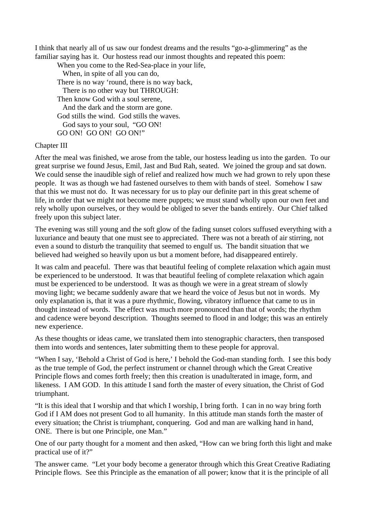I think that nearly all of us saw our fondest dreams and the results "go-a-glimmering" as the familiar saying has it. Our hostess read our inmost thoughts and repeated this poem:

 When you come to the Red-Sea-place in your life, When, in spite of all you can do, There is no way 'round, there is no way back, There is no other way but THROUGH: Then know God with a soul serene, And the dark and the storm are gone. God stills the wind. God stills the waves. God says to your soul, "GO ON! GO ON! GO ON! GO ON!"

## Chapter III

After the meal was finished, we arose from the table, our hostess leading us into the garden. To our great surprise we found Jesus, Emil, Jast and Bud Rah, seated. We joined the group and sat down. We could sense the inaudible sigh of relief and realized how much we had grown to rely upon these people. It was as though we had fastened ourselves to them with bands of steel. Somehow I saw that this we must not do. It was necessary for us to play our definite part in this great scheme of life, in order that we might not become mere puppets; we must stand wholly upon our own feet and rely wholly upon ourselves, or they would be obliged to sever the bands entirely. Our Chief talked freely upon this subject later.

The evening was still young and the soft glow of the fading sunset colors suffused everything with a luxuriance and beauty that one must see to appreciated. There was not a breath of air stirring, not even a sound to disturb the tranquility that seemed to engulf us. The bandit situation that we believed had weighed so heavily upon us but a moment before, had disappeared entirely.

It was calm and peaceful. There was that beautiful feeling of complete relaxation which again must be experienced to be understood. It was that beautiful feeling of complete relaxation which again must be experienced to be understood. It was as though we were in a great stream of slowly moving light; we became suddenly aware that we heard the voice of Jesus but not in words. My only explanation is, that it was a pure rhythmic, flowing, vibratory influence that came to us in thought instead of words. The effect was much more pronounced than that of words; the rhythm and cadence were beyond description. Thoughts seemed to flood in and lodge; this was an entirely new experience.

As these thoughts or ideas came, we translated them into stenographic characters, then transposed them into words and sentences, later submitting them to these people for approval.

"When I say, 'Behold a Christ of God is here,' I behold the God-man standing forth. I see this body as the true temple of God, the perfect instrument or channel through which the Great Creative Principle flows and comes forth freely; then this creation is unadulterated in image, form, and likeness. I AM GOD. In this attitude I sand forth the master of every situation, the Christ of God triumphant.

"It is this ideal that I worship and that which I worship, I bring forth. I can in no way bring forth God if I AM does not present God to all humanity. In this attitude man stands forth the master of every situation; the Christ is triumphant, conquering. God and man are walking hand in hand, ONE. There is but one Principle, one Man."

One of our party thought for a moment and then asked, "How can we bring forth this light and make practical use of it?"

The answer came. "Let your body become a generator through which this Great Creative Radiating Principle flows. See this Principle as the emanation of all power; know that it is the principle of all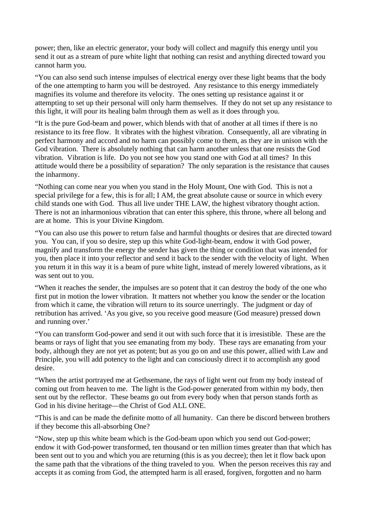power; then, like an electric generator, your body will collect and magnify this energy until you send it out as a stream of pure white light that nothing can resist and anything directed toward you cannot harm you.

"You can also send such intense impulses of electrical energy over these light beams that the body of the one attempting to harm you will be destroyed. Any resistance to this energy immediately magnifies its volume and therefore its velocity. The ones setting up resistance against it or attempting to set up their personal will only harm themselves. If they do not set up any resistance to this light, it will pour its healing balm through them as well as it does through you.

"It is the pure God-beam and power, which blends with that of another at all times if there is no resistance to its free flow. It vibrates with the highest vibration. Consequently, all are vibrating in perfect harmony and accord and no harm can possibly come to them, as they are in unison with the God vibration. There is absolutely nothing that can harm another unless that one resists the God vibration. Vibration is life. Do you not see how you stand one with God at all times? In this attitude would there be a possibility of separation? The only separation is the resistance that causes the inharmony.

"Nothing can come near you when you stand in the Holy Mount, One with God. This is not a special privilege for a few, this is for all; I AM, the great absolute cause or source in which every child stands one with God. Thus all live under THE LAW, the highest vibratory thought action. There is not an inharmonious vibration that can enter this sphere, this throne, where all belong and are at home. This is your Divine Kingdom.

"You can also use this power to return false and harmful thoughts or desires that are directed toward you. You can, if you so desire, step up this white God-light-beam, endow it with God power, magnify and transform the energy the sender has given the thing or condition that was intended for you, then place it into your reflector and send it back to the sender with the velocity of light. When you return it in this way it is a beam of pure white light, instead of merely lowered vibrations, as it was sent out to you.

"When it reaches the sender, the impulses are so potent that it can destroy the body of the one who first put in motion the lower vibration. It matters not whether you know the sender or the location from which it came, the vibration will return to its source unerringly. The judgment or day of retribution has arrived. 'As you give, so you receive good measure (God measure) pressed down and running over.'

"You can transform God-power and send it out with such force that it is irresistible. These are the beams or rays of light that you see emanating from my body. These rays are emanating from your body, although they are not yet as potent; but as you go on and use this power, allied with Law and Principle, you will add potency to the light and can consciously direct it to accomplish any good desire.

"When the artist portrayed me at Gethsemane, the rays of light went out from my body instead of coming out from heaven to me. The light is the God-power generated from within my body, then sent out by the reflector. These beams go out from every body when that person stands forth as God in his divine heritage—the Christ of God ALL ONE.

"This is and can be made the definite motto of all humanity. Can there be discord between brothers if they become this all-absorbing One?

"Now, step up this white beam which is the God-beam upon which you send out God-power; endow it with God-power transformed, ten thousand or ten million times greater than that which has been sent out to you and which you are returning (this is as you decree); then let it flow back upon the same path that the vibrations of the thing traveled to you. When the person receives this ray and accepts it as coming from God, the attempted harm is all erased, forgiven, forgotten and no harm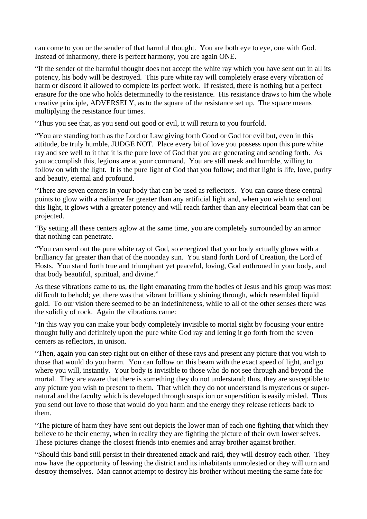can come to you or the sender of that harmful thought. You are both eye to eye, one with God. Instead of inharmony, there is perfect harmony, you are again ONE.

"If the sender of the harmful thought does not accept the white ray which you have sent out in all its potency, his body will be destroyed. This pure white ray will completely erase every vibration of harm or discord if allowed to complete its perfect work. If resisted, there is nothing but a perfect erasure for the one who holds determinedly to the resistance. His resistance draws to him the whole creative principle, ADVERSELY, as to the square of the resistance set up. The square means multiplying the resistance four times.

"Thus you see that, as you send out good or evil, it will return to you fourfold.

"You are standing forth as the Lord or Law giving forth Good or God for evil but, even in this attitude, be truly humble, JUDGE NOT. Place every bit of love you possess upon this pure white ray and see well to it that it is the pure love of God that you are generating and sending forth. As you accomplish this, legions are at your command. You are still meek and humble, willing to follow on with the light. It is the pure light of God that you follow; and that light is life, love, purity and beauty, eternal and profound.

"There are seven centers in your body that can be used as reflectors. You can cause these central points to glow with a radiance far greater than any artificial light and, when you wish to send out this light, it glows with a greater potency and will reach farther than any electrical beam that can be projected.

"By setting all these centers aglow at the same time, you are completely surrounded by an armor that nothing can penetrate.

"You can send out the pure white ray of God, so energized that your body actually glows with a brilliancy far greater than that of the noonday sun. You stand forth Lord of Creation, the Lord of Hosts. You stand forth true and triumphant yet peaceful, loving, God enthroned in your body, and that body beautiful, spiritual, and divine."

As these vibrations came to us, the light emanating from the bodies of Jesus and his group was most difficult to behold; yet there was that vibrant brilliancy shining through, which resembled liquid gold. To our vision there seemed to be an indefiniteness, while to all of the other senses there was the solidity of rock. Again the vibrations came:

"In this way you can make your body completely invisible to mortal sight by focusing your entire thought fully and definitely upon the pure white God ray and letting it go forth from the seven centers as reflectors, in unison.

"Then, again you can step right out on either of these rays and present any picture that you wish to those that would do you harm. You can follow on this beam with the exact speed of light, and go where you will, instantly. Your body is invisible to those who do not see through and beyond the mortal. They are aware that there is something they do not understand; thus, they are susceptible to any picture you wish to present to them. That which they do not understand is mysterious or supernatural and the faculty which is developed through suspicion or superstition is easily misled. Thus you send out love to those that would do you harm and the energy they release reflects back to them.

"The picture of harm they have sent out depicts the lower man of each one fighting that which they believe to be their enemy, when in reality they are fighting the picture of their own lower selves. These pictures change the closest friends into enemies and array brother against brother.

"Should this band still persist in their threatened attack and raid, they will destroy each other. They now have the opportunity of leaving the district and its inhabitants unmolested or they will turn and destroy themselves. Man cannot attempt to destroy his brother without meeting the same fate for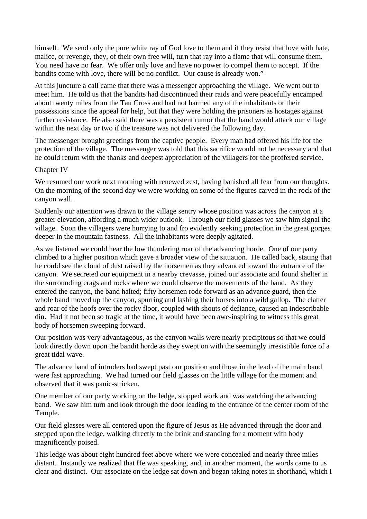himself. We send only the pure white ray of God love to them and if they resist that love with hate, malice, or revenge, they, of their own free will, turn that ray into a flame that will consume them. You need have no fear. We offer only love and have no power to compel them to accept. If the bandits come with love, there will be no conflict. Our cause is already won."

At this juncture a call came that there was a messenger approaching the village. We went out to meet him. He told us that the bandits had discontinued their raids and were peacefully encamped about twenty miles from the Tau Cross and had not harmed any of the inhabitants or their possessions since the appeal for help, but that they were holding the prisoners as hostages against further resistance. He also said there was a persistent rumor that the band would attack our village within the next day or two if the treasure was not delivered the following day.

The messenger brought greetings from the captive people. Every man had offered his life for the protection of the village. The messenger was told that this sacrifice would not be necessary and that he could return with the thanks and deepest appreciation of the villagers for the proffered service.

### Chapter IV

We resumed our work next morning with renewed zest, having banished all fear from our thoughts. On the morning of the second day we were working on some of the figures carved in the rock of the canyon wall.

Suddenly our attention was drawn to the village sentry whose position was across the canyon at a greater elevation, affording a much wider outlook. Through our field glasses we saw him signal the village. Soon the villagers were hurrying to and fro evidently seeking protection in the great gorges deeper in the mountain fastness. All the inhabitants were deeply agitated.

As we listened we could hear the low thundering roar of the advancing horde. One of our party climbed to a higher position which gave a broader view of the situation. He called back, stating that he could see the cloud of dust raised by the horsemen as they advanced toward the entrance of the canyon. We secreted our equipment in a nearby crevasse, joined our associate and found shelter in the surrounding crags and rocks where we could observe the movements of the band. As they entered the canyon, the band halted; fifty horsemen rode forward as an advance guard, then the whole band moved up the canyon, spurring and lashing their horses into a wild gallop. The clatter and roar of the hoofs over the rocky floor, coupled with shouts of defiance, caused an indescribable din. Had it not been so tragic at the time, it would have been awe-inspiring to witness this great body of horsemen sweeping forward.

Our position was very advantageous, as the canyon walls were nearly precipitous so that we could look directly down upon the bandit horde as they swept on with the seemingly irresistible force of a great tidal wave.

The advance band of intruders had swept past our position and those in the lead of the main band were fast approaching. We had turned our field glasses on the little village for the moment and observed that it was panic-stricken.

One member of our party working on the ledge, stopped work and was watching the advancing band. We saw him turn and look through the door leading to the entrance of the center room of the Temple.

Our field glasses were all centered upon the figure of Jesus as He advanced through the door and stepped upon the ledge, walking directly to the brink and standing for a moment with body magnificently poised.

This ledge was about eight hundred feet above where we were concealed and nearly three miles distant. Instantly we realized that He was speaking, and, in another moment, the words came to us clear and distinct. Our associate on the ledge sat down and began taking notes in shorthand, which I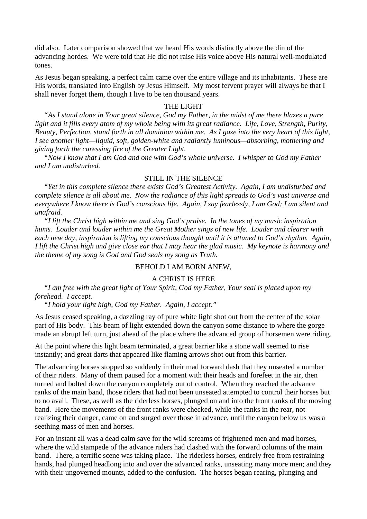did also. Later comparison showed that we heard His words distinctly above the din of the advancing hordes. We were told that He did not raise His voice above His natural well-modulated tones.

As Jesus began speaking, a perfect calm came over the entire village and its inhabitants. These are His words, translated into English by Jesus Himself. My most fervent prayer will always be that I shall never forget them, though I live to be ten thousand years.

#### THE LIGHT

*"As I stand alone in Your great silence, God my Father, in the midst of me there blazes a pure light and it fills every atom of my whole being with its great radiance. Life, Love, Strength, Purity, Beauty, Perfection, stand forth in all dominion within me. As I gaze into the very heart of this light, I see another light—liquid, soft, golden-white and radiantly luminous—absorbing, mothering and giving forth the caressing fire of the Greater Light.*

*"Now I know that I am God and one with God's whole universe. I whisper to God my Father and I am undisturbed.*

#### STILL IN THE SILENCE

*"Yet in this complete silence there exists God's Greatest Activity. Again, I am undisturbed and complete silence is all about me. Now the radiance of this light spreads to God's vast universe and everywhere I know there is God's conscious life. Again, I say fearlessly, I am God; I am silent and unafraid.*

*"I lift the Christ high within me and sing God's praise. In the tones of my music inspiration hums. Louder and louder within me the Great Mother sings of new life. Louder and clearer with each new day, inspiration is lifting my conscious thought until it is attuned to God's rhythm. Again, I lift the Christ high and give close ear that I may hear the glad music. My keynote is harmony and the theme of my song is God and God seals my song as Truth.*

## BEHOLD I AM BORN ANEW,

#### A CHRIST IS HERE

*"I am free with the great light of Your Spirit, God my Father, Your seal is placed upon my forehead. I accept.*

*"I hold your light high, God my Father. Again, I accept."*

As Jesus ceased speaking, a dazzling ray of pure white light shot out from the center of the solar part of His body. This beam of light extended down the canyon some distance to where the gorge made an abrupt left turn, just ahead of the place where the advanced group of horsemen were riding.

At the point where this light beam terminated, a great barrier like a stone wall seemed to rise instantly; and great darts that appeared like flaming arrows shot out from this barrier.

The advancing horses stopped so suddenly in their mad forward dash that they unseated a number of their riders. Many of them paused for a moment with their heads and forefeet in the air, then turned and bolted down the canyon completely out of control. When they reached the advance ranks of the main band, those riders that had not been unseated attempted to control their horses but to no avail. These, as well as the riderless horses, plunged on and into the front ranks of the moving band. Here the movements of the front ranks were checked, while the ranks in the rear, not realizing their danger, came on and surged over those in advance, until the canyon below us was a seething mass of men and horses.

For an instant all was a dead calm save for the wild screams of frightened men and mad horses, where the wild stampede of the advance riders had clashed with the forward columns of the main band. There, a terrific scene was taking place. The riderless horses, entirely free from restraining hands, had plunged headlong into and over the advanced ranks, unseating many more men; and they with their ungoverned mounts, added to the confusion. The horses began rearing, plunging and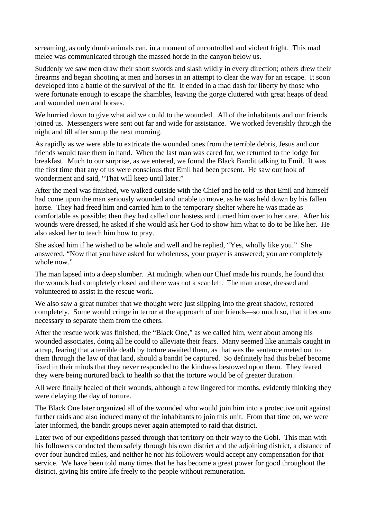screaming, as only dumb animals can, in a moment of uncontrolled and violent fright. This mad melee was communicated through the massed horde in the canyon below us.

Suddenly we saw men draw their short swords and slash wildly in every direction; others drew their firearms and began shooting at men and horses in an attempt to clear the way for an escape. It soon developed into a battle of the survival of the fit. It ended in a mad dash for liberty by those who were fortunate enough to escape the shambles, leaving the gorge cluttered with great heaps of dead and wounded men and horses.

We hurried down to give what aid we could to the wounded. All of the inhabitants and our friends joined us. Messengers were sent out far and wide for assistance. We worked feverishly through the night and till after sunup the next morning.

As rapidly as we were able to extricate the wounded ones from the terrible debris, Jesus and our friends would take them in hand. When the last man was cared for, we returned to the lodge for breakfast. Much to our surprise, as we entered, we found the Black Bandit talking to Emil. It was the first time that any of us were conscious that Emil had been present. He saw our look of wonderment and said, "That will keep until later."

After the meal was finished, we walked outside with the Chief and he told us that Emil and himself had come upon the man seriously wounded and unable to move, as he was held down by his fallen horse. They had freed him and carried him to the temporary shelter where he was made as comfortable as possible; then they had called our hostess and turned him over to her care. After his wounds were dressed, he asked if she would ask her God to show him what to do to be like her. He also asked her to teach him how to pray.

She asked him if he wished to be whole and well and he replied, "Yes, wholly like you." She answered, "Now that you have asked for wholeness, your prayer is answered; you are completely whole now"

The man lapsed into a deep slumber. At midnight when our Chief made his rounds, he found that the wounds had completely closed and there was not a scar left. The man arose, dressed and volunteered to assist in the rescue work.

We also saw a great number that we thought were just slipping into the great shadow, restored completely. Some would cringe in terror at the approach of our friends—so much so, that it became necessary to separate them from the others.

After the rescue work was finished, the "Black One," as we called him, went about among his wounded associates, doing all he could to alleviate their fears. Many seemed like animals caught in a trap, fearing that a terrible death by torture awaited them, as that was the sentence meted out to them through the law of that land, should a bandit be captured. So definitely had this belief become fixed in their minds that they never responded to the kindness bestowed upon them. They feared they were being nurtured back to health so that the torture would be of greater duration.

All were finally healed of their wounds, although a few lingered for months, evidently thinking they were delaying the day of torture.

The Black One later organized all of the wounded who would join him into a protective unit against further raids and also induced many of the inhabitants to join this unit. From that time on, we were later informed, the bandit groups never again attempted to raid that district.

Later two of our expeditions passed through that territory on their way to the Gobi. This man with his followers conducted them safely through his own district and the adjoining district, a distance of over four hundred miles, and neither he nor his followers would accept any compensation for that service. We have been told many times that he has become a great power for good throughout the district, giving his entire life freely to the people without remuneration.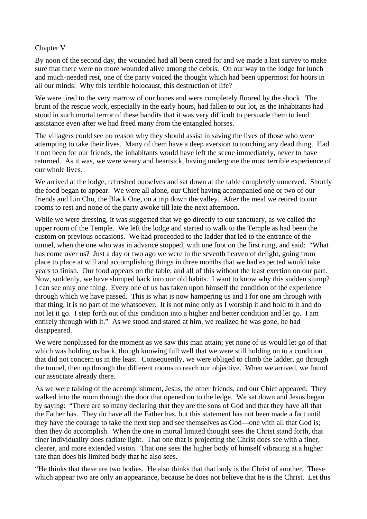## Chapter V

By noon of the second day, the wounded had all been cared for and we made a last survey to make sure that there were no more wounded alive among the debris. On our way to the lodge for lunch and much-needed rest, one of the party voiced the thought which had been uppermost for hours in all our minds: Why this terrible holocaust, this destruction of life?

We were tired to the very marrow of our bones and were completely floored by the shock. The brunt of the rescue work, especially in the early hours, had fallen to our lot, as the inhabitants had stood in such mortal terror of these bandits that it was very difficult to persuade them to lend assistance even after we had freed many from the entangled horses.

The villagers could see no reason why they should assist in saving the lives of those who were attempting to take their lives. Many of them have a deep aversion to touching any dead thing. Had it not been for our friends, the inhabitants would have left the scene immediately, never to have returned. As it was, we were weary and heartsick, having undergone the most terrible experience of our whole lives.

We arrived at the lodge, refreshed ourselves and sat down at the table completely unnerved. Shortly the food began to appear. We were all alone, our Chief having accompanied one or two of our friends and Lin Chu, the Black One, on a trip down the valley. After the meal we retired to our rooms to rest and none of the party awoke till late the next afternoon.

While we were dressing, it was suggested that we go directly to our sanctuary, as we called the upper room of the Temple. We left the lodge and started to walk to the Temple as had been the custom on previous occasions. We had proceeded to the ladder that led to the entrance of the tunnel, when the one who was in advance stopped, with one foot on the first rung, and said: "What has come over us? Just a day or two ago we were in the seventh heaven of delight, going from place to place at will and accomplishing things in three months that we had expected would take years to finish. Our food appears on the table, and all of this without the least exertion on our part. Now, suddenly, we have slumped back into our old habits. I want to know why this sudden slump? I can see only one thing. Every one of us has taken upon himself the condition of the experience through which we have passed. This is what is now hampering us and I for one am through with that thing, it is no part of me whatsoever. It is not mine only as I worship it and hold to it and do not let it go. I step forth out of this condition into a higher and better condition and let go. I am entirely through with it." As we stood and stared at him, we realized he was gone, he had disappeared.

We were nonplussed for the moment as we saw this man attain; yet none of us would let go of that which was holding us back, though knowing full well that we were still holding on to a condition that did not concern us in the least. Consequently, we were obliged to climb the ladder, go through the tunnel, then up through the different rooms to reach our objective. When we arrived, we found our associate already there.

As we were talking of the accomplishment, Jesus, the other friends, and our Chief appeared. They walked into the room through the door that opened on to the ledge. We sat down and Jesus began by saying: "There are so many declaring that they are the sons of God and that they have all that the Father has. They do have all the Father has, but this statement has not been made a fact until they have the courage to take the next step and see themselves as God—one with all that God is; then they do accomplish. When the one in mortal limited thought sees the Christ stand forth, that finer individuality does radiate light. That one that is projecting the Christ does see with a finer, clearer, and more extended vision. That one sees the higher body of himself vibrating at a higher rate than does his limited body that he also sees.

"He thinks that these are two bodies. He also thinks that that body is the Christ of another. These which appear two are only an appearance, because he does not believe that he is the Christ. Let this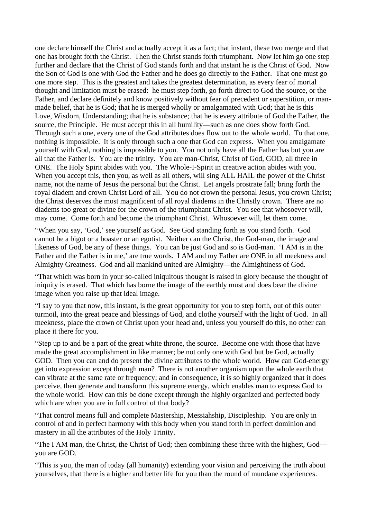one declare himself the Christ and actually accept it as a fact; that instant, these two merge and that one has brought forth the Christ. Then the Christ stands forth triumphant. Now let him go one step further and declare that the Christ of God stands forth and that instant he is the Christ of God. Now the Son of God is one with God the Father and he does go directly to the Father. That one must go one more step. This is the greatest and takes the greatest determination, as every fear of mortal thought and limitation must be erased: he must step forth, go forth direct to God the source, or the Father, and declare definitely and know positively without fear of precedent or superstition, or manmade belief, that he is God; that he is merged wholly or amalgamated with God; that he is this Love, Wisdom, Understanding; that he is substance; that he is every attribute of God the Father, the source, the Principle. He must accept this in all humility—such as one does show forth God. Through such a one, every one of the God attributes does flow out to the whole world. To that one, nothing is impossible. It is only through such a one that God can express. When you amalgamate yourself with God, nothing is impossible to you. You not only have all the Father has but you are all that the Father is. You are the trinity. You are man-Christ, Christ of God, GOD, all three in ONE. The Holy Spirit abides with you. The Whole-I-Spirit in creative action abides with you. When you accept this, then you, as well as all others, will sing ALL HAIL the power of the Christ name, not the name of Jesus the personal but the Christ. Let angels prostrate fall; bring forth the royal diadem and crown Christ Lord of all. You do not crown the personal Jesus, you crown Christ; the Christ deserves the most magnificent of all royal diadems in the Christly crown. There are no diadems too great or divine for the crown of the triumphant Christ. You see that whosoever will, may come. Come forth and become the triumphant Christ. Whosoever will, let them come.

"When you say, 'God,' see yourself as God. See God standing forth as you stand forth. God cannot be a bigot or a boaster or an egotist. Neither can the Christ, the God-man, the image and likeness of God, be any of these things. You can be just God and so is God-man. 'I AM is in the Father and the Father is in me,' are true words. I AM and my Father are ONE in all meekness and Almighty Greatness. God and all mankind united are Almighty—the Almightiness of God.

"That which was born in your so-called iniquitous thought is raised in glory because the thought of iniquity is erased. That which has borne the image of the earthly must and does bear the divine image when you raise up that ideal image.

"I say to you that now, this instant, is the great opportunity for you to step forth, out of this outer turmoil, into the great peace and blessings of God, and clothe yourself with the light of God. In all meekness, place the crown of Christ upon your head and, unless you yourself do this, no other can place it there for you.

"Step up to and be a part of the great white throne, the source. Become one with those that have made the great accomplishment in like manner; be not only one with God but be God, actually GOD. Then you can and do present the divine attributes to the whole world. How can God-energy get into expression except through man? There is not another organism upon the whole earth that can vibrate at the same rate or frequency; and in consequence, it is so highly organized that it does perceive, then generate and transform this supreme energy, which enables man to express God to the whole world. How can this be done except through the highly organized and perfected body which are when you are in full control of that body?

"That control means full and complete Mastership, Messiahship, Discipleship. You are only in control of and in perfect harmony with this body when you stand forth in perfect dominion and mastery in all the attributes of the Holy Trinity.

"The I AM man, the Christ, the Christ of God; then combining these three with the highest, God you are GOD.

"This is you, the man of today (all humanity) extending your vision and perceiving the truth about yourselves, that there is a higher and better life for you than the round of mundane experiences.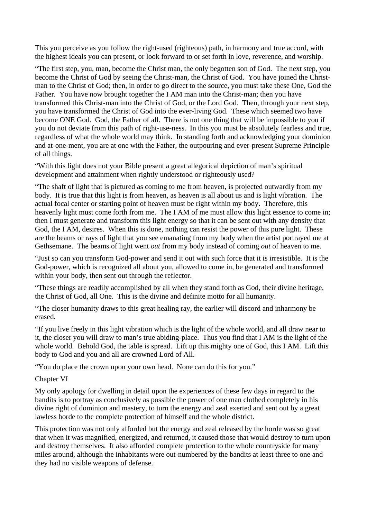This you perceive as you follow the right-used (righteous) path, in harmony and true accord, with the highest ideals you can present, or look forward to or set forth in love, reverence, and worship.

"The first step, you, man, become the Christ man, the only begotten son of God. The next step, you become the Christ of God by seeing the Christ-man, the Christ of God. You have joined the Christman to the Christ of God; then, in order to go direct to the source, you must take these One, God the Father. You have now brought together the I AM man into the Christ-man; then you have transformed this Christ-man into the Christ of God, or the Lord God. Then, through your next step, you have transformed the Christ of God into the ever-living God. These which seemed two have become ONE God. God, the Father of all. There is not one thing that will be impossible to you if you do not deviate from this path of right-use-ness. In this you must be absolutely fearless and true, regardless of what the whole world may think. In standing forth and acknowledging your dominion and at-one-ment, you are at one with the Father, the outpouring and ever-present Supreme Principle of all things.

"With this light does not your Bible present a great allegorical depiction of man's spiritual development and attainment when rightly understood or righteously used?

"The shaft of light that is pictured as coming to me from heaven, is projected outwardly from my body. It is true that this light is from heaven, as heaven is all about us and is light vibration. The actual focal center or starting point of heaven must be right within my body. Therefore, this heavenly light must come forth from me. The I AM of me must allow this light essence to come in; then I must generate and transform this light energy so that it can be sent out with any density that God, the I AM, desires. When this is done, nothing can resist the power of this pure light. These are the beams or rays of light that you see emanating from my body when the artist portrayed me at Gethsemane. The beams of light went *out* from my body instead of coming *out* of heaven to me.

"Just so can you transform God-power and send it out with such force that it is irresistible. It is the God-power, which is recognized all about you, allowed to come in, be generated and transformed within your body, then sent out through the reflector.

"These things are readily accomplished by all when they stand forth as God, their divine heritage, the Christ of God, all One. This is the divine and definite motto for all humanity.

"The closer humanity draws to this great healing ray, the earlier will discord and inharmony be erased.

"If you live freely in this light vibration which is the light of the whole world, and all draw near to it, the closer you will draw to man's true abiding-place. Thus you find that I AM is the light of the whole world. Behold God, the table is spread. Lift up this mighty one of God, this I AM. Lift this body to God and you and all are crowned Lord of All.

"You do place the crown upon your own head. None can do this for you."

Chapter VI

My only apology for dwelling in detail upon the experiences of these few days in regard to the bandits is to portray as conclusively as possible the power of one man clothed completely in his divine right of dominion and mastery, to turn the energy and zeal exerted and sent out by a great lawless horde to the complete protection of himself and the whole district.

This protection was not only afforded but the energy and zeal released by the horde was so great that when it was magnified, energized, and returned, it caused those that would destroy to turn upon and destroy themselves. It also afforded complete protection to the whole countryside for many miles around, although the inhabitants were out-numbered by the bandits at least three to one and they had no visible weapons of defense.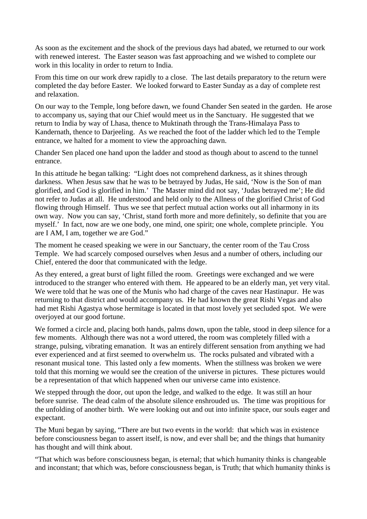As soon as the excitement and the shock of the previous days had abated, we returned to our work with renewed interest. The Easter season was fast approaching and we wished to complete our work in this locality in order to return to India.

From this time on our work drew rapidly to a close. The last details preparatory to the return were completed the day before Easter. We looked forward to Easter Sunday as a day of complete rest and relaxation.

On our way to the Temple, long before dawn, we found Chander Sen seated in the garden. He arose to accompany us, saying that our Chief would meet us in the Sanctuary. He suggested that we return to India by way of Lhasa, thence to Muktinath through the Trans-Himalaya Pass to Kandernath, thence to Darjeeling. As we reached the foot of the ladder which led to the Temple entrance, we halted for a moment to view the approaching dawn.

Chander Sen placed one hand upon the ladder and stood as though about to ascend to the tunnel entrance.

In this attitude he began talking: "Light does not comprehend darkness, as it shines through darkness. When Jesus saw that he was to be betrayed by Judas, He said, 'Now is the Son of man glorified, and God is glorified in him.' The Master mind did not say, 'Judas betrayed me'; He did not refer to Judas at all. He understood and held only to the Allness of the glorified Christ of God flowing through Himself. Thus we see that perfect mutual action works out all inharmony in its own way. Now you can say, 'Christ, stand forth more and more definitely, so definite that you are myself.' In fact, now are we one body, one mind, one spirit; one whole, complete principle. You are I AM, I am, together we are God."

The moment he ceased speaking we were in our Sanctuary, the center room of the Tau Cross Temple. We had scarcely composed ourselves when Jesus and a number of others, including our Chief, entered the door that communicated with the ledge.

As they entered, a great burst of light filled the room. Greetings were exchanged and we were introduced to the stranger who entered with them. He appeared to be an elderly man, yet very vital. We were told that he was one of the Munis who had charge of the caves near Hastinapur. He was returning to that district and would accompany us. He had known the great Rishi Vegas and also had met Rishi Agastya whose hermitage is located in that most lovely yet secluded spot. We were overjoyed at our good fortune.

We formed a circle and, placing both hands, palms down, upon the table, stood in deep silence for a few moments. Although there was not a word uttered, the room was completely filled with a strange, pulsing, vibrating emanation. It was an entirely different sensation from anything we had ever experienced and at first seemed to overwhelm us. The rocks pulsated and vibrated with a resonant musical tone. This lasted only a few moments. When the stillness was broken we were told that this morning we would see the creation of the universe in pictures. These pictures would be a representation of that which happened when our universe came into existence.

We stepped through the door, out upon the ledge, and walked to the edge. It was still an hour before sunrise. The dead calm of the absolute silence enshrouded us. The time was propitious for the unfolding of another birth. We were looking out and out into infinite space, our souls eager and expectant.

The Muni began by saying, "There are but two events in the world: that which was in existence before consciousness began to assert itself, is now, and ever shall be; and the things that humanity has thought and will think about.

"That which was before consciousness began, is eternal; that which humanity thinks is changeable and inconstant; that which was, before consciousness began, is Truth; that which humanity thinks is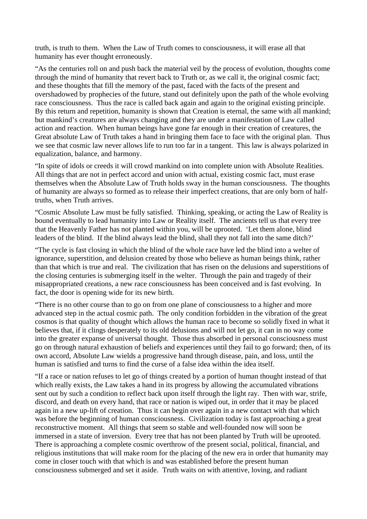truth, is truth to them. When the Law of Truth comes to consciousness, it will erase all that humanity has ever thought erroneously.

"As the centuries roll on and push back the material veil by the process of evolution, thoughts come through the mind of humanity that revert back to Truth or, as we call it, the original cosmic fact; and these thoughts that fill the memory of the past, faced with the facts of the present and overshadowed by prophecies of the future, stand out definitely upon the path of the whole evolving race consciousness. Thus the race is called back again and again to the original existing principle. By this return and repetition, humanity is shown that Creation is eternal, the same with all mankind; but mankind's creatures are always changing and they are under a manifestation of Law called action and reaction. When human beings have gone far enough in their creation of creatures, the Great absolute Law of Truth takes a hand in bringing them face to face with the original plan. Thus we see that cosmic law never allows life to run too far in a tangent. This law is always polarized in equalization, balance, and harmony.

"In spite of idols or creeds it will crowd mankind on into complete union with Absolute Realities. All things that are not in perfect accord and union with actual, existing cosmic fact, must erase themselves when the Absolute Law of Truth holds sway in the human consciousness. The thoughts of humanity are always so formed as to release their imperfect creations, that are only born of halftruths, when Truth arrives.

"Cosmic Absolute Law must be fully satisfied. Thinking, speaking, or acting the Law of Reality is bound eventually to lead humanity into Law or Reality itself. The ancients tell us that every tree that the Heavenly Father has not planted within you, will be uprooted. 'Let them alone, blind leaders of the blind. If the blind always lead the blind, shall they not fall into the same ditch?'

"The cycle is fast closing in which the blind of the whole race have led the blind into a welter of ignorance, superstition, and delusion created by those who believe as human beings think, rather than that which is true and real. The civilization that has risen on the delusions and superstitions of the closing centuries is submerging itself in the welter. Through the pain and tragedy of their misappropriated creations, a new race consciousness has been conceived and is fast evolving. In fact, the door is opening wide for its new birth.

"There is no other course than to go on from one plane of consciousness to a higher and more advanced step in the actual cosmic path. The only condition forbidden in the vibration of the great cosmos is that quality of thought which allows the human race to become so solidly fixed in what it believes that, if it clings desperately to its old delusions and will not let go, it can in no way come into the greater expanse of universal thought. Those thus absorbed in personal consciousness must go on through natural exhaustion of beliefs and experiences until they fail to go forward; then, of its own accord, Absolute Law wields a progressive hand through disease, pain, and loss, until the human is satisfied and turns to find the curse of a false idea within the idea itself.

"If a race or nation refuses to let go of things created by a portion of human thought instead of that which really exists, the Law takes a hand in its progress by allowing the accumulated vibrations sent out by such a condition to reflect back upon itself through the light ray. Then with war, strife, discord, and death on every hand, that race or nation is wiped out, in order that it may be placed again in a new up-lift of creation. Thus it can begin over again in a new contact with that which was before the beginning of human consciousness. Civilization today is fast approaching a great reconstructive moment. All things that seem so stable and well-founded now will soon be immersed in a state of inversion. Every tree that has not been planted by Truth will be uprooted. There is approaching a complete cosmic overthrow of the present social, political, financial, and religious institutions that will make room for the placing of the new era in order that humanity may come in closer touch with that which is and was established before the present human consciousness submerged and set it aside. Truth waits on with attentive, loving, and radiant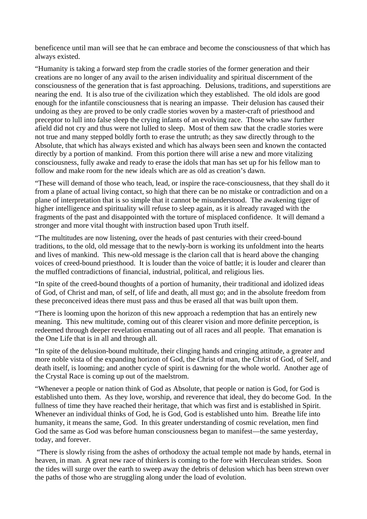beneficence until man will see that he can embrace and become the consciousness of that which has always existed.

"Humanity is taking a forward step from the cradle stories of the former generation and their creations are no longer of any avail to the arisen individuality and spiritual discernment of the consciousness of the generation that is fast approaching. Delusions, traditions, and superstitions are nearing the end. It is also true of the civilization which they established. The old idols are good enough for the infantile consciousness that is nearing an impasse. Their delusion has caused their undoing as they are proved to be only cradle stories woven by a master-craft of priesthood and preceptor to lull into false sleep the crying infants of an evolving race. Those who saw further afield did not cry and thus were not lulled to sleep. Most of them saw that the cradle stories were not true and many stepped boldly forth to erase the untruth; as they saw directly through to the Absolute, that which has always existed and which has always been seen and known the contacted directly by a portion of mankind. From this portion there will arise a new and more vitalizing consciousness, fully awake and ready to erase the idols that man has set up for his fellow man to follow and make room for the new ideals which are as old as creation's dawn.

"These will demand of those who teach, lead, or inspire the race-consciousness, that they shall do it from a plane of actual living contact, so high that there can be no mistake or contradiction and on a plane of interpretation that is so simple that it cannot be misunderstood. The awakening tiger of higher intelligence and spirituality will refuse to sleep again, as it is already ravaged with the fragments of the past and disappointed with the torture of misplaced confidence. It will demand a stronger and more vital thought with instruction based upon Truth itself.

"The multitudes are now listening, over the heads of past centuries with their creed-bound traditions, to the old, old message that to the newly-born is working its unfoldment into the hearts and lives of mankind. This new-old message is the clarion call that is heard above the changing voices of creed-bound priesthood. It is louder than the voice of battle; it is louder and clearer than the muffled contradictions of financial, industrial, political, and religious lies.

"In spite of the creed-bound thoughts of a portion of humanity, their traditional and idolized ideas of God, of Christ and man, of self, of life and death, all must go; and in the absolute freedom from these preconceived ideas there must pass and thus be erased all that was built upon them.

"There is looming upon the horizon of this new approach a redemption that has an entirely new meaning. This new multitude, coming out of this clearer vision and more definite perception, is redeemed through deeper revelation emanating out of all races and all people. That emanation is the One Life that is in all and through all.

"In spite of the delusion-bound multitude, their clinging hands and cringing attitude, a greater and more noble vista of the expanding horizon of God, the Christ of man, the Christ of God, of Self, and death itself, is looming; and another cycle of spirit is dawning for the whole world. Another age of the Crystal Race is coming up out of the maelstrom.

"Whenever a people or nation think of God as Absolute, that people or nation is God, for God is established unto them. As they love, worship, and reverence that ideal, they do become God. In the fullness of time they have reached their heritage, that which was first and is established in Spirit. Whenever an individual thinks of God, he is God, God is established unto him. Breathe life into humanity, it means the same, God. In this greater understanding of cosmic revelation, men find God the same as God was before human consciousness began to manifest—the same yesterday, today, and forever.

 "There is slowly rising from the ashes of orthodoxy the actual temple not made by hands, eternal in heaven, in man. A great new race of thinkers is coming to the fore with Herculean strides. Soon the tides will surge over the earth to sweep away the debris of delusion which has been strewn over the paths of those who are struggling along under the load of evolution.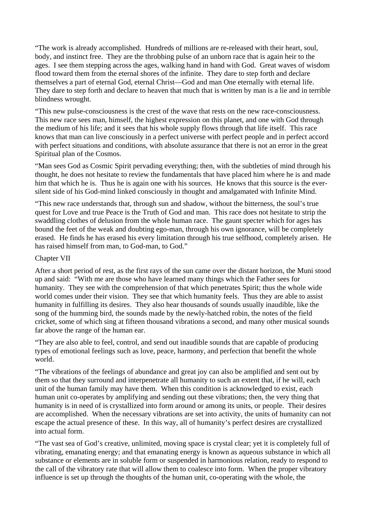"The work is already accomplished. Hundreds of millions are re-released with their heart, soul, body, and instinct free. They are the throbbing pulse of an unborn race that is again heir to the ages. I see them stepping across the ages, walking hand in hand with God. Great waves of wisdom flood toward them from the eternal shores of the infinite. They dare to step forth and declare themselves a part of eternal God, eternal Christ—God and man One eternally with eternal life. They dare to step forth and declare to heaven that much that is written by man is a lie and in terrible blindness wrought.

"This new pulse-consciousness is the crest of the wave that rests on the new race-consciousness. This new race sees man, himself, the highest expression on this planet, and one with God through the medium of his life; and it sees that his whole supply flows through that life itself. This race knows that man can live consciously in a perfect universe with perfect people and in perfect accord with perfect situations and conditions, with absolute assurance that there is not an error in the great Spiritual plan of the Cosmos.

"Man sees God as Cosmic Spirit pervading everything; then, with the subtleties of mind through his thought, he does not hesitate to review the fundamentals that have placed him where he is and made him that which he is. Thus he is again one with his sources. He knows that this source is the eversilent side of his God-mind linked consciously in thought and amalgamated with Infinite Mind.

"This new race understands that, through sun and shadow, without the bitterness, the soul's true quest for Love and true Peace is the Truth of God and man. This race does not hesitate to strip the swaddling clothes of delusion from the whole human race. The gaunt specter which for ages has bound the feet of the weak and doubting ego-man, through his own ignorance, will be completely erased. He finds he has erased his every limitation through his true selfhood, completely arisen. He has raised himself from man, to God-man, to God."

## Chapter VII

After a short period of rest, as the first rays of the sun came over the distant horizon, the Muni stood up and said: "With me are those who have learned many things which the Father sees for humanity. They see with the comprehension of that which penetrates Spirit; thus the whole wide world comes under their vision. They see that which humanity feels. Thus they are able to assist humanity in fulfilling its desires. They also hear thousands of sounds usually inaudible, like the song of the humming bird, the sounds made by the newly-hatched robin, the notes of the field cricket, some of which sing at fifteen thousand vibrations a second, and many other musical sounds far above the range of the human ear.

"They are also able to feel, control, and send out inaudible sounds that are capable of producing types of emotional feelings such as love, peace, harmony, and perfection that benefit the whole world.

"The vibrations of the feelings of abundance and great joy can also be amplified and sent out by them so that they surround and interpenetrate all humanity to such an extent that, if he will, each unit of the human family may have them. When this condition is acknowledged to exist, each human unit co-operates by amplifying and sending out these vibrations; then, the very thing that humanity is in need of is crystallized into form around or among its units, or people. Their desires are accomplished. When the necessary vibrations are set into activity, the units of humanity can not escape the actual presence of these. In this way, all of humanity's perfect desires are crystallized into actual form.

"The vast sea of God's creative, unlimited, moving space is crystal clear; yet it is completely full of vibrating, emanating energy; and that emanating energy is known as aqueous substance in which all substance or elements are in soluble form or suspended in harmonious relation, ready to respond to the call of the vibratory rate that will allow them to coalesce into form. When the proper vibratory influence is set up through the thoughts of the human unit, co-operating with the whole, the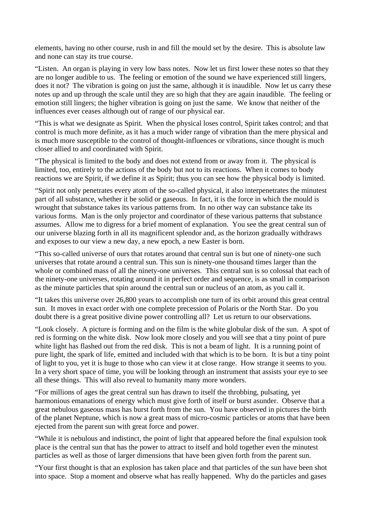elements, having no other course, rush in and fill the mould set by the desire. This is absolute law and none can stay its true course.

"Listen. An organ is playing in very low bass notes. Now let us first lower these notes so that they are no longer audible to us. The feeling or emotion of the sound we have experienced still lingers, does it not? The vibration is going on just the same, although it is inaudible. Now let us carry these notes up and up through the scale until they are so high that they are again inaudible. The feeling or emotion still lingers; the higher vibration is going on just the same. We know that neither of the influences ever ceases although out of range of our physical ear.

"This is what we designate as Spirit. When the physical loses control, Spirit takes control; and that control is much more definite, as it has a much wider range of vibration than the mere physical and is much more susceptible to the control of thought-influences or vibrations, since thought is much closer allied to and coordinated with Spirit.

"The physical is limited to the body and does not extend from or away from it. The physical is limited, too, entirely to the actions of the body but not to its reactions. When it comes to body reactions we are Spirit, if we define it as Spirit; thus you can see how the physical body is limited.

"Spirit not only penetrates every atom of the so-called physical, it also interpenetrates the minutest part of all substance, whether it be solid or gaseous. In fact, it is the force in which the mould is wrought that substance takes its various patterns from. In no other way can substance take its various forms. Man is the only projector and coordinator of these various patterns that substance assumes. Allow me to digress for a brief moment of explanation. You see the great central sun of our universe blazing forth in all its magnificent splendor and, as the horizon gradually withdraws and exposes to our view a new day, a new epoch, a new Easter is born.

"This so-called universe of ours that rotates around that central sun is but one of ninety-one such universes that rotate around a central sun. This sun is ninety-one thousand times larger than the whole or combined mass of all the ninety-one universes. This central sun is so colossal that each of the ninety-one universes, rotating around it in perfect order and sequence, is as small in comparison as the minute particles that spin around the central sun or nucleus of an atom, as you call it.

"It takes this universe over 26,800 years to accomplish one turn of its orbit around this great central sun. It moves in exact order with one complete precession of Polaris or the North Star. Do you doubt there is a great positive divine power controlling all? Let us return to our observations.

"Look closely. A picture is forming and on the film is the white globular disk of the sun. A spot of red is forming on the white disk. Now look more closely and you will see that a tiny point of pure white light has flashed out from the red disk. This is not a beam of light. It is a running point of pure light, the spark of life, emitted and included with that which is to be born. It is but a tiny point of light to you, yet it is huge to those who can view it at close range. How strange it seems to you. In a very short space of time, you will be looking through an instrument that assists your eye to see all these things. This will also reveal to humanity many more wonders.

"For millions of ages the great central sun has drawn to itself the throbbing, pulsating, yet harmonious emanations of energy which must give forth of itself or burst asunder. Observe that a great nebulous gaseous mass has burst forth from the sun. You have observed in pictures the birth of the planet Neptune, which is now a great mass of micro-cosmic particles or atoms that have been ejected from the parent sun with great force and power.

"While it is nebulous and indistinct, the point of light that appeared before the final expulsion took place is the central sun that has the power to attract to itself and hold together even the minutest particles as well as those of larger dimensions that have been given forth from the parent sun.

"Your first thought is that an explosion has taken place and that particles of the sun have been shot into space. Stop a moment and observe what has really happened. Why do the particles and gases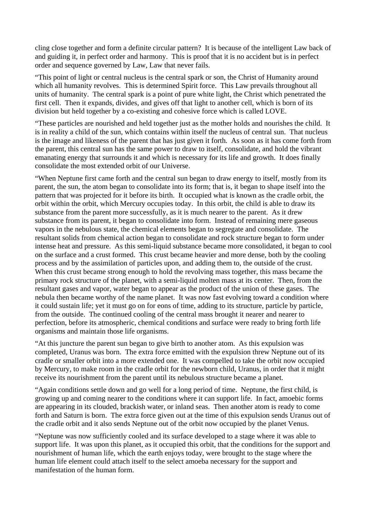cling close together and form a definite circular pattern? It is because of the intelligent Law back of and guiding it, in perfect order and harmony. This is proof that it is no accident but is in perfect order and sequence governed by Law, Law that never fails.

"This point of light or central nucleus is the central spark or son, the Christ of Humanity around which all humanity revolves. This is determined Spirit force. This Law prevails throughout all units of humanity. The central spark is a point of pure white light, the Christ which penetrated the first cell. Then it expands, divides, and gives off that light to another cell, which is born of its division but held together by a co-existing and cohesive force which is called LOVE.

"These particles are nourished and held together just as the mother holds and nourishes the child. It is in reality a child of the sun, which contains within itself the nucleus of central sun. That nucleus is the image and likeness of the parent that has just given it forth. As soon as it has come forth from the parent, this central sun has the same power to draw to itself, consolidate, and hold the vibrant emanating energy that surrounds it and which is necessary for its life and growth. It does finally consolidate the most extended orbit of our Universe.

"When Neptune first came forth and the central sun began to draw energy to itself, mostly from its parent, the sun, the atom began to consolidate into its form; that is, it began to shape itself into the pattern that was projected for it before its birth. It occupied what is known as the cradle orbit, the orbit within the orbit, which Mercury occupies today. In this orbit, the child is able to draw its substance from the parent more successfully, as it is much nearer to the parent. As it drew substance from its parent, it began to consolidate into form. Instead of remaining mere gaseous vapors in the nebulous state, the chemical elements began to segregate and consolidate. The resultant solids from chemical action began to consolidate and rock structure began to form under intense heat and pressure. As this semi-liquid substance became more consolidated, it began to cool on the surface and a crust formed. This crust became heavier and more dense, both by the cooling process and by the assimilation of particles upon, and adding them to, the outside of the crust. When this crust became strong enough to hold the revolving mass together, this mass became the primary rock structure of the planet, with a semi-liquid molten mass at its center. Then, from the resultant gases and vapor, water began to appear as the product of the union of these gases. The nebula then became worthy of the name planet. It was now fast evolving toward a condition where it could sustain life; yet it must go on for eons of time, adding to its structure, particle by particle, from the outside. The continued cooling of the central mass brought it nearer and nearer to perfection, before its atmospheric, chemical conditions and surface were ready to bring forth life organisms and maintain those life organisms.

"At this juncture the parent sun began to give birth to another atom. As this expulsion was completed, Uranus was born. The extra force emitted with the expulsion threw Neptune out of its cradle or smaller orbit into a more extended one. It was compelled to take the orbit now occupied by Mercury, to make room in the cradle orbit for the newborn child, Uranus, in order that it might receive its nourishment from the parent until its nebulous structure became a planet.

"Again conditions settle down and go well for a long period of time. Neptune, the first child, is growing up and coming nearer to the conditions where it can support life. In fact, amoebic forms are appearing in its clouded, brackish water, or inland seas. Then another atom is ready to come forth and Saturn is born. The extra force given out at the time of this expulsion sends Uranus out of the cradle orbit and it also sends Neptune out of the orbit now occupied by the planet Venus.

"Neptune was now sufficiently cooled and its surface developed to a stage where it was able to support life. It was upon this planet, as it occupied this orbit, that the conditions for the support and nourishment of human life, which the earth enjoys today, were brought to the stage where the human life element could attach itself to the select amoeba necessary for the support and manifestation of the human form.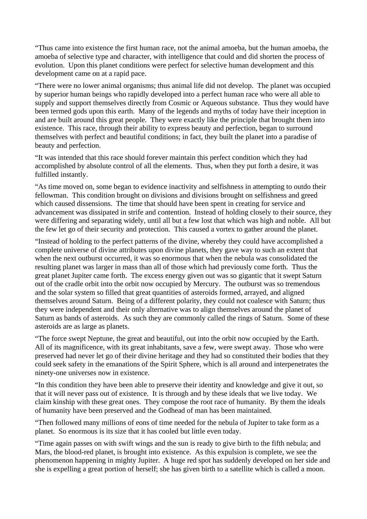"Thus came into existence the first human race, not the animal amoeba, but the human amoeba, the amoeba of selective type and character, with intelligence that could and did shorten the process of evolution. Upon this planet conditions were perfect for selective human development and this development came on at a rapid pace.

"There were no lower animal organisms; thus animal life did not develop. The planet was occupied by superior human beings who rapidly developed into a perfect human race who were all able to supply and support themselves directly from Cosmic or Aqueous substance. Thus they would have been termed gods upon this earth. Many of the legends and myths of today have their inception in and are built around this great people. They were exactly like the principle that brought them into existence. This race, through their ability to express beauty and perfection, began to surround themselves with perfect and beautiful conditions; in fact, they built the planet into a paradise of beauty and perfection.

"It was intended that this race should forever maintain this perfect condition which they had accomplished by absolute control of all the elements. Thus, when they put forth a desire, it was fulfilled instantly.

"As time moved on, some began to evidence inactivity and selfishness in attempting to outdo their fellowman. This condition brought on divisions and divisions brought on selfishness and greed which caused dissensions. The time that should have been spent in creating for service and advancement was dissipated in strife and contention. Instead of holding closely to their source, they were differing and separating widely, until all but a few lost that which was high and noble. All but the few let go of their security and protection. This caused a vortex to gather around the planet.

"Instead of holding to the perfect patterns of the divine, whereby they could have accomplished a complete universe of divine attributes upon divine planets, they gave way to such an extent that when the next outburst occurred, it was so enormous that when the nebula was consolidated the resulting planet was larger in mass than all of those which had previously come forth. Thus the great planet Jupiter came forth. The excess energy given out was so gigantic that it swept Saturn out of the cradle orbit into the orbit now occupied by Mercury. The outburst was so tremendous and the solar system so filled that great quantities of asteroids formed, arrayed, and aligned themselves around Saturn. Being of a different polarity, they could not coalesce with Saturn; thus they were independent and their only alternative was to align themselves around the planet of Saturn as bands of asteroids. As such they are commonly called the rings of Saturn. Some of these asteroids are as large as planets.

"The force swept Neptune, the great and beautiful, out into the orbit now occupied by the Earth. All of its magnificence, with its great inhabitants, save a few, were swept away. Those who were preserved had never let go of their divine heritage and they had so constituted their bodies that they could seek safety in the emanations of the Spirit Sphere, which is all around and interpenetrates the ninety-one universes now in existence.

"In this condition they have been able to preserve their identity and knowledge and give it out, so that it will never pass out of existence. It is through and by these ideals that we live today. We claim kinship with these great ones. They compose the root race of humanity. By them the ideals of humanity have been preserved and the Godhead of man has been maintained.

"Then followed many millions of eons of time needed for the nebula of Jupiter to take form as a planet. So enormous is its size that it has cooled but little even today.

"Time again passes on with swift wings and the sun is ready to give birth to the fifth nebula; and Mars, the blood-red planet, is brought into existence. As this expulsion is complete, we see the phenomenon happening in mighty Jupiter. A huge red spot has suddenly developed on her side and she is expelling a great portion of herself; she has given birth to a satellite which is called a moon.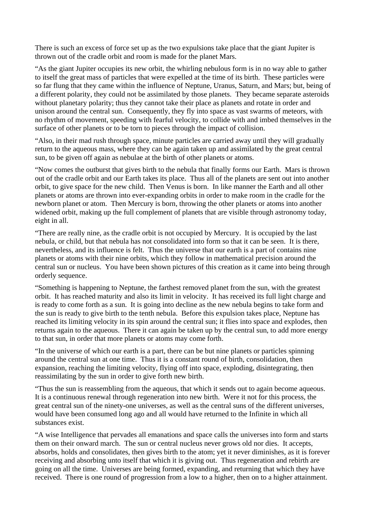There is such an excess of force set up as the two expulsions take place that the giant Jupiter is thrown out of the cradle orbit and room is made for the planet Mars.

"As the giant Jupiter occupies its new orbit, the whirling nebulous form is in no way able to gather to itself the great mass of particles that were expelled at the time of its birth. These particles were so far flung that they came within the influence of Neptune, Uranus, Saturn, and Mars; but, being of a different polarity, they could not be assimilated by those planets. They became separate asteroids without planetary polarity; thus they cannot take their place as planets and rotate in order and unison around the central sun. Consequently, they fly into space as vast swarms of meteors, with no rhythm of movement, speeding with fearful velocity, to collide with and imbed themselves in the surface of other planets or to be torn to pieces through the impact of collision.

"Also, in their mad rush through space, minute particles are carried away until they will gradually return to the aqueous mass, where they can be again taken up and assimilated by the great central sun, to be given off again as nebulae at the birth of other planets or atoms.

"Now comes the outburst that gives birth to the nebula that finally forms our Earth. Mars is thrown out of the cradle orbit and our Earth takes its place. Thus all of the planets are sent out into another orbit, to give space for the new child. Then Venus is born. In like manner the Earth and all other planets or atoms are thrown into ever-expanding orbits in order to make room in the cradle for the newborn planet or atom. Then Mercury is born, throwing the other planets or atoms into another widened orbit, making up the full complement of planets that are visible through astronomy today, eight in all.

"There are really nine, as the cradle orbit is not occupied by Mercury. It is occupied by the last nebula, or child, but that nebula has not consolidated into form so that it can be seen. It is there, nevertheless, and its influence is felt. Thus the universe that our earth is a part of contains nine planets or atoms with their nine orbits, which they follow in mathematical precision around the central sun or nucleus. You have been shown pictures of this creation as it came into being through orderly sequence.

"Something is happening to Neptune, the farthest removed planet from the sun, with the greatest orbit. It has reached maturity and also its limit in velocity. It has received its full light charge and is ready to come forth as a sun. It is going into decline as the new nebula begins to take form and the sun is ready to give birth to the tenth nebula. Before this expulsion takes place, Neptune has reached its limiting velocity in its spin around the central sun; it flies into space and explodes, then returns again to the aqueous. There it can again be taken up by the central sun, to add more energy to that sun, in order that more planets or atoms may come forth.

"In the universe of which our earth is a part, there can be but nine planets or particles spinning around the central sun at one time. Thus it is a constant round of birth, consolidation, then expansion, reaching the limiting velocity, flying off into space, exploding, disintegrating, then reassimilating by the sun in order to give forth new birth.

"Thus the sun is reassembling from the aqueous, that which it sends out to again become aqueous. It is a continuous renewal through regeneration into new birth. Were it not for this process, the great central sun of the ninety-one universes, as well as the central suns of the different universes, would have been consumed long ago and all would have returned to the Infinite in which all substances exist.

"A wise Intelligence that pervades all emanations and space calls the universes into form and starts them on their onward march. The sun or central nucleus never grows old nor dies. It accepts, absorbs, holds and consolidates, then gives birth to the atom; yet it never diminishes, as it is forever receiving and absorbing unto itself that which it is giving out. Thus regeneration and rebirth are going on all the time. Universes are being formed, expanding, and returning that which they have received. There is one round of progression from a low to a higher, then on to a higher attainment.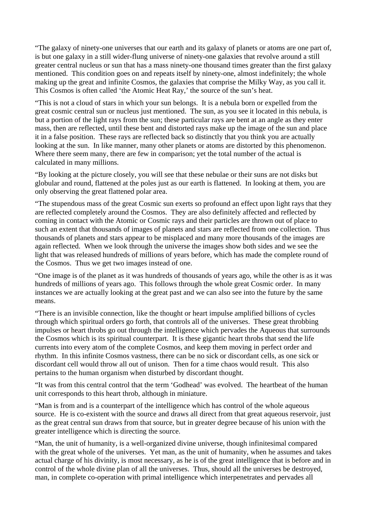"The galaxy of ninety-one universes that our earth and its galaxy of planets or atoms are one part of, is but one galaxy in a still wider-flung universe of ninety-one galaxies that revolve around a still greater central nucleus or sun that has a mass ninety-one thousand times greater than the first galaxy mentioned. This condition goes on and repeats itself by ninety-one, almost indefinitely; the whole making up the great and infinite Cosmos, the galaxies that comprise the Milky Way, as you call it. This Cosmos is often called 'the Atomic Heat Ray,' the source of the sun's heat.

"This is not a cloud of stars in which your sun belongs. It is a nebula born or expelled from the great cosmic central sun or nucleus just mentioned. The sun, as you see it located in this nebula, is but a portion of the light rays from the sun; these particular rays are bent at an angle as they enter mass, then are reflected, until these bent and distorted rays make up the image of the sun and place it in a false position. These rays are reflected back so distinctly that you think you are actually looking at the sun. In like manner, many other planets or atoms are distorted by this phenomenon. Where there seem many, there are few in comparison; yet the total number of the actual is calculated in many millions.

"By looking at the picture closely, you will see that these nebulae or their suns are not disks but globular and round, flattened at the poles just as our earth is flattened. In looking at them, you are only observing the great flattened polar area.

"The stupendous mass of the great Cosmic sun exerts so profound an effect upon light rays that they are reflected completely around the Cosmos. They are also definitely affected and reflected by coming in contact with the Atomic or Cosmic rays and their particles are thrown out of place to such an extent that thousands of images of planets and stars are reflected from one collection. Thus thousands of planets and stars appear to be misplaced and many more thousands of the images are again reflected. When we look through the universe the images show both sides and we see the light that was released hundreds of millions of years before, which has made the complete round of the Cosmos. Thus we get two images instead of one.

"One image is of the planet as it was hundreds of thousands of years ago, while the other is as it was hundreds of millions of years ago. This follows through the whole great Cosmic order. In many instances we are actually looking at the great past and we can also see into the future by the same means.

"There is an invisible connection, like the thought or heart impulse amplified billions of cycles through which spiritual orders go forth, that controls all of the universes. These great throbbing impulses or heart throbs go out through the intelligence which pervades the Aqueous that surrounds the Cosmos which is its spiritual counterpart. It is these gigantic heart throbs that send the life currents into every atom of the complete Cosmos, and keep them moving in perfect order and rhythm. In this infinite Cosmos vastness, there can be no sick or discordant cells, as one sick or discordant cell would throw all out of unison. Then for a time chaos would result. This also pertains to the human organism when disturbed by discordant thought.

"It was from this central control that the term 'Godhead' was evolved. The heartbeat of the human unit corresponds to this heart throb, although in miniature.

"Man is from and is a counterpart of the intelligence which has control of the whole aqueous source. He is co-existent with the source and draws all direct from that great aqueous reservoir, just as the great central sun draws from that source, but in greater degree because of his union with the greater intelligence which is directing the source.

"Man, the unit of humanity, is a well-organized divine universe, though infinitesimal compared with the great whole of the universes. Yet man, as the unit of humanity, when he assumes and takes actual charge of his divinity, is most necessary, as he is of the great intelligence that is before and in control of the whole divine plan of all the universes. Thus, should all the universes be destroyed, man, in complete co-operation with primal intelligence which interpenetrates and pervades all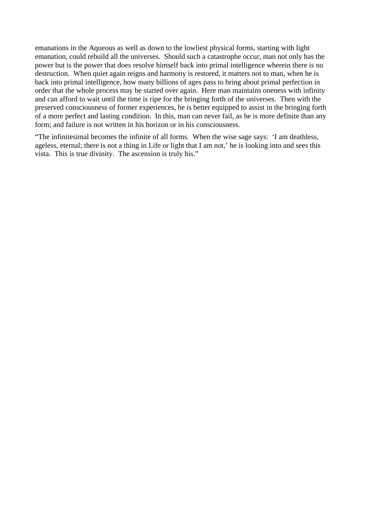emanations in the Aqueous as well as down to the lowliest physical forms, starting with light emanation, could rebuild all the universes. Should such a catastrophe occur, man not only has the power but is the power that does resolve himself back into primal intelligence wherein there is no destruction. When quiet again reigns and harmony is restored, it matters not to man, when he is back into primal intelligence, how many billions of ages pass to bring about primal perfection in order that the whole process may be started over again. Here man maintains oneness with infinity and can afford to wait until the time is ripe for the bringing forth of the universes. Then with the preserved consciousness of former experiences, he is better equipped to assist in the bringing forth of a more perfect and lasting condition. In this, man can never fail, as he is more definite than any form; and failure is not written in his horizon or in his consciousness.

"The infinitesimal becomes the infinite of all forms. When the wise sage says: 'I am deathless, ageless, eternal; there is not a thing in Life or light that I am not,' he is looking into and sees this vista. This is true divinity. The ascension is truly his."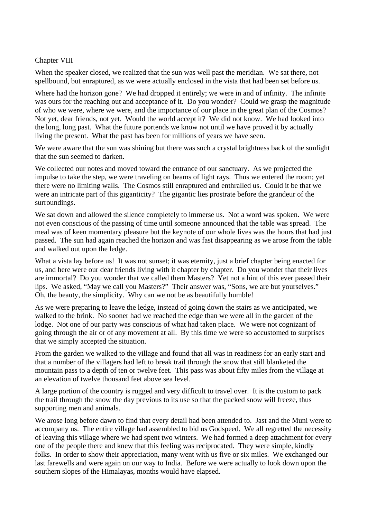## Chapter VIII

When the speaker closed, we realized that the sun was well past the meridian. We sat there, not spellbound, but enraptured, as we were actually enclosed in the vista that had been set before us.

Where had the horizon gone? We had dropped it entirely; we were in and of infinity. The infinite was ours for the reaching out and acceptance of it. Do you wonder? Could we grasp the magnitude of who we were, where we were, and the importance of our place in the great plan of the Cosmos? Not yet, dear friends, not yet. Would the world accept it? We did not know. We had looked into the long, long past. What the future portends we know not until we have proved it by actually living the present. What the past has been for millions of years we have seen.

We were aware that the sun was shining but there was such a crystal brightness back of the sunlight that the sun seemed to darken.

We collected our notes and moved toward the entrance of our sanctuary. As we projected the impulse to take the step, we were traveling on beams of light rays. Thus we entered the room; yet there were no limiting walls. The Cosmos still enraptured and enthralled us. Could it be that we were an intricate part of this giganticity? The gigantic lies prostrate before the grandeur of the surroundings.

We sat down and allowed the silence completely to immerse us. Not a word was spoken. We were not even conscious of the passing of time until someone announced that the table was spread. The meal was of keen momentary pleasure but the keynote of our whole lives was the hours that had just passed. The sun had again reached the horizon and was fast disappearing as we arose from the table and walked out upon the ledge.

What a vista lay before us! It was not sunset; it was eternity, just a brief chapter being enacted for us, and here were our dear friends living with it chapter by chapter. Do you wonder that their lives are immortal? Do you wonder that we called them Masters? Yet not a hint of this ever passed their lips. We asked, "May we call you Masters?" Their answer was, "Sons, we are but yourselves." Oh, the beauty, the simplicity. Why can we not be as beautifully humble!

As we were preparing to leave the ledge, instead of going down the stairs as we anticipated, we walked to the brink. No sooner had we reached the edge than we were all in the garden of the lodge. Not one of our party was conscious of what had taken place. We were not cognizant of going through the air or of any movement at all. By this time we were so accustomed to surprises that we simply accepted the situation.

From the garden we walked to the village and found that all was in readiness for an early start and that a number of the villagers had left to break trail through the snow that still blanketed the mountain pass to a depth of ten or twelve feet. This pass was about fifty miles from the village at an elevation of twelve thousand feet above sea level.

A large portion of the country is rugged and very difficult to travel over. It is the custom to pack the trail through the snow the day previous to its use so that the packed snow will freeze, thus supporting men and animals.

We arose long before dawn to find that every detail had been attended to. Jast and the Muni were to accompany us. The entire village had assembled to bid us Godspeed. We all regretted the necessity of leaving this village where we had spent two winters. We had formed a deep attachment for every one of the people there and knew that this feeling was reciprocated. They were simple, kindly folks. In order to show their appreciation, many went with us five or six miles. We exchanged our last farewells and were again on our way to India. Before we were actually to look down upon the southern slopes of the Himalayas, months would have elapsed.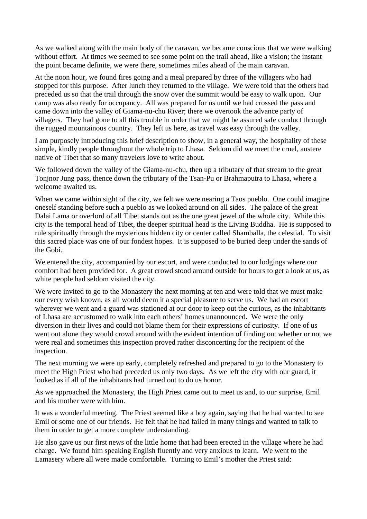As we walked along with the main body of the caravan, we became conscious that we were walking without effort. At times we seemed to see some point on the trail ahead, like a vision; the instant the point became definite, we were there, sometimes miles ahead of the main caravan.

At the noon hour, we found fires going and a meal prepared by three of the villagers who had stopped for this purpose. After lunch they returned to the village. We were told that the others had preceded us so that the trail through the snow over the summit would be easy to walk upon. Our camp was also ready for occupancy. All was prepared for us until we had crossed the pass and came down into the valley of Giama-nu-chu River; there we overtook the advance party of villagers. They had gone to all this trouble in order that we might be assured safe conduct through the rugged mountainous country. They left us here, as travel was easy through the valley.

I am purposely introducing this brief description to show, in a general way, the hospitality of these simple, kindly people throughout the whole trip to Lhasa. Seldom did we meet the cruel, austere native of Tibet that so many travelers love to write about.

We followed down the valley of the Giama-nu-chu, then up a tributary of that stream to the great Tonjnor Jung pass, thence down the tributary of the Tsan-Pu or Brahmaputra to Lhasa, where a welcome awaited us.

When we came within sight of the city, we felt we were nearing a Taos pueblo. One could imagine oneself standing before such a pueblo as we looked around on all sides. The palace of the great Dalai Lama or overlord of all Tibet stands out as the one great jewel of the whole city. While this city is the temporal head of Tibet, the deeper spiritual head is the Living Buddha. He is supposed to rule spiritually through the mysterious hidden city or center called Shamballa, the celestial. To visit this sacred place was one of our fondest hopes. It is supposed to be buried deep under the sands of the Gobi.

We entered the city, accompanied by our escort, and were conducted to our lodgings where our comfort had been provided for. A great crowd stood around outside for hours to get a look at us, as white people had seldom visited the city.

We were invited to go to the Monastery the next morning at ten and were told that we must make our every wish known, as all would deem it a special pleasure to serve us. We had an escort wherever we went and a guard was stationed at our door to keep out the curious, as the inhabitants of Lhasa are accustomed to walk into each others' homes unannounced. We were the only diversion in their lives and could not blame them for their expressions of curiosity. If one of us went out alone they would crowd around with the evident intention of finding out whether or not we were real and sometimes this inspection proved rather disconcerting for the recipient of the inspection.

The next morning we were up early, completely refreshed and prepared to go to the Monastery to meet the High Priest who had preceded us only two days. As we left the city with our guard, it looked as if all of the inhabitants had turned out to do us honor.

As we approached the Monastery, the High Priest came out to meet us and, to our surprise, Emil and his mother were with him.

It was a wonderful meeting. The Priest seemed like a boy again, saying that he had wanted to see Emil or some one of our friends. He felt that he had failed in many things and wanted to talk to them in order to get a more complete understanding.

He also gave us our first news of the little home that had been erected in the village where he had charge. We found him speaking English fluently and very anxious to learn. We went to the Lamasery where all were made comfortable. Turning to Emil's mother the Priest said: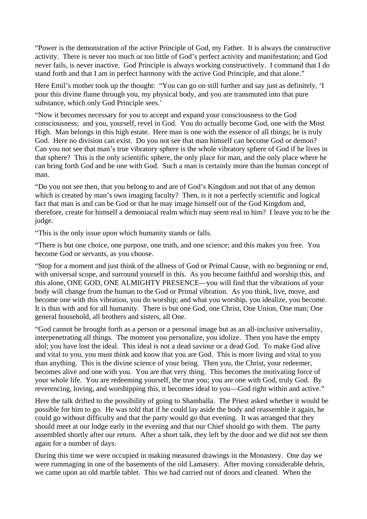"Power is the demonstration of the active Principle of God, my Father. It is always the constructive activity. There is never too much or too little of God's perfect activity and manifestation; and God never fails, is never inactive. God Principle is always working constructively. I command that I do stand forth and that I am in perfect harmony with the active God Principle, and that alone."

Here Emil's mother took up the thought: "You can go on still further and say just as definitely, 'I pour this divine flame through you, my physical body, and you are transmuted into that pure substance, which only God Principle sees.'

"Now it becomes necessary for you to accept and expand your consciousness to the God consciousness; and you, yourself, revel in God. You do actually become God, one with the Most High. Man belongs in this high estate. Here man is one with the essence of all things; he is truly God. Here no division can exist. Do you not see that man himself can become God or demon? Can you not see that man's true vibratory sphere is the whole vibratory sphere of God if he lives in that sphere? This is the only scientific sphere, the only place for man, and the only place where he can bring forth God and be one with God. Such a man is certainly more than the human concept of man.

"Do you not see then, that you belong to and are of God's Kingdom and not that of any demon which is created by man's own imaging faculty? Then, is it not a perfectly scientific and logical fact that man is and can be God or that he may image himself out of the God Kingdom and, therefore, create for himself a demoniacal realm which may seem real to him? I leave you to be the judge.

"This is the only issue upon which humanity stands or falls.

"There is but one choice, one purpose, one truth, and one science; and this makes you free. You become God or servants, as you choose.

"Stop for a moment and just think of the allness of God or Primal Cause, with no beginning or end, with universal scope, and surround yourself in this. As you become faithful and worship this, and this alone, ONE GOD, ONE ALMIGHTY PRESENCE—you will find that the vibrations of your body will change from the human to the God or Primal vibration. As you think, live, move, and become one with this vibration, you do worship; and what you worship, you idealize, you become. It is thus with and for all humanity. There is but one God, one Christ, One Union, One man; One general household, all brothers and sisters, all One.

"God cannot be brought forth as a person or a personal image but as an all-inclusive universality, interpenetrating all things. The moment you personalize, you idolize. Then you have the empty idol; you have lost the ideal. This ideal is not a dead saviour or a dead God. To make God alive and vital to you, you must think and know that you are God. This is more living and vital to you than anything. This is the divine science of your being. Then you, the Christ, your redeemer, becomes alive and one with you. You are that very thing. This becomes the motivating force of your whole life. You are redeeming yourself, the true you; you are one with God, truly God. By reverencing, loving, and worshipping this, it becomes ideal to you—God right within and active."

Here the talk drifted to the possibility of going to Shamballa. The Priest asked whether it would be possible for him to go. He was told that if he could lay aside the body and reassemble it again, he could go without difficulty and that the party would go that evening. It was arranged that they should meet at our lodge early in the evening and that our Chief should go with them. The party assembled shortly after our return. After a short talk, they left by the door and we did not see them again for a number of days.

During this time we were occupied in making measured drawings in the Monastery. One day we were rummaging in one of the basements of the old Lamasery. After moving considerable debris, we came upon an old marble tablet. This we had carried out of doors and cleaned. When the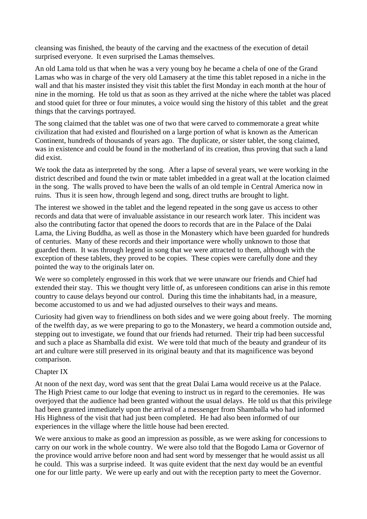cleansing was finished, the beauty of the carving and the exactness of the execution of detail surprised everyone. It even surprised the Lamas themselves.

An old Lama told us that when he was a very young boy he became a chela of one of the Grand Lamas who was in charge of the very old Lamasery at the time this tablet reposed in a niche in the wall and that his master insisted they visit this tablet the first Monday in each month at the hour of nine in the morning. He told us that as soon as they arrived at the niche where the tablet was placed and stood quiet for three or four minutes, a voice would sing the history of this tablet and the great things that the carvings portrayed.

The song claimed that the tablet was one of two that were carved to commemorate a great white civilization that had existed and flourished on a large portion of what is known as the American Continent, hundreds of thousands of years ago. The duplicate, or sister tablet, the song claimed, was in existence and could be found in the motherland of its creation, thus proving that such a land did exist.

We took the data as interpreted by the song. After a lapse of several years, we were working in the district described and found the twin or mate tablet imbedded in a great wall at the location claimed in the song. The walls proved to have been the walls of an old temple in Central America now in ruins. Thus it is seen how, through legend and song, direct truths are brought to light.

The interest we showed in the tablet and the legend repeated in the song gave us access to other records and data that were of invaluable assistance in our research work later. This incident was also the contributing factor that opened the doors to records that are in the Palace of the Dalai Lama, the Living Buddha, as well as those in the Monastery which have been guarded for hundreds of centuries. Many of these records and their importance were wholly unknown to those that guarded them. It was through legend in song that we were attracted to them, although with the exception of these tablets, they proved to be copies. These copies were carefully done and they pointed the way to the originals later on.

We were so completely engrossed in this work that we were unaware our friends and Chief had extended their stay. This we thought very little of, as unforeseen conditions can arise in this remote country to cause delays beyond our control. During this time the inhabitants had, in a measure, become accustomed to us and we had adjusted ourselves to their ways and means.

Curiosity had given way to friendliness on both sides and we were going about freely. The morning of the twelfth day, as we were preparing to go to the Monastery, we heard a commotion outside and, stepping out to investigate, we found that our friends had returned. Their trip had been successful and such a place as Shamballa did exist. We were told that much of the beauty and grandeur of its art and culture were still preserved in its original beauty and that its magnificence was beyond comparison.

### Chapter IX

At noon of the next day, word was sent that the great Dalai Lama would receive us at the Palace. The High Priest came to our lodge that evening to instruct us in regard to the ceremonies. He was overjoyed that the audience had been granted without the usual delays. He told us that this privilege had been granted immediately upon the arrival of a messenger from Shamballa who had informed His Highness of the visit that had just been completed. He had also been informed of our experiences in the village where the little house had been erected.

We were anxious to make as good an impression as possible, as we were asking for concessions to carry on our work in the whole country. We were also told that the Bogodo Lama or Governor of the province would arrive before noon and had sent word by messenger that he would assist us all he could. This was a surprise indeed. It was quite evident that the next day would be an eventful one for our little party. We were up early and out with the reception party to meet the Governor.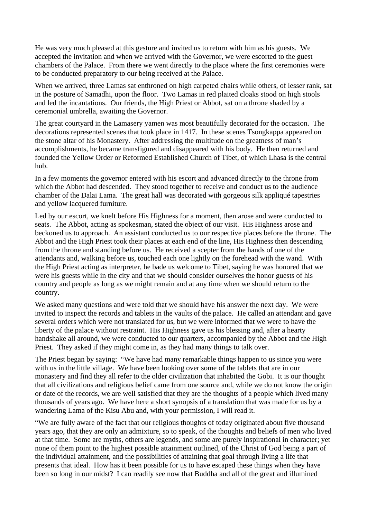He was very much pleased at this gesture and invited us to return with him as his guests. We accepted the invitation and when we arrived with the Governor, we were escorted to the guest chambers of the Palace. From there we went directly to the place where the first ceremonies were to be conducted preparatory to our being received at the Palace.

When we arrived, three Lamas sat enthroned on high carpeted chairs while others, of lesser rank, sat in the posture of Samadhi, upon the floor. Two Lamas in red plaited cloaks stood on high stools and led the incantations. Our friends, the High Priest or Abbot, sat on a throne shaded by a ceremonial umbrella, awaiting the Governor.

The great courtyard in the Lamasery yamen was most beautifully decorated for the occasion. The decorations represented scenes that took place in 1417. In these scenes Tsongkappa appeared on the stone altar of his Monastery. After addressing the multitude on the greatness of man's accomplishments, he became transfigured and disappeared with his body. He then returned and founded the Yellow Order or Reformed Established Church of Tibet, of which Lhasa is the central hub.

In a few moments the governor entered with his escort and advanced directly to the throne from which the Abbot had descended. They stood together to receive and conduct us to the audience chamber of the Dalai Lama. The great hall was decorated with gorgeous silk appliqué tapestries and yellow lacquered furniture.

Led by our escort, we knelt before His Highness for a moment, then arose and were conducted to seats. The Abbot, acting as spokesman, stated the object of our visit. His Highness arose and beckoned us to approach. An assistant conducted us to our respective places before the throne. The Abbot and the High Priest took their places at each end of the line, His Highness then descending from the throne and standing before us. He received a scepter from the hands of one of the attendants and, walking before us, touched each one lightly on the forehead with the wand. With the High Priest acting as interpreter, he bade us welcome to Tibet, saying he was honored that we were his guests while in the city and that we should consider ourselves the honor guests of his country and people as long as we might remain and at any time when we should return to the country.

We asked many questions and were told that we should have his answer the next day. We were invited to inspect the records and tablets in the vaults of the palace. He called an attendant and gave several orders which were not translated for us, but we were informed that we were to have the liberty of the palace without restraint. His Highness gave us his blessing and, after a hearty handshake all around, we were conducted to our quarters, accompanied by the Abbot and the High Priest. They asked if they might come in, as they had many things to talk over.

The Priest began by saying: "We have had many remarkable things happen to us since you were with us in the little village. We have been looking over some of the tablets that are in our monastery and find they all refer to the older civilization that inhabited the Gobi. It is our thought that all civilizations and religious belief came from one source and, while we do not know the origin or date of the records, we are well satisfied that they are the thoughts of a people which lived many thousands of years ago. We have here a short synopsis of a translation that was made for us by a wandering Lama of the Kisu Abu and, with your permission, I will read it.

"We are fully aware of the fact that our religious thoughts of today originated about five thousand years ago, that they are only an admixture, so to speak, of the thoughts and beliefs of men who lived at that time. Some are myths, others are legends, and some are purely inspirational in character; yet none of them point to the highest possible attainment outlined, of the Christ of God being a part of the individual attainment, and the possibilities of attaining that goal through living a life that presents that ideal. How has it been possible for us to have escaped these things when they have been so long in our midst? I can readily see now that Buddha and all of the great and illumined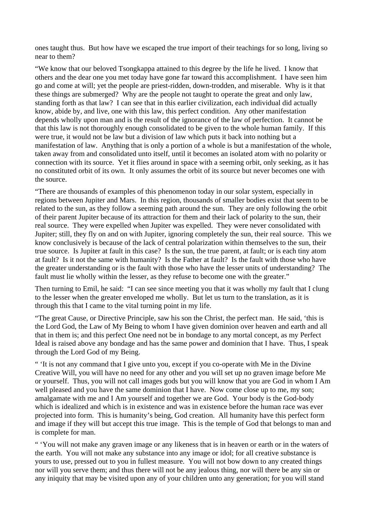ones taught thus. But how have we escaped the true import of their teachings for so long, living so near to them?

"We know that our beloved Tsongkappa attained to this degree by the life he lived. I know that others and the dear one you met today have gone far toward this accomplishment. I have seen him go and come at will; yet the people are priest-ridden, down-trodden, and miserable. Why is it that these things are submerged? Why are the people not taught to operate the great and only law, standing forth as that law? I can see that in this earlier civilization, each individual did actually know, abide by, and live, one with this law, this perfect condition. Any other manifestation depends wholly upon man and is the result of the ignorance of the law of perfection. It cannot be that this law is not thoroughly enough consolidated to be given to the whole human family. If this were true, it would not be law but a division of law which puts it back into nothing but a manifestation of law. Anything that is only a portion of a whole is but a manifestation of the whole, taken away from and consolidated unto itself, until it becomes an isolated atom with no polarity or connection with its source. Yet it flies around in space with a seeming orbit, only seeking, as it has no constituted orbit of its own. It only assumes the orbit of its source but never becomes one with the source.

"There are thousands of examples of this phenomenon today in our solar system, especially in regions between Jupiter and Mars. In this region, thousands of smaller bodies exist that seem to be related to the sun, as they follow a seeming path around the sun. They are only following the orbit of their parent Jupiter because of its attraction for them and their lack of polarity to the sun, their real source. They were expelled when Jupiter was expelled. They were never consolidated with Jupiter; still, they fly on and on with Jupiter, ignoring completely the sun, their real source. This we know conclusively is because of the lack of central polarization within themselves to the sun, their true source. Is Jupiter at fault in this case? Is the sun, the true parent, at fault; or is each tiny atom at fault? Is it not the same with humanity? Is the Father at fault? Is the fault with those who have the greater understanding or is the fault with those who have the lesser units of understanding? The fault must lie wholly within the lesser, as they refuse to become one with the greater."

Then turning to Emil, he said: "I can see since meeting you that it was wholly my fault that I clung to the lesser when the greater enveloped me wholly. But let us turn to the translation, as it is through this that I came to the vital turning point in my life.

"The great Cause, or Directive Principle, saw his son the Christ, the perfect man. He said, 'this is the Lord God, the Law of My Being to whom I have given dominion over heaven and earth and all that in them is; and this perfect One need not be in bondage to any mortal concept, as my Perfect Ideal is raised above any bondage and has the same power and dominion that I have. Thus, I speak through the Lord God of my Being.

" 'It is not any command that I give unto you, except if you co-operate with Me in the Divine Creative Will, you will have no need for any other and you will set up no graven image before Me or yourself. Thus, you will not call images gods but you will know that you are God in whom I Am well pleased and you have the same dominion that I have. Now come close up to me, my son; amalgamate with me and I Am yourself and together we are God. Your body is the God-body which is idealized and which is in existence and was in existence before the human race was ever projected into form. This is humanity's being, God creation. All humanity have this perfect form and image if they will but accept this true image. This is the temple of God that belongs to man and is complete for man.

" 'You will not make any graven image or any likeness that is in heaven or earth or in the waters of the earth. You will not make any substance into any image or idol; for all creative substance is yours to use, pressed out to you in fullest measure. You will not bow down to any created things nor will you serve them; and thus there will not be any jealous thing, nor will there be any sin or any iniquity that may be visited upon any of your children unto any generation; for you will stand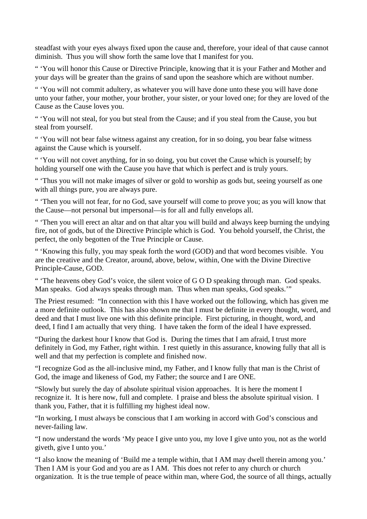steadfast with your eyes always fixed upon the cause and, therefore, your ideal of that cause cannot diminish. Thus you will show forth the same love that I manifest for you.

" 'You will honor this Cause or Directive Principle, knowing that it is your Father and Mother and your days will be greater than the grains of sand upon the seashore which are without number.

" 'You will not commit adultery, as whatever you will have done unto these you will have done unto your father, your mother, your brother, your sister, or your loved one; for they are loved of the Cause as the Cause loves you.

" 'You will not steal, for you but steal from the Cause; and if you steal from the Cause, you but steal from yourself.

" 'You will not bear false witness against any creation, for in so doing, you bear false witness against the Cause which is yourself.

" 'You will not covet anything, for in so doing, you but covet the Cause which is yourself; by holding yourself one with the Cause you have that which is perfect and is truly yours.

" 'Thus you will not make images of silver or gold to worship as gods but, seeing yourself as one with all things pure, you are always pure.

" 'Then you will not fear, for no God, save yourself will come to prove you; as you will know that the Cause—not personal but impersonal—is for all and fully envelops all.

" 'Then you will erect an altar and on that altar you will build and always keep burning the undying fire, not of gods, but of the Directive Principle which is God. You behold yourself, the Christ, the perfect, the only begotten of the True Principle or Cause.

" 'Knowing this fully, you may speak forth the word (GOD) and that word becomes visible. You are the creative and the Creator, around, above, below, within, One with the Divine Directive Principle-Cause, GOD.

" 'The heavens obey God's voice, the silent voice of G O D speaking through man. God speaks. Man speaks. God always speaks through man. Thus when man speaks, God speaks.'"

The Priest resumed: "In connection with this I have worked out the following, which has given me a more definite outlook. This has also shown me that I must be definite in every thought, word, and deed and that I must live one with this definite principle. First picturing, in thought, word, and deed, I find I am actually that very thing. I have taken the form of the ideal I have expressed.

"During the darkest hour I know that God is. During the times that I am afraid, I trust more definitely in God, my Father, right within. I rest quietly in this assurance, knowing fully that all is well and that my perfection is complete and finished now.

"I recognize God as the all-inclusive mind, my Father, and I know fully that man is the Christ of God, the image and likeness of God, my Father; the source and I are ONE.

"Slowly but surely the day of absolute spiritual vision approaches. It is here the moment I recognize it. It is here now, full and complete. I praise and bless the absolute spiritual vision. I thank you, Father, that it is fulfilling my highest ideal now.

"In working, I must always be conscious that I am working in accord with God's conscious and never-failing law.

"I now understand the words 'My peace I give unto you, my love I give unto you, not as the world giveth, give I unto you.'

"I also know the meaning of 'Build me a temple within, that I AM may dwell therein among you.' Then I AM is your God and you are as I AM. This does not refer to any church or church organization. It is the true temple of peace within man, where God, the source of all things, actually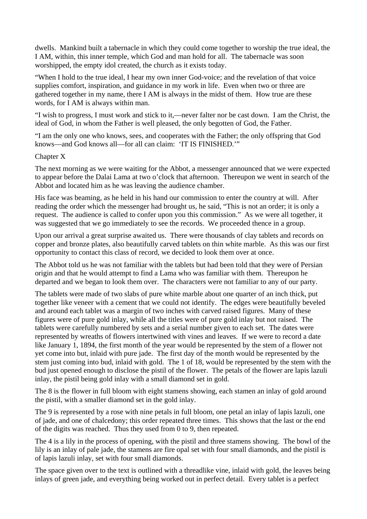dwells. Mankind built a tabernacle in which they could come together to worship the true ideal, the I AM, within, this inner temple, which God and man hold for all. The tabernacle was soon worshipped, the empty idol created, the church as it exists today.

"When I hold to the true ideal, I hear my own inner God-voice; and the revelation of that voice supplies comfort, inspiration, and guidance in my work in life. Even when two or three are gathered together in my name, there I AM is always in the midst of them. How true are these words, for I AM is always within man.

"I wish to progress, I must work and stick to it,—never falter nor be cast down. I am the Christ, the ideal of God, in whom the Father is well pleased, the only begotten of God, the Father.

"I am the only one who knows, sees, and cooperates with the Father; the only offspring that God knows—and God knows all—for all can claim: 'IT IS FINISHED.'"

## Chapter X

The next morning as we were waiting for the Abbot, a messenger announced that we were expected to appear before the Dalai Lama at two o'clock that afternoon. Thereupon we went in search of the Abbot and located him as he was leaving the audience chamber.

His face was beaming, as he held in his hand our commission to enter the country at will. After reading the order which the messenger had brought us, he said, "This is not an order; it is only a request. The audience is called to confer upon you this commission." As we were all together, it was suggested that we go immediately to see the records. We proceeded thence in a group.

Upon our arrival a great surprise awaited us. There were thousands of clay tablets and records on copper and bronze plates, also beautifully carved tablets on thin white marble. As this was our first opportunity to contact this class of record, we decided to look them over at once.

The Abbot told us he was not familiar with the tablets but had been told that they were of Persian origin and that he would attempt to find a Lama who was familiar with them. Thereupon he departed and we began to look them over. The characters were not familiar to any of our party.

The tablets were made of two slabs of pure white marble about one quarter of an inch thick, put together like veneer with a cement that we could not identify. The edges were beautifully beveled and around each tablet was a margin of two inches with carved raised figures. Many of these figures were of pure gold inlay, while all the titles were of pure gold inlay but not raised. The tablets were carefully numbered by sets and a serial number given to each set. The dates were represented by wreaths of flowers intertwined with vines and leaves. If we were to record a date like January 1, 1894, the first month of the year would be represented by the stem of a flower not yet come into but, inlaid with pure jade. The first day of the month would be represented by the stem just coming into bud, inlaid with gold. The 1 of 18, would be represented by the stem with the bud just opened enough to disclose the pistil of the flower. The petals of the flower are lapis lazuli inlay, the pistil being gold inlay with a small diamond set in gold.

The 8 is the flower in full bloom with eight stamens showing, each stamen an inlay of gold around the pistil, with a smaller diamond set in the gold inlay.

The 9 is represented by a rose with nine petals in full bloom, one petal an inlay of lapis lazuli, one of jade, and one of chalcedony; this order repeated three times. This shows that the last or the end of the digits was reached. Thus they used from 0 to 9, then repeated.

The 4 is a lily in the process of opening, with the pistil and three stamens showing. The bowl of the lily is an inlay of pale jade, the stamens are fire opal set with four small diamonds, and the pistil is of lapis lazuli inlay, set with four small diamonds.

The space given over to the text is outlined with a threadlike vine, inlaid with gold, the leaves being inlays of green jade, and everything being worked out in perfect detail. Every tablet is a perfect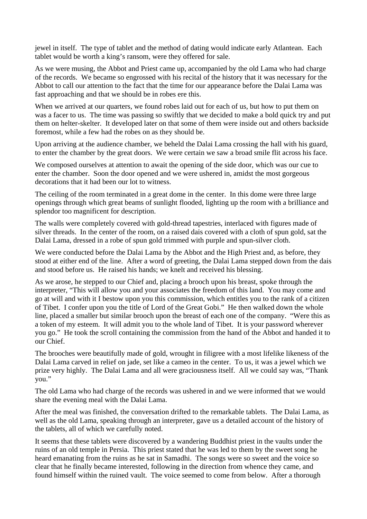jewel in itself. The type of tablet and the method of dating would indicate early Atlantean. Each tablet would be worth a king's ransom, were they offered for sale.

As we were musing, the Abbot and Priest came up, accompanied by the old Lama who had charge of the records. We became so engrossed with his recital of the history that it was necessary for the Abbot to call our attention to the fact that the time for our appearance before the Dalai Lama was fast approaching and that we should be in robes ere this.

When we arrived at our quarters, we found robes laid out for each of us, but how to put them on was a facer to us. The time was passing so swiftly that we decided to make a bold quick try and put them on helter-skelter. It developed later on that some of them were inside out and others backside foremost, while a few had the robes on as they should be.

Upon arriving at the audience chamber, we beheld the Dalai Lama crossing the hall with his guard, to enter the chamber by the great doors. We were certain we saw a broad smile flit across his face.

We composed ourselves at attention to await the opening of the side door, which was our cue to enter the chamber. Soon the door opened and we were ushered in, amidst the most gorgeous decorations that it had been our lot to witness.

The ceiling of the room terminated in a great dome in the center. In this dome were three large openings through which great beams of sunlight flooded, lighting up the room with a brilliance and splendor too magnificent for description.

The walls were completely covered with gold-thread tapestries, interlaced with figures made of silver threads. In the center of the room, on a raised dais covered with a cloth of spun gold, sat the Dalai Lama, dressed in a robe of spun gold trimmed with purple and spun-silver cloth.

We were conducted before the Dalai Lama by the Abbot and the High Priest and, as before, they stood at either end of the line. After a word of greeting, the Dalai Lama stepped down from the dais and stood before us. He raised his hands; we knelt and received his blessing.

As we arose, he stepped to our Chief and, placing a brooch upon his breast, spoke through the interpreter, "This will allow you and your associates the freedom of this land. You may come and go at will and with it I bestow upon you this commission, which entitles you to the rank of a citizen of Tibet. I confer upon you the title of Lord of the Great Gobi." He then walked down the whole line, placed a smaller but similar brooch upon the breast of each one of the company. "Were this as a token of my esteem. It will admit you to the whole land of Tibet. It is your password wherever you go." He took the scroll containing the commission from the hand of the Abbot and handed it to our Chief.

The brooches were beautifully made of gold, wrought in filigree with a most lifelike likeness of the Dalai Lama carved in relief on jade, set like a cameo in the center. To us, it was a jewel which we prize very highly. The Dalai Lama and all were graciousness itself. All we could say was, "Thank you."

The old Lama who had charge of the records was ushered in and we were informed that we would share the evening meal with the Dalai Lama.

After the meal was finished, the conversation drifted to the remarkable tablets. The Dalai Lama, as well as the old Lama, speaking through an interpreter, gave us a detailed account of the history of the tablets, all of which we carefully noted.

It seems that these tablets were discovered by a wandering Buddhist priest in the vaults under the ruins of an old temple in Persia. This priest stated that he was led to them by the sweet song he heard emanating from the ruins as he sat in Samadhi. The songs were so sweet and the voice so clear that he finally became interested, following in the direction from whence they came, and found himself within the ruined vault. The voice seemed to come from below. After a thorough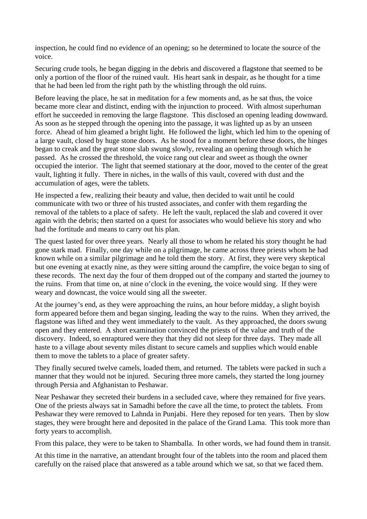inspection, he could find no evidence of an opening; so he determined to locate the source of the voice.

Securing crude tools, he began digging in the debris and discovered a flagstone that seemed to be only a portion of the floor of the ruined vault. His heart sank in despair, as he thought for a time that he had been led from the right path by the whistling through the old ruins.

Before leaving the place, he sat in meditation for a few moments and, as he sat thus, the voice became more clear and distinct, ending with the injunction to proceed. With almost superhuman effort he succeeded in removing the large flagstone. This disclosed an opening leading downward. As soon as he stepped through the opening into the passage, it was lighted up as by an unseen force. Ahead of him gleamed a bright light. He followed the light, which led him to the opening of a large vault, closed by huge stone doors. As he stood for a moment before these doors, the hinges began to creak and the great stone slab swung slowly, revealing an opening through which he passed. As he crossed the threshold, the voice rang out clear and sweet as though the owner occupied the interior. The light that seemed stationary at the door, moved to the center of the great vault, lighting it fully. There in niches, in the walls of this vault, covered with dust and the accumulation of ages, were the tablets.

He inspected a few, realizing their beauty and value, then decided to wait until he could communicate with two or three of his trusted associates, and confer with them regarding the removal of the tablets to a place of safety. He left the vault, replaced the slab and covered it over again with the debris; then started on a quest for associates who would believe his story and who had the fortitude and means to carry out his plan.

The quest lasted for over three years. Nearly all those to whom he related his story thought he had gone stark mad. Finally, one day while on a pilgrimage, he came across three priests whom he had known while on a similar pilgrimage and he told them the story. At first, they were very skeptical but one evening at exactly nine, as they were sitting around the campfire, the voice began to sing of these records. The next day the four of them dropped out of the company and started the journey to the ruins. From that time on, at nine o'clock in the evening, the voice would sing. If they were weary and downcast, the voice would sing all the sweeter.

At the journey's end, as they were approaching the ruins, an hour before midday, a slight boyish form appeared before them and began singing, leading the way to the ruins. When they arrived, the flagstone was lifted and they went immediately to the vault. As they approached, the doors swung open and they entered. A short examination convinced the priests of the value and truth of the discovery. Indeed, so enraptured were they that they did not sleep for three days. They made all haste to a village about seventy miles distant to secure camels and supplies which would enable them to move the tablets to a place of greater safety.

They finally secured twelve camels, loaded them, and returned. The tablets were packed in such a manner that they would not be injured. Securing three more camels, they started the long journey through Persia and Afghanistan to Peshawar.

Near Peshawar they secreted their burdens in a secluded cave, where they remained for five years. One of the priests always sat in Samadhi before the cave all the time, to protect the tablets. From Peshawar they were removed to Lahnda in Punjabi. Here they reposed for ten years. Then by slow stages, they were brought here and deposited in the palace of the Grand Lama. This took more than forty years to accomplish.

From this palace, they were to be taken to Shamballa. In other words, we had found them in transit.

At this time in the narrative, an attendant brought four of the tablets into the room and placed them carefully on the raised place that answered as a table around which we sat, so that we faced them.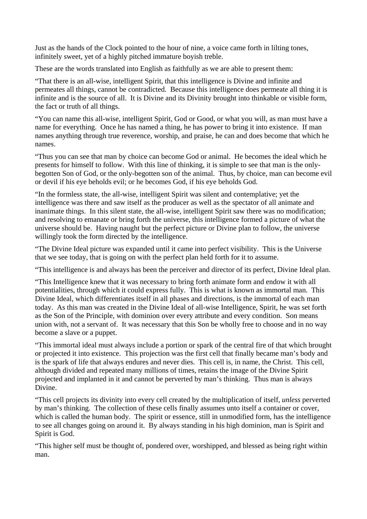Just as the hands of the Clock pointed to the hour of nine, a voice came forth in lilting tones, infinitely sweet, yet of a highly pitched immature boyish treble.

These are the words translated into English as faithfully as we are able to present them:

"That there is an all-wise, intelligent Spirit, that this intelligence is Divine and infinite and permeates all things, cannot be contradicted. Because this intelligence does permeate all thing it is infinite and is the source of all. It is Divine and its Divinity brought into thinkable or visible form, the fact or truth of all things.

"You can name this all-wise, intelligent Spirit, God or Good, or what you will, as man must have a name for everything. Once he has named a thing, he has power to bring it into existence. If man names anything through true reverence, worship, and praise, he can and does become that which he names.

"Thus you can see that man by choice can become God or animal. He becomes the ideal which he presents for himself to follow. With this line of thinking, it is simple to see that man is the onlybegotten Son of God, or the only-begotten son of the animal. Thus, by choice, man can become evil or devil if his eye beholds evil; or he becomes God, if his eye beholds God.

"In the formless state, the all-wise, intelligent Spirit was silent and contemplative; yet the intelligence was there and saw itself as the producer as well as the spectator of all animate and inanimate things. In this silent state, the all-wise, intelligent Spirit saw there was no modification; and resolving to emanate or bring forth the universe, this intelligence formed a picture of what the universe should be. Having naught but the perfect picture or Divine plan to follow, the universe willingly took the form directed by the intelligence.

"The Divine Ideal picture was expanded until it came into perfect visibility. This is the Universe that we see today, that is going on with the perfect plan held forth for it to assume.

"This intelligence is and always has been the perceiver and director of its perfect, Divine Ideal plan.

"This Intelligence knew that it was necessary to bring forth animate form and endow it with all potentialities, through which it could express fully. This is what is known as immortal man. This Divine Ideal, which differentiates itself in all phases and directions, is the immortal of each man today. As this man was created in the Divine Ideal of all-wise Intelligence, Spirit, he was set forth as the Son of the Principle, with dominion over every attribute and every condition. Son means union with, not a servant of. It was necessary that this Son be wholly free to choose and in no way become a slave or a puppet.

"This immortal ideal must always include a portion or spark of the central fire of that which brought or projected it into existence. This projection was the first cell that finally became man's body and is the spark of life that always endures and never dies. This cell is, in name, the Christ. This cell, although divided and repeated many millions of times, retains the image of the Divine Spirit projected and implanted in it and cannot be perverted by man's thinking. Thus man is always Divine.

"This cell projects its divinity into every cell created by the multiplication of itself, *unless* perverted by man's thinking. The collection of these cells finally assumes unto itself a container or cover, which is called the human body. The spirit or essence, still in unmodified form, has the intelligence to see all changes going on around it. By always standing in his high dominion, man is Spirit and Spirit is God.

"This higher self must be thought of, pondered over, worshipped, and blessed as being right within man.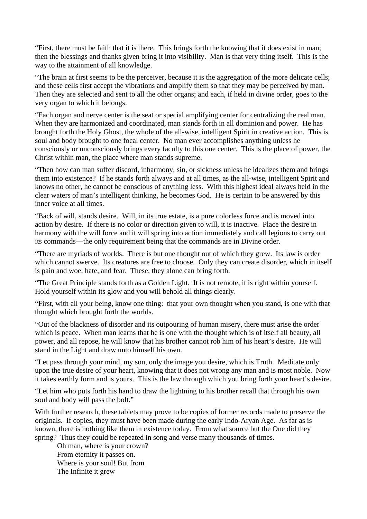"First, there must be faith that it is there. This brings forth the knowing that it does exist in man; then the blessings and thanks given bring it into visibility. Man is that very thing itself. This is the way to the attainment of all knowledge.

"The brain at first seems to be the perceiver, because it is the aggregation of the more delicate cells; and these cells first accept the vibrations and amplify them so that they may be perceived by man. Then they are selected and sent to all the other organs; and each, if held in divine order, goes to the very organ to which it belongs.

"Each organ and nerve center is the seat or special amplifying center for centralizing the real man. When they are harmonized and coordinated, man stands forth in all dominion and power. He has brought forth the Holy Ghost, the whole of the all-wise, intelligent Spirit in creative action. This is soul and body brought to one focal center. No man ever accomplishes anything unless he consciously or unconsciously brings every faculty to this one center. This is the place of power, the Christ within man, the place where man stands supreme.

"Then how can man suffer discord, inharmony, sin, or sickness unless he idealizes them and brings them into existence? If he stands forth always and at all times, as the all-wise, intelligent Spirit and knows no other, he cannot be conscious of anything less. With this highest ideal always held in the clear waters of man's intelligent thinking, he becomes God. He is certain to be answered by this inner voice at all times.

"Back of will, stands desire. Will, in its true estate, is a pure colorless force and is moved into action by desire. If there is no color or direction given to will, it is inactive. Place the desire in harmony with the will force and it will spring into action immediately and call legions to carry out its commands—the only requirement being that the commands are in Divine order.

"There are myriads of worlds. There is but one thought out of which they grew. Its law is order which cannot swerve. Its creatures are free to choose. Only they can create disorder, which in itself is pain and woe, hate, and fear. These, they alone can bring forth.

"The Great Principle stands forth as a Golden Light. It is not remote, it is right within yourself. Hold yourself within its glow and you will behold all things clearly.

"First, with all your being, know one thing: that your own thought when you stand, is one with that thought which brought forth the worlds.

"Out of the blackness of disorder and its outpouring of human misery, there must arise the order which is peace. When man learns that he is one with the thought which is of itself all beauty, all power, and all repose, he will know that his brother cannot rob him of his heart's desire. He will stand in the Light and draw unto himself his own.

"Let pass through your mind, my son, only the image you desire, which is Truth. Meditate only upon the true desire of your heart, knowing that it does not wrong any man and is most noble. Now it takes earthly form and is yours. This is the law through which you bring forth your heart's desire.

"Let him who puts forth his hand to draw the lightning to his brother recall that through his own soul and body will pass the bolt."

With further research, these tablets may prove to be copies of former records made to preserve the originals. If copies, they must have been made during the early Indo-Aryan Age. As far as is known, there is nothing like them in existence today. From what source but the One did they spring? Thus they could be repeated in song and verse many thousands of times.

 Oh man, where is your crown? From eternity it passes on. Where is your soul! But from The Infinite it grew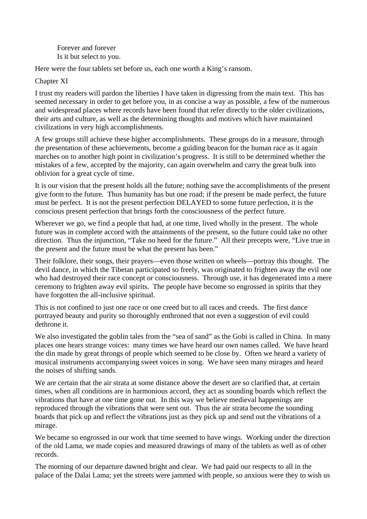Forever and forever Is it but select to you.

Here were the four tablets set before us, each one worth a King's ransom.

# Chapter XI

I trust my readers will pardon the liberties I have taken in digressing from the main text. This has seemed necessary in order to get before you, in as concise a way as possible, a few of the numerous and widespread places where records have been found that refer directly to the older civilizations, their arts and culture, as well as the determining thoughts and motives which have maintained civilizations in very high accomplishments.

A few groups still achieve these higher accomplishments. These groups do in a measure, through the presentation of these achievements, become a guiding beacon for the human race as it again marches on to another high point in civilization's progress. It is still to be determined whether the mistakes of a few, accepted by the majority, can again overwhelm and carry the great bulk into oblivion for a great cycle of time.

It is our vision that the present holds all the future; nothing save the accomplishments of the present give form to the future. Thus humanity has but one road; if the present be made perfect, the future must be perfect. It is not the present perfection DELAYED to some future perfection, it is the conscious present perfection that brings forth the consciousness of the perfect future.

Wherever we go, we find a people that had, at one time, lived wholly in the present. The whole future was in complete accord with the attainments of the present, so the future could take no other direction. Thus the injunction, "Take no heed for the future." All their precepts were, "Live true in the present and the future must be what the present has been."

Their folklore, their songs, their prayers—even those written on wheels—portray this thought. The devil dance, in which the Tibetan participated so freely, was originated to frighten away the evil one who had destroyed their race concept or consciousness. Through use, it has degenerated into a mere ceremony to frighten away evil spirits. The people have become so engrossed in spirits that they have forgotten the all-inclusive spiritual.

This is not confined to just one race or one creed but to all races and creeds. The first dance portrayed beauty and purity so thoroughly enthroned that not even a suggestion of evil could dethrone it.

We also investigated the goblin tales from the "sea of sand" as the Gobi is called in China. In many places one hears strange voices: many times we have heard our own names called. We have heard the din made by great throngs of people which seemed to be close by. Often we heard a variety of musical instruments accompanying sweet voices in song. We have seen many mirages and heard the noises of shifting sands.

We are certain that the air strata at some distance above the desert are so clarified that, at certain times, when all conditions are in harmonious accord, they act as sounding boards which reflect the vibrations that have at one time gone out. In this way we believe medieval happenings are reproduced through the vibrations that were sent out. Thus the air strata become the sounding boards that pick up and reflect the vibrations just as they pick up and send out the vibrations of a mirage.

We became so engrossed in our work that time seemed to have wings. Working under the direction of the old Lama, we made copies and measured drawings of many of the tablets as well as of other records.

The morning of our departure dawned bright and clear. We had paid our respects to all in the palace of the Dalai Lama; yet the streets were jammed with people, so anxious were they to wish us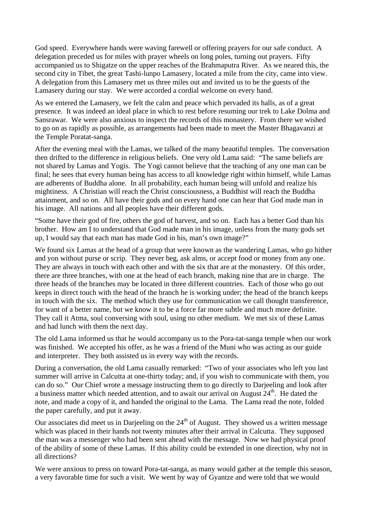God speed. Everywhere hands were waving farewell or offering prayers for our safe conduct. A delegation preceded us for miles with prayer wheels on long poles, turning out prayers. Fifty accompanied us to Shigatze on the upper reaches of the Brahmaputra River. As we neared this, the second city in Tibet, the great Tashi-lunpo Lamasery, located a mile from the city, came into view. A delegation from this Lamasery met us three miles out and invited us to be the guests of the Lamasery during our stay. We were accorded a cordial welcome on every hand.

As we entered the Lamasery, we felt the calm and peace which pervaded its halls, as of a great presence. It was indeed an ideal place in which to rest before resuming our trek to Lake Dolma and Sansrawar. We were also anxious to inspect the records of this monastery. From there we wished to go on as rapidly as possible, as arrangements had been made to meet the Master Bhagavanzi at the Temple Poratat-sanga.

After the evening meal with the Lamas, we talked of the many beautiful temples. The conversation then drifted to the difference in religious beliefs. One very old Lama said: "The same beliefs are not shared by Lamas and Yogis. The Yogi cannot believe that the teaching of any one man can be final; he sees that every human being has access to all knowledge right within himself, while Lamas are adherents of Buddha alone. In all probability, each human being will unfold and realize his mightiness. A Christian will reach the Christ consciousness, a Buddhist will reach the Buddha attainment, and so on. All have their gods and on every hand one can hear that God made man in his image. All nations and all peoples have their different gods.

"Some have their god of fire, others the god of harvest, and so on. Each has a better God than his brother. How am I to understand that God made man in his image, unless from the many gods set up, I would say that each man has made God in his, man's own image?"

We found six Lamas at the head of a group that were known as the wandering Lamas, who go hither and yon without purse or scrip. They never beg, ask alms, or accept food or money from any one. They are always in touch with each other and with the six that are at the monastery. Of this order, there are three branches, with one at the head of each branch, making nine that are in charge. The three heads of the branches may be located in three different countries. Each of those who go out keeps in direct touch with the head of the branch he is working under; the head of the branch keeps in touch with the six. The method which they use for communication we call thought transference, for want of a better name, but we know it to be a force far more subtle and much more definite. They call it Atma, soul conversing with soul, using no other medium. We met six of these Lamas and had lunch with them the next day.

The old Lama informed us that he would accompany us to the Pora-tat-sanga temple when our work was finished. We accepted his offer, as he was a friend of the Muni who was acting as our guide and interpreter. They both assisted us in every way with the records.

During a conversation, the old Lama casually remarked: "Two of your associates who left you last summer will arrive in Calcutta at one-thirty today; and, if you wish to communicate with them, you can do so." Our Chief wrote a message instructing them to go directly to Darjeeling and look after a business matter which needed attention, and to await our arrival on August 24<sup>th</sup>. He dated the note, and made a copy of it, and handed the original to the Lama. The Lama read the note, folded the paper carefully, and put it away.

Our associates did meet us in Darjeeling on the  $24<sup>th</sup>$  of August. They showed us a written message which was placed in their hands not twenty minutes after their arrival in Calcutta. They supposed the man was a messenger who had been sent ahead with the message. Now we had physical proof of the ability of some of these Lamas. If this ability could be extended in one direction, why not in all directions?

We were anxious to press on toward Pora-tat-sanga, as many would gather at the temple this season, a very favorable time for such a visit. We went by way of Gyantze and were told that we would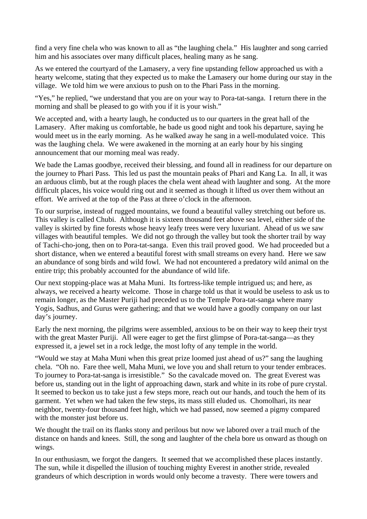find a very fine chela who was known to all as "the laughing chela." His laughter and song carried him and his associates over many difficult places, healing many as he sang.

As we entered the courtyard of the Lamasery, a very fine upstanding fellow approached us with a hearty welcome, stating that they expected us to make the Lamasery our home during our stay in the village. We told him we were anxious to push on to the Phari Pass in the morning.

"Yes," he replied, "we understand that you are on your way to Pora-tat-sanga. I return there in the morning and shall be pleased to go with you if it is your wish."

We accepted and, with a hearty laugh, he conducted us to our quarters in the great hall of the Lamasery. After making us comfortable, he bade us good night and took his departure, saying he would meet us in the early morning. As he walked away he sang in a well-modulated voice. This was the laughing chela. We were awakened in the morning at an early hour by his singing announcement that our morning meal was ready.

We bade the Lamas goodbye, received their blessing, and found all in readiness for our departure on the journey to Phari Pass. This led us past the mountain peaks of Phari and Kang La. In all, it was an arduous climb, but at the rough places the chela went ahead with laughter and song. At the more difficult places, his voice would ring out and it seemed as though it lifted us over them without an effort. We arrived at the top of the Pass at three o'clock in the afternoon.

To our surprise, instead of rugged mountains, we found a beautiful valley stretching out before us. This valley is called Chubi. Although it is sixteen thousand feet above sea level, either side of the valley is skirted by fine forests whose heavy leafy trees were very luxuriant. Ahead of us we saw villages with beautiful temples. We did not go through the valley but took the shorter trail by way of Tachi-cho-jong, then on to Pora-tat-sanga. Even this trail proved good. We had proceeded but a short distance, when we entered a beautiful forest with small streams on every hand. Here we saw an abundance of song birds and wild fowl. We had not encountered a predatory wild animal on the entire trip; this probably accounted for the abundance of wild life.

Our next stopping-place was at Maha Muni. Its fortress-like temple intrigued us; and here, as always, we received a hearty welcome. Those in charge told us that it would be useless to ask us to remain longer, as the Master Puriji had preceded us to the Temple Pora-tat-sanga where many Yogis, Sadhus, and Gurus were gathering; and that we would have a goodly company on our last day's journey.

Early the next morning, the pilgrims were assembled, anxious to be on their way to keep their tryst with the great Master Puriji. All were eager to get the first glimpse of Pora-tat-sanga—as they expressed it, a jewel set in a rock ledge, the most lofty of any temple in the world.

"Would we stay at Maha Muni when this great prize loomed just ahead of us?" sang the laughing chela. "Oh no. Fare thee well, Maha Muni, we love you and shall return to your tender embraces. To journey to Pora-tat-sanga is irresistible." So the cavalcade moved on. The great Everest was before us, standing out in the light of approaching dawn, stark and white in its robe of pure crystal. It seemed to beckon us to take just a few steps more, reach out our hands, and touch the hem of its garment. Yet when we had taken the few steps, its mass still eluded us. Chomolhari, its near neighbor, twenty-four thousand feet high, which we had passed, now seemed a pigmy compared with the monster just before us.

We thought the trail on its flanks stony and perilous but now we labored over a trail much of the distance on hands and knees. Still, the song and laughter of the chela bore us onward as though on wings.

In our enthusiasm, we forgot the dangers. It seemed that we accomplished these places instantly. The sun, while it dispelled the illusion of touching mighty Everest in another stride, revealed grandeurs of which description in words would only become a travesty. There were towers and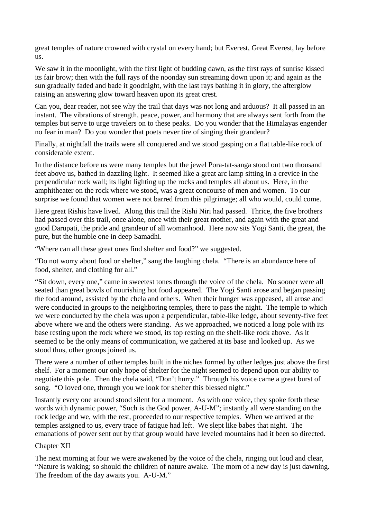great temples of nature crowned with crystal on every hand; but Everest, Great Everest, lay before us.

We saw it in the moonlight, with the first light of budding dawn, as the first rays of sunrise kissed its fair brow; then with the full rays of the noonday sun streaming down upon it; and again as the sun gradually faded and bade it goodnight, with the last rays bathing it in glory, the afterglow raising an answering glow toward heaven upon its great crest.

Can you, dear reader, not see why the trail that days was not long and arduous? It all passed in an instant. The vibrations of strength, peace, power, and harmony that are always sent forth from the temples but serve to urge travelers on to these peaks. Do you wonder that the Himalayas engender no fear in man? Do you wonder that poets never tire of singing their grandeur?

Finally, at nightfall the trails were all conquered and we stood gasping on a flat table-like rock of considerable extent.

In the distance before us were many temples but the jewel Pora-tat-sanga stood out two thousand feet above us, bathed in dazzling light. It seemed like a great arc lamp sitting in a crevice in the perpendicular rock wall; its light lighting up the rocks and temples all about us. Here, in the amphitheater on the rock where we stood, was a great concourse of men and women. To our surprise we found that women were not barred from this pilgrimage; all who would, could come.

Here great Rishis have lived. Along this trail the Rishi Niri had passed. Thrice, the five brothers had passed over this trail, once alone, once with their great mother, and again with the great and good Darupati, the pride and grandeur of all womanhood. Here now sits Yogi Santi, the great, the pure, but the humble one in deep Samadhi.

"Where can all these great ones find shelter and food?" we suggested.

"Do not worry about food or shelter," sang the laughing chela. "There is an abundance here of food, shelter, and clothing for all."

"Sit down, every one," came in sweetest tones through the voice of the chela. No sooner were all seated than great bowls of nourishing hot food appeared. The Yogi Santi arose and began passing the food around, assisted by the chela and others. When their hunger was appeased, all arose and were conducted in groups to the neighboring temples, there to pass the night. The temple to which we were conducted by the chela was upon a perpendicular, table-like ledge, about seventy-five feet above where we and the others were standing. As we approached, we noticed a long pole with its base resting upon the rock where we stood, its top resting on the shelf-like rock above. As it seemed to be the only means of communication, we gathered at its base and looked up. As we stood thus, other groups joined us.

There were a number of other temples built in the niches formed by other ledges just above the first shelf. For a moment our only hope of shelter for the night seemed to depend upon our ability to negotiate this pole. Then the chela said, "Don't hurry." Through his voice came a great burst of song. "O loved one, through you we look for shelter this blessed night."

Instantly every one around stood silent for a moment. As with one voice, they spoke forth these words with dynamic power, "Such is the God power, A-U-M"; instantly all were standing on the rock ledge and we, with the rest, proceeded to our respective temples. When we arrived at the temples assigned to us, every trace of fatigue had left. We slept like babes that night. The emanations of power sent out by that group would have leveled mountains had it been so directed.

### Chapter XII

The next morning at four we were awakened by the voice of the chela, ringing out loud and clear, "Nature is waking; so should the children of nature awake. The morn of a new day is just dawning. The freedom of the day awaits you. A-U-M."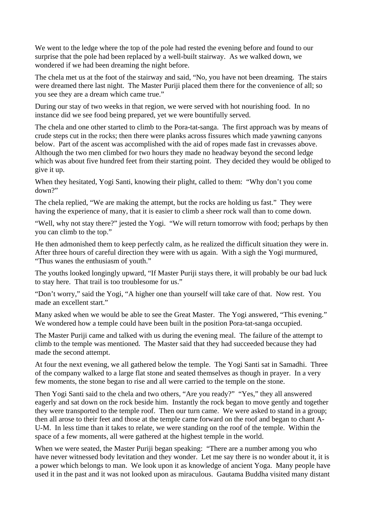We went to the ledge where the top of the pole had rested the evening before and found to our surprise that the pole had been replaced by a well-built stairway. As we walked down, we wondered if we had been dreaming the night before.

The chela met us at the foot of the stairway and said, "No, you have not been dreaming. The stairs were dreamed there last night. The Master Puriji placed them there for the convenience of all; so you see they are a dream which came true."

During our stay of two weeks in that region, we were served with hot nourishing food. In no instance did we see food being prepared, yet we were bountifully served.

The chela and one other started to climb to the Pora-tat-sanga. The first approach was by means of crude steps cut in the rocks; then there were planks across fissures which made yawning canyons below. Part of the ascent was accomplished with the aid of ropes made fast in crevasses above. Although the two men climbed for two hours they made no headway beyond the second ledge which was about five hundred feet from their starting point. They decided they would be obliged to give it up.

When they hesitated, Yogi Santi, knowing their plight, called to them: "Why don't you come down?"

The chela replied, "We are making the attempt, but the rocks are holding us fast." They were having the experience of many, that it is easier to climb a sheer rock wall than to come down.

"Well, why not stay there?" jested the Yogi. "We will return tomorrow with food; perhaps by then you can climb to the top."

He then admonished them to keep perfectly calm, as he realized the difficult situation they were in. After three hours of careful direction they were with us again. With a sigh the Yogi murmured, "Thus wanes the enthusiasm of youth."

The youths looked longingly upward, "If Master Puriji stays there, it will probably be our bad luck to stay here. That trail is too troublesome for us."

"Don't worry," said the Yogi, "A higher one than yourself will take care of that. Now rest. You made an excellent start."

Many asked when we would be able to see the Great Master. The Yogi answered, "This evening." We wondered how a temple could have been built in the position Pora-tat-sanga occupied.

The Master Puriji came and talked with us during the evening meal. The failure of the attempt to climb to the temple was mentioned. The Master said that they had succeeded because they had made the second attempt.

At four the next evening, we all gathered below the temple. The Yogi Santi sat in Samadhi. Three of the company walked to a large flat stone and seated themselves as though in prayer. In a very few moments, the stone began to rise and all were carried to the temple on the stone.

Then Yogi Santi said to the chela and two others, "Are you ready?" "Yes," they all answered eagerly and sat down on the rock beside him. Instantly the rock began to move gently and together they were transported to the temple roof. Then our turn came. We were asked to stand in a group; then all arose to their feet and those at the temple came forward on the roof and began to chant A-U-M. In less time than it takes to relate, we were standing on the roof of the temple. Within the space of a few moments, all were gathered at the highest temple in the world.

When we were seated, the Master Puriji began speaking: "There are a number among you who have never witnessed body levitation and they wonder. Let me say there is no wonder about it, it is a power which belongs to man. We look upon it as knowledge of ancient Yoga. Many people have used it in the past and it was not looked upon as miraculous. Gautama Buddha visited many distant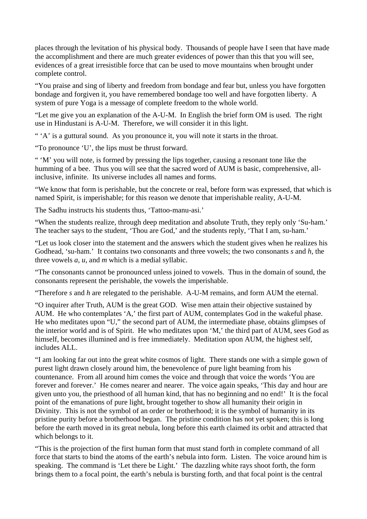places through the levitation of his physical body. Thousands of people have I seen that have made the accomplishment and there are much greater evidences of power than this that you will see, evidences of a great irresistible force that can be used to move mountains when brought under complete control.

"You praise and sing of liberty and freedom from bondage and fear but, unless you have forgotten bondage and forgiven it, you have remembered bondage too well and have forgotten liberty. A system of pure Yoga is a message of complete freedom to the whole world.

"Let me give you an explanation of the A-U-M. In English the brief form OM is used. The right use in Hindustani is A-U-M. Therefore, we will consider it in this light.

" 'A' is a guttural sound. As you pronounce it, you will note it starts in the throat.

"To pronounce 'U', the lips must be thrust forward.

" 'M' you will note, is formed by pressing the lips together, causing a resonant tone like the humming of a bee. Thus you will see that the sacred word of AUM is basic, comprehensive, allinclusive, infinite. Its universe includes all names and forms.

"We know that form is perishable, but the concrete or real, before form was expressed, that which is named Spirit, is imperishable; for this reason we denote that imperishable reality, A-U-M.

The Sadhu instructs his students thus, 'Tattoo-manu-asi.'

"When the students realize, through deep meditation and absolute Truth, they reply only 'Su-ham.' The teacher says to the student, 'Thou are God,' and the students reply, 'That I am, su-ham.'

"Let us look closer into the statement and the answers which the student gives when he realizes his Godhead, 'su-ham.' It contains two consonants and three vowels; the two consonants *s* and *h*, the three vowels *a*, *u*, and *m* which is a medial syllabic.

"The consonants cannot be pronounced unless joined to vowels. Thus in the domain of sound, the consonants represent the perishable, the vowels the imperishable.

"Therefore *s* and *h* are relegated to the perishable. A-U-M remains, and form AUM the eternal.

"O inquirer after Truth, AUM is the great GOD. Wise men attain their objective sustained by AUM. He who contemplates 'A,' the first part of AUM, contemplates God in the wakeful phase. He who meditates upon "U," the second part of AUM, the intermediate phase, obtains glimpses of the interior world and is of Spirit. He who meditates upon 'M,' the third part of AUM, sees God as himself, becomes illumined and is free immediately. Meditation upon AUM, the highest self, includes ALL.

"I am looking far out into the great white cosmos of light. There stands one with a simple gown of purest light drawn closely around him, the benevolence of pure light beaming from his countenance. From all around him comes the voice and through that voice the words 'You are forever and forever.' He comes nearer and nearer. The voice again speaks, 'This day and hour are given unto you, the priesthood of all human kind, that has no beginning and no end!' It is the focal point of the emanations of pure light, brought together to show all humanity their origin in Divinity. This is not the symbol of an order or brotherhood; it is the symbol of humanity in its pristine purity before a brotherhood began. The pristine condition has not yet spoken; this is long before the earth moved in its great nebula, long before this earth claimed its orbit and attracted that which belongs to it.

"This is the projection of the first human form that must stand forth in complete command of all force that starts to bind the atoms of the earth's nebula into form. Listen. The voice around him is speaking. The command is 'Let there be Light.' The dazzling white rays shoot forth, the form brings them to a focal point, the earth's nebula is bursting forth, and that focal point is the central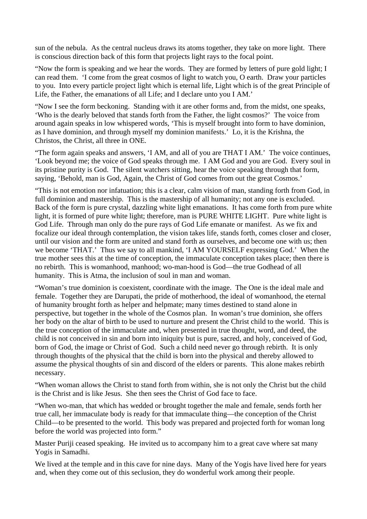sun of the nebula. As the central nucleus draws its atoms together, they take on more light. There is conscious direction back of this form that projects light rays to the focal point.

"Now the form is speaking and we hear the words. They are formed by letters of pure gold light; I can read them. 'I come from the great cosmos of light to watch you, O earth. Draw your particles to you. Into every particle project light which is eternal life, Light which is of the great Principle of Life, the Father, the emanations of all Life; and I declare unto you I AM.'

"Now I see the form beckoning. Standing with it are other forms and, from the midst, one speaks, 'Who is the dearly beloved that stands forth from the Father, the light cosmos?' The voice from around again speaks in low whispered words, 'This is myself brought into form to have dominion, as I have dominion, and through myself my dominion manifests.' Lo, it is the Krishna, the Christos, the Christ, all three in ONE.

"The form again speaks and answers, 'I AM, and all of you are THAT I AM.' The voice continues, 'Look beyond me; the voice of God speaks through me. I AM God and you are God. Every soul in its pristine purity is God. The silent watchers sitting, hear the voice speaking through that form, saying, 'Behold, man is God, Again, the Christ of God comes from out the great Cosmos.'

"This is not emotion nor infatuation; this is a clear, calm vision of man, standing forth from God, in full dominion and mastership. This is the mastership of all humanity; not any one is excluded. Back of the form is pure crystal, dazzling white light emanations. It has come forth from pure white light, it is formed of pure white light; therefore, man is PURE WHITE LIGHT. Pure white light is God Life. Through man only do the pure rays of God Life emanate or manifest. As we fix and focalize our ideal through contemplation, the vision takes life, stands forth, comes closer and closer, until our vision and the form are united and stand forth as ourselves, and become one with us; then we become 'THAT.' Thus we say to all mankind, 'I AM YOURSELF expressing God.' When the true mother sees this at the time of conception, the immaculate conception takes place; then there is no rebirth. This is womanhood, manhood; wo-man-hood is God—the true Godhead of all humanity. This is Atma, the inclusion of soul in man and woman.

"Woman's true dominion is coexistent, coordinate with the image. The One is the ideal male and female. Together they are Darupati, the pride of motherhood, the ideal of womanhood, the eternal of humanity brought forth as helper and helpmate; many times destined to stand alone in perspective, but together in the whole of the Cosmos plan. In woman's true dominion, she offers her body on the altar of birth to be used to nurture and present the Christ child to the world. This is the true conception of the immaculate and, when presented in true thought, word, and deed, the child is not conceived in sin and born into iniquity but is pure, sacred, and holy, conceived of God, born of God, the image or Christ of God. Such a child need never go through rebirth. It is only through thoughts of the physical that the child is born into the physical and thereby allowed to assume the physical thoughts of sin and discord of the elders or parents. This alone makes rebirth necessary.

"When woman allows the Christ to stand forth from within, she is not only the Christ but the child is the Christ and is like Jesus. She then sees the Christ of God face to face.

"When wo-man, that which has wedded or brought together the male and female, sends forth her true call, her immaculate body is ready for that immaculate thing—the conception of the Christ Child—to be presented to the world. This body was prepared and projected forth for woman long before the world was projected into form."

Master Puriji ceased speaking. He invited us to accompany him to a great cave where sat many Yogis in Samadhi.

We lived at the temple and in this cave for nine days. Many of the Yogis have lived here for years and, when they come out of this seclusion, they do wonderful work among their people.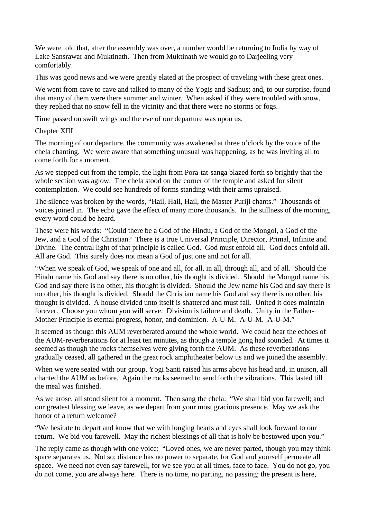We were told that, after the assembly was over, a number would be returning to India by way of Lake Sansrawar and Muktinath. Then from Muktinath we would go to Darjeeling very comfortably.

This was good news and we were greatly elated at the prospect of traveling with these great ones.

We went from cave to cave and talked to many of the Yogis and Sadhus; and, to our surprise, found that many of them were there summer and winter. When asked if they were troubled with snow, they replied that no snow fell in the vicinity and that there were no storms or fogs.

Time passed on swift wings and the eve of our departure was upon us.

### Chapter XIII

The morning of our departure, the community was awakened at three o'clock by the voice of the chela chanting. We were aware that something unusual was happening, as he was inviting all to come forth for a moment.

As we stepped out from the temple, the light from Pora-tat-sanga blazed forth so brightly that the whole section was aglow. The chela stood on the corner of the temple and asked for silent contemplation. We could see hundreds of forms standing with their arms upraised.

The silence was broken by the words, "Hail, Hail, Hail, the Master Puriji chants." Thousands of voices joined in. The echo gave the effect of many more thousands. In the stillness of the morning, every word could be heard.

These were his words: "Could there be a God of the Hindu, a God of the Mongol, a God of the Jew, and a God of the Christian? There is a true Universal Principle, Director, Primal, Infinite and Divine. The central light of that principle is called God. God must enfold all. God does enfold all. All are God. This surely does not mean a God of just one and not for all.

"When we speak of God, we speak of one and all, for all, in all, through all, and of all. Should the Hindu name his God and say there is no other, his thought is divided. Should the Mongol name his God and say there is no other, his thought is divided. Should the Jew name his God and say there is no other, his thought is divided. Should the Christian name his God and say there is no other, his thought is divided. A house divided unto itself is shattered and must fall. United it does maintain forever. Choose you whom you will serve. Division is failure and death. Unity in the Father-Mother Principle is eternal progress, honor, and dominion. A-U-M. A-U-M. A-U-M."

It seemed as though this AUM reverberated around the whole world. We could hear the echoes of the AUM-reverberations for at least ten minutes, as though a temple gong had sounded. At times it seemed as though the rocks themselves were giving forth the AUM. As these reverberations gradually ceased, all gathered in the great rock amphitheater below us and we joined the assembly.

When we were seated with our group, Yogi Santi raised his arms above his head and, in unison, all chanted the AUM as before. Again the rocks seemed to send forth the vibrations. This lasted till the meal was finished.

As we arose, all stood silent for a moment. Then sang the chela: "We shall bid you farewell; and our greatest blessing we leave, as we depart from your most gracious presence. May we ask the honor of a return welcome?

"We hesitate to depart and know that we with longing hearts and eyes shall look forward to our return. We bid you farewell. May the richest blessings of all that is holy be bestowed upon you."

The reply came as though with one voice: "Loved ones, we are never parted, though you may think space separates us. Not so; distance has no power to separate, for God and yourself permeate all space. We need not even say farewell, for we see you at all times, face to face. You do not go, you do not come, you are always here. There is no time, no parting, no passing; the present is here,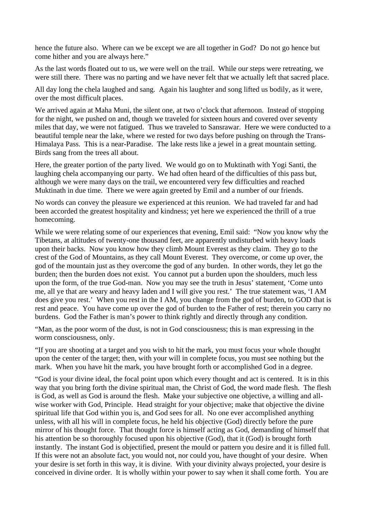hence the future also. Where can we be except we are all together in God? Do not go hence but come hither and you are always here."

As the last words floated out to us, we were well on the trail. While our steps were retreating, we were still there. There was no parting and we have never felt that we actually left that sacred place.

All day long the chela laughed and sang. Again his laughter and song lifted us bodily, as it were, over the most difficult places.

We arrived again at Maha Muni, the silent one, at two o'clock that afternoon. Instead of stopping for the night, we pushed on and, though we traveled for sixteen hours and covered over seventy miles that day, we were not fatigued. Thus we traveled to Sansrawar. Here we were conducted to a beautiful temple near the lake, where we rested for two days before pushing on through the Trans-Himalaya Pass. This is a near-Paradise. The lake rests like a jewel in a great mountain setting. Birds sang from the trees all about.

Here, the greater portion of the party lived. We would go on to Muktinath with Yogi Santi, the laughing chela accompanying our party. We had often heard of the difficulties of this pass but, although we were many days on the trail, we encountered very few difficulties and reached Muktinath in due time. There we were again greeted by Emil and a number of our friends.

No words can convey the pleasure we experienced at this reunion. We had traveled far and had been accorded the greatest hospitality and kindness; yet here we experienced the thrill of a true homecoming.

While we were relating some of our experiences that evening, Emil said: "Now you know why the Tibetans, at altitudes of twenty-one thousand feet, are apparently undisturbed with heavy loads upon their backs. Now you know how they climb Mount Everest as they claim. They go to the crest of the God of Mountains, as they call Mount Everest. They overcome, or come up over, the god of the mountain just as they overcome the god of any burden. In other words, they let go the burden; then the burden does not exist. You cannot put a burden upon the shoulders, much less upon the form, of the true God-man. Now you may see the truth in Jesus' statement, 'Come unto me, all ye that are weary and heavy laden and I will give you rest.' The true statement was, 'I AM does give you rest.' When you rest in the I AM, you change from the god of burden, to GOD that is rest and peace. You have come up over the god of burden to the Father of rest; therein you carry no burdens. God the Father is man's power to think rightly and directly through any condition.

"Man, as the poor worm of the dust, is not in God consciousness; this is man expressing in the worm consciousness, only.

"If you are shooting at a target and you wish to hit the mark, you must focus your whole thought upon the center of the target; then, with your will in complete focus, you must see nothing but the mark. When you have hit the mark, you have brought forth or accomplished God in a degree.

"God is your divine ideal, the focal point upon which every thought and act is centered. It is in this way that you bring forth the divine spiritual man, the Christ of God, the word made flesh. The flesh is God, as well as God is around the flesh. Make your subjective one objective, a willing and allwise worker with God, Principle. Head straight for your objective; make that objective the divine spiritual life that God within you is, and God sees for all. No one ever accomplished anything unless, with all his will in complete focus, he held his objective (God) directly before the pure mirror of his thought force. That thought force is himself acting as God, demanding of himself that his attention be so thoroughly focused upon his objective (God), that it (God) is brought forth instantly. The instant God is objectified, present the mould or pattern you desire and it is filled full. If this were not an absolute fact, you would not, nor could you, have thought of your desire. When your desire is set forth in this way, it is divine. With your divinity always projected, your desire is conceived in divine order. It is wholly within your power to say when it shall come forth. You are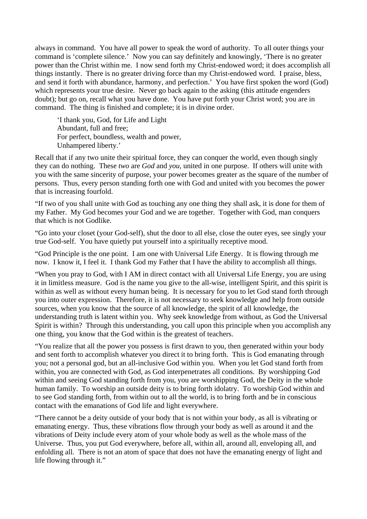always in command. You have all power to speak the word of authority. To all outer things your command is 'complete silence.' Now you can say definitely and knowingly, 'There is no greater power than the Christ within me. I now send forth my Christ-endowed word; it does accomplish all things instantly. There is no greater driving force than my Christ-endowed word. I praise, bless, and send it forth with abundance, harmony, and perfection.' You have first spoken the word (God) which represents your true desire. Never go back again to the asking (this attitude engenders doubt); but go on, recall what you have done. You have put forth your Christ word; you are in command. The thing is finished and complete; it is in divine order.

 'I thank you, God, for Life and Light Abundant, full and free; For perfect, boundless, wealth and power, Unhampered liberty.'

Recall that if any two unite their spiritual force, they can conquer the world, even though singly they can do nothing. These *two* are *God* and *you*, united in one purpose. If others will unite with you with the same sincerity of purpose, your power becomes greater as the square of the number of persons. Thus, every person standing forth one with God and united with you becomes the power that is increasing fourfold.

"If two of you shall unite with God as touching any one thing they shall ask, it is done for them of my Father. My God becomes your God and we are together. Together with God, man conquers that which is not Godlike.

"Go into your closet (your God-self), shut the door to all else, close the outer eyes, see singly your true God-self. You have quietly put yourself into a spiritually receptive mood.

"God Principle is the one point. I am one with Universal Life Energy. It is flowing through me now. I know it, I feel it. I thank God my Father that I have the ability to accomplish all things.

"When you pray to God, with I AM in direct contact with all Universal Life Energy, you are using it in limitless measure. God is the name you give to the all-wise, intelligent Spirit, and this spirit is within as well as without every human being. It is necessary for you to let God stand forth through you into outer expression. Therefore, it is not necessary to seek knowledge and help from outside sources, when you know that the source of all knowledge, the spirit of all knowledge, the understanding truth is latent within you. Why seek knowledge from without, as God the Universal Spirit is within? Through this understanding, you call upon this principle when you accomplish any one thing, you know that the God within is the greatest of teachers.

"You realize that all the power you possess is first drawn to you, then generated within your body and sent forth to accomplish whatever you direct it to bring forth. This is God emanating through you; not a personal god, but an all-inclusive God within you. When you let God stand forth from within, you are connected with God, as God interpenetrates all conditions. By worshipping God within and seeing God standing forth from you, you are worshipping God, the Deity in the whole human family. To worship an outside deity is to bring forth idolatry. To worship God within and to see God standing forth, from within out to all the world, is to bring forth and be in conscious contact with the emanations of God life and light everywhere.

"There cannot be a deity outside of your body that is not within your body, as all is vibrating or emanating energy. Thus, these vibrations flow through your body as well as around it and the vibrations of Deity include every atom of your whole body as well as the whole mass of the Universe. Thus, you put God everywhere, before all, within all, around all, enveloping all, and enfolding all. There is not an atom of space that does not have the emanating energy of light and life flowing through it."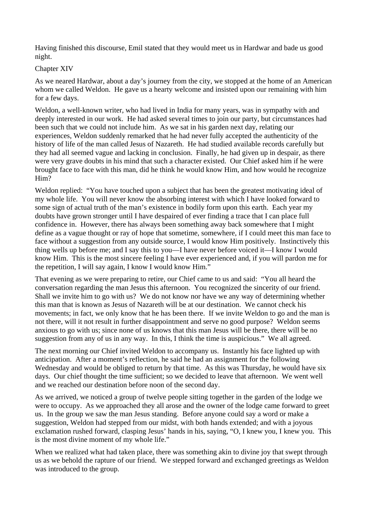Having finished this discourse, Emil stated that they would meet us in Hardwar and bade us good night.

## Chapter XIV

As we neared Hardwar, about a day's journey from the city, we stopped at the home of an American whom we called Weldon. He gave us a hearty welcome and insisted upon our remaining with him for a few days.

Weldon, a well-known writer, who had lived in India for many years, was in sympathy with and deeply interested in our work. He had asked several times to join our party, but circumstances had been such that we could not include him. As we sat in his garden next day, relating our experiences, Weldon suddenly remarked that he had never fully accepted the authenticity of the history of life of the man called Jesus of Nazareth. He had studied available records carefully but they had all seemed vague and lacking in conclusion. Finally, he had given up in despair, as there were very grave doubts in his mind that such a character existed. Our Chief asked him if he were brought face to face with this man, did he think he would know Him, and how would he recognize Him?

Weldon replied: "You have touched upon a subject that has been the greatest motivating ideal of my whole life. You will never know the absorbing interest with which I have looked forward to some sign of actual truth of the man's existence in bodily form upon this earth. Each year my doubts have grown stronger until I have despaired of ever finding a trace that I can place full confidence in. However, there has always been something away back somewhere that I might define as a vague thought or ray of hope that sometime, somewhere, if I could meet this man face to face without a suggestion from any outside source, I would know Him positively. Instinctively this thing wells up before me; and I say this to you—I have never before voiced it—I know I would know Him. This is the most sincere feeling I have ever experienced and, if you will pardon me for the repetition, I will say again, I know I would know Him."

That evening as we were preparing to retire, our Chief came to us and said: "You all heard the conversation regarding the man Jesus this afternoon. You recognized the sincerity of our friend. Shall we invite him to go with us? We do not know nor have we any way of determining whether this man that is known as Jesus of Nazareth will be at our destination. We cannot check his movements; in fact, we only know that he has been there. If we invite Weldon to go and the man is not there, will it not result in further disappointment and serve no good purpose? Weldon seems anxious to go with us; since none of us knows that this man Jesus will be there, there will be no suggestion from any of us in any way. In this, I think the time is auspicious." We all agreed.

The next morning our Chief invited Weldon to accompany us. Instantly his face lighted up with anticipation. After a moment's reflection, he said he had an assignment for the following Wednesday and would be obliged to return by that time. As this was Thursday, he would have six days. Our chief thought the time sufficient; so we decided to leave that afternoon. We went well and we reached our destination before noon of the second day.

As we arrived, we noticed a group of twelve people sitting together in the garden of the lodge we were to occupy. As we approached they all arose and the owner of the lodge came forward to greet us. In the group we saw the man Jesus standing. Before anyone could say a word or make a suggestion, Weldon had stepped from our midst, with both hands extended; and with a joyous exclamation rushed forward, clasping Jesus' hands in his, saying, "O, I knew you, I knew you. This is the most divine moment of my whole life."

When we realized what had taken place, there was something akin to divine joy that swept through us as we behold the rapture of our friend. We stepped forward and exchanged greetings as Weldon was introduced to the group.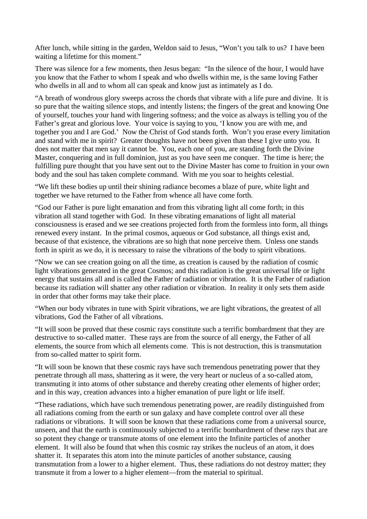After lunch, while sitting in the garden, Weldon said to Jesus, "Won't you talk to us? I have been waiting a lifetime for this moment."

There was silence for a few moments, then Jesus began: "In the silence of the hour, I would have you know that the Father to whom I speak and who dwells within me, is the same loving Father who dwells in all and to whom all can speak and know just as intimately as I do.

"A breath of wondrous glory sweeps across the chords that vibrate with a life pure and divine. It is so pure that the waiting silence stops, and intently listens; the fingers of the great and knowing One of yourself, touches your hand with lingering softness; and the voice as always is telling you of the Father's great and glorious love. Your voice is saying to you, 'I know you are with me, and together you and I are God.' Now the Christ of God stands forth. Won't you erase every limitation and stand with me in spirit? Greater thoughts have not been given than these I give unto you. It does not matter that men say it cannot be. You, each one of you, are standing forth the Divine Master, conquering and in full dominion, just as you have seen me conquer. The time is here; the fulfilling pure thought that you have sent out to the Divine Master has come to fruition in your own body and the soul has taken complete command. With me you soar to heights celestial.

"We lift these bodies up until their shining radiance becomes a blaze of pure, white light and together we have returned to the Father from whence all have come forth.

"God our Father is pure light emanation and from this vibrating light all come forth; in this vibration all stand together with God. In these vibrating emanations of light all material consciousness is erased and we see creations projected forth from the formless into form, all things renewed every instant. In the primal cosmos, aqueous or God substance, all things exist and, because of that existence, the vibrations are so high that none perceive them. Unless one stands forth in spirit as we do, it is necessary to raise the vibrations of the body to spirit vibrations.

"Now we can see creation going on all the time, as creation is caused by the radiation of cosmic light vibrations generated in the great Cosmos; and this radiation is the great universal life or light energy that sustains all and is called the Father of radiation or vibration. It is the Father of radiation because its radiation will shatter any other radiation or vibration. In reality it only sets them aside in order that other forms may take their place.

"When our body vibrates in tune with Spirit vibrations, we are light vibrations, the greatest of all vibrations, God the Father of all vibrations.

"It will soon be proved that these cosmic rays constitute such a terrific bombardment that they are destructive to so-called matter. These rays are from the source of all energy, the Father of all elements, the source from which all elements come. This is not destruction, this is transmutation from so-called matter to spirit form.

"It will soon be known that these cosmic rays have such tremendous penetrating power that they penetrate through all mass, shattering as it were, the very heart or nucleus of a so-called atom, transmuting it into atoms of other substance and thereby creating other elements of higher order; and in this way, creation advances into a higher emanation of pure light or life itself.

"These radiations, which have such tremendous penetrating power, are readily distinguished from all radiations coming from the earth or sun galaxy and have complete control over all these radiations or vibrations. It will soon be known that these radiations come from a universal source, unseen, and that the earth is continuously subjected to a terrific bombardment of these rays that are so potent they change or transmute atoms of one element into the Infinite particles of another element. It will also be found that when this cosmic ray strikes the nucleus of an atom, it does shatter it. It separates this atom into the minute particles of another substance, causing transmutation from a lower to a higher element. Thus, these radiations do not destroy matter; they transmute it from a lower to a higher element—from the material to spiritual.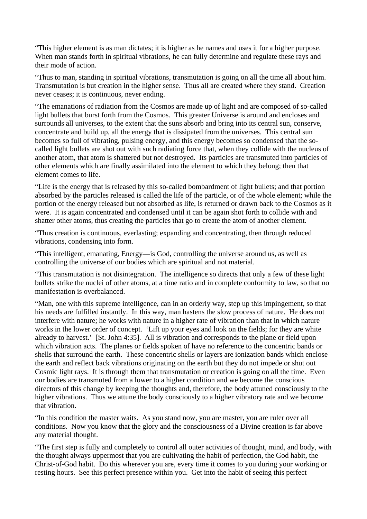"This higher element is as man dictates; it is higher as he names and uses it for a higher purpose. When man stands forth in spiritual vibrations, he can fully determine and regulate these rays and their mode of action.

"Thus to man, standing in spiritual vibrations, transmutation is going on all the time all about him. Transmutation is but creation in the higher sense. Thus all are created where they stand. Creation never ceases; it is continuous, never ending.

"The emanations of radiation from the Cosmos are made up of light and are composed of so-called light bullets that burst forth from the Cosmos. This greater Universe is around and encloses and surrounds all universes, to the extent that the suns absorb and bring into its central sun, conserve, concentrate and build up, all the energy that is dissipated from the universes. This central sun becomes so full of vibrating, pulsing energy, and this energy becomes so condensed that the socalled light bullets are shot out with such radiating force that, when they collide with the nucleus of another atom, that atom is shattered but not destroyed. Its particles are transmuted into particles of other elements which are finally assimilated into the element to which they belong; then that element comes to life.

"Life is the energy that is released by this so-called bombardment of light bullets; and that portion absorbed by the particles released is called the life of the particle, or of the whole element; while the portion of the energy released but not absorbed as life, is returned or drawn back to the Cosmos as it were. It is again concentrated and condensed until it can be again shot forth to collide with and shatter other atoms, thus creating the particles that go to create the atom of another element.

"Thus creation is continuous, everlasting; expanding and concentrating, then through reduced vibrations, condensing into form.

"This intelligent, emanating, Energy—is God, controlling the universe around us, as well as controlling the universe of our bodies which are spiritual and not material.

"This transmutation is not disintegration. The intelligence so directs that only a few of these light bullets strike the nuclei of other atoms, at a time ratio and in complete conformity to law, so that no manifestation is overbalanced.

"Man, one with this supreme intelligence, can in an orderly way, step up this impingement, so that his needs are fulfilled instantly. In this way, man hastens the slow process of nature. He does not interfere with nature; he works with nature in a higher rate of vibration than that in which nature works in the lower order of concept. 'Lift up your eyes and look on the fields; for they are white already to harvest.' [St. John 4:35]. All is vibration and corresponds to the plane or field upon which vibration acts. The planes or fields spoken of have no reference to the concentric bands or shells that surround the earth. These concentric shells or layers are ionization bands which enclose the earth and reflect back vibrations originating on the earth but they do not impede or shut out Cosmic light rays. It is through them that transmutation or creation is going on all the time. Even our bodies are transmuted from a lower to a higher condition and we become the conscious directors of this change by keeping the thoughts and, therefore, the body attuned consciously to the higher vibrations. Thus we attune the body consciously to a higher vibratory rate and we become that vibration.

"In this condition the master waits. As you stand now, you are master, you are ruler over all conditions. Now you know that the glory and the consciousness of a Divine creation is far above any material thought.

"The first step is fully and completely to control all outer activities of thought, mind, and body, with the thought always uppermost that you are cultivating the habit of perfection, the God habit, the Christ-of-God habit. Do this wherever you are, every time it comes to you during your working or resting hours. See this perfect presence within you. Get into the habit of seeing this perfect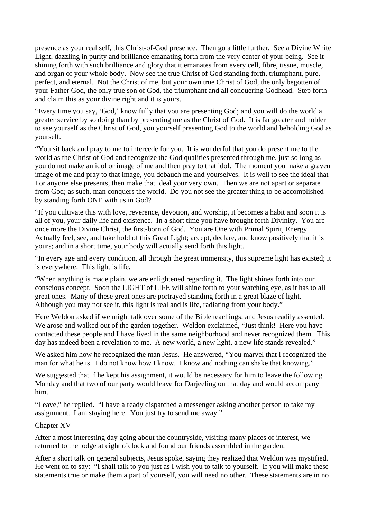presence as your real self, this Christ-of-God presence. Then go a little further. See a Divine White Light, dazzling in purity and brilliance emanating forth from the very center of your being. See it shining forth with such brilliance and glory that it emanates from every cell, fibre, tissue, muscle, and organ of your whole body. Now see the true Christ of God standing forth, triumphant, pure, perfect, and eternal. Not the Christ of me, but your own true Christ of God, the only begotten of your Father God, the only true son of God, the triumphant and all conquering Godhead. Step forth and claim this as your divine right and it is yours.

"Every time you say, 'God,' know fully that you are presenting God; and you will do the world a greater service by so doing than by presenting me as the Christ of God. It is far greater and nobler to see yourself as the Christ of God, you yourself presenting God to the world and beholding God as yourself.

"You sit back and pray to me to intercede for you. It is wonderful that you do present me to the world as the Christ of God and recognize the God qualities presented through me, just so long as you do not make an idol or image of me and then pray to that idol. The moment you make a graven image of me and pray to that image, you debauch me and yourselves. It is well to see the ideal that I or anyone else presents, then make that ideal your very own. Then we are not apart or separate from God; as such, man conquers the world. Do you not see the greater thing to be accomplished by standing forth ONE with us in God?

"If you cultivate this with love, reverence, devotion, and worship, it becomes a habit and soon it is all of you, your daily life and existence. In a short time you have brought forth Divinity. You are once more the Divine Christ, the first-born of God. You are One with Primal Spirit, Energy. Actually feel, see, and take hold of this Great Light; accept, declare, and know positively that it is yours; and in a short time, your body will actually send forth this light.

"In every age and every condition, all through the great immensity, this supreme light has existed; it is everywhere. This light is life.

"When anything is made plain, we are enlightened regarding it. The light shines forth into our conscious concept. Soon the LIGHT of LIFE will shine forth to your watching eye, as it has to all great ones. Many of these great ones are portrayed standing forth in a great blaze of light. Although you may not see it, this light is real and is life, radiating from your body."

Here Weldon asked if we might talk over some of the Bible teachings; and Jesus readily assented. We arose and walked out of the garden together. Weldon exclaimed, "Just think! Here you have contacted these people and I have lived in the same neighborhood and never recognized them. This day has indeed been a revelation to me. A new world, a new light, a new life stands revealed."

We asked him how he recognized the man Jesus. He answered, "You marvel that I recognized the man for what he is. I do not know how I know. I know and nothing can shake that knowing."

We suggested that if he kept his assignment, it would be necessary for him to leave the following Monday and that two of our party would leave for Darjeeling on that day and would accompany him.

"Leave," he replied. "I have already dispatched a messenger asking another person to take my assignment. I am staying here. You just try to send me away."

Chapter XV

After a most interesting day going about the countryside, visiting many places of interest, we returned to the lodge at eight o'clock and found our friends assembled in the garden.

After a short talk on general subjects, Jesus spoke, saying they realized that Weldon was mystified. He went on to say: "I shall talk to you just as I wish you to talk to yourself. If you will make these statements true or make them a part of yourself, you will need no other. These statements are in no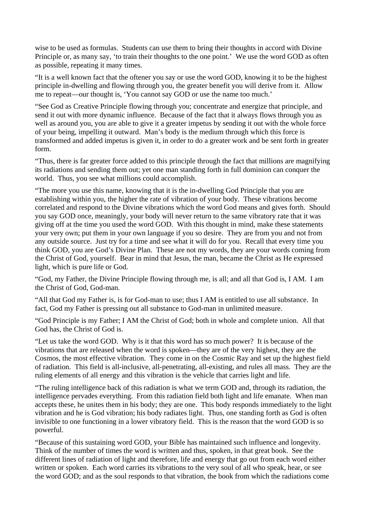wise to be used as formulas. Students can use them to bring their thoughts in accord with Divine Principle or, as many say, 'to train their thoughts to the one point.' We use the word GOD as often as possible, repeating it many times.

"It is a well known fact that the oftener you say or use the word GOD, knowing it to be the highest principle in-dwelling and flowing through you, the greater benefit you will derive from it. Allow me to repeat—our thought is, 'You cannot say GOD or use the name too much.'

"See God as Creative Principle flowing through you; concentrate and energize that principle, and send it out with more dynamic influence. Because of the fact that it always flows through you as well as around you, you are able to give it a greater impetus by sending it out with the whole force of your being, impelling it outward. Man's body is the medium through which this force is transformed and added impetus is given it, in order to do a greater work and be sent forth in greater form.

"Thus, there is far greater force added to this principle through the fact that millions are magnifying its radiations and sending them out; yet one man standing forth in full dominion can conquer the world. Thus, you see what millions could accomplish.

"The more you use this name, knowing that it is the in-dwelling God Principle that you are establishing within you, the higher the rate of vibration of your body. These vibrations become correlated and respond to the Divine vibrations which the word God means and gives forth. Should you say GOD once, meaningly, your body will never return to the same vibratory rate that it was giving off at the time you used the word GOD. With this thought in mind, make these statements your very own; put them in your own language if you so desire. They are from you and not from any outside source. Just try for a time and see what it will do for you. Recall that every time you think GOD, you are God's Divine Plan. These are not my words, they are your words coming from the Christ of God, yourself. Bear in mind that Jesus, the man, became the Christ as He expressed light, which is pure life or God.

"God, my Father, the Divine Principle flowing through me, is all; and all that God is, I AM. I am the Christ of God, God-man.

"All that God my Father is, is for God-man to use; thus I AM is entitled to use all substance. In fact, God my Father is pressing out all substance to God-man in unlimited measure.

"God Principle is my Father; I AM the Christ of God; both in whole and complete union. All that God has, the Christ of God is.

"Let us take the word GOD. Why is it that this word has so much power? It is because of the vibrations that are released when the word is spoken—they are of the very highest, they are the Cosmos, the most effective vibration. They come in on the Cosmic Ray and set up the highest field of radiation. This field is all-inclusive, all-penetrating, all-existing, and rules all mass. They are the ruling elements of all energy and this vibration is the vehicle that carries light and life.

"The ruling intelligence back of this radiation is what we term GOD and, through its radiation, the intelligence pervades everything. From this radiation field both light and life emanate. When man accepts these, he unites them in his body; they are one. This body responds immediately to the light vibration and he is God vibration; his body radiates light. Thus, one standing forth as God is often invisible to one functioning in a lower vibratory field. This is the reason that the word GOD is so powerful.

"Because of this sustaining word GOD, your Bible has maintained such influence and longevity. Think of the number of times the word is written and thus, spoken, in that great book. See the different lines of radiation of light and therefore, life and energy that go out from each word either written or spoken. Each word carries its vibrations to the very soul of all who speak, hear, or see the word GOD; and as the soul responds to that vibration, the book from which the radiations come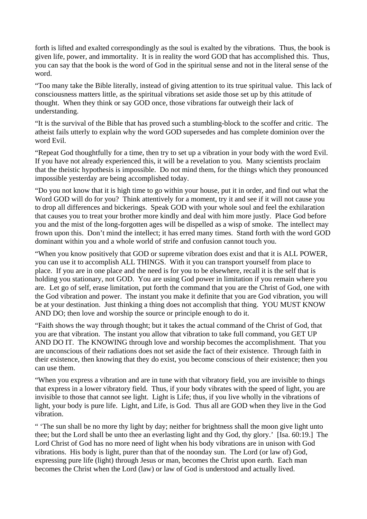forth is lifted and exalted correspondingly as the soul is exalted by the vibrations. Thus, the book is given life, power, and immortality. It is in reality the word GOD that has accomplished this. Thus, you can say that the book is the word of God in the spiritual sense and not in the literal sense of the word.

"Too many take the Bible literally, instead of giving attention to its true spiritual value. This lack of consciousness matters little, as the spiritual vibrations set aside those set up by this attitude of thought. When they think or say GOD once, those vibrations far outweigh their lack of understanding.

"It is the survival of the Bible that has proved such a stumbling-block to the scoffer and critic. The atheist fails utterly to explain why the word GOD supersedes and has complete dominion over the word Evil.

"Repeat God thoughtfully for a time, then try to set up a vibration in your body with the word Evil. If you have not already experienced this, it will be a revelation to you. Many scientists proclaim that the theistic hypothesis is impossible. Do not mind them, for the things which they pronounced impossible yesterday are being accomplished today.

"Do you not know that it is high time to go within your house, put it in order, and find out what the Word GOD will do for you? Think attentively for a moment, try it and see if it will not cause you to drop all differences and bickerings. Speak GOD with your whole soul and feel the exhilaration that causes you to treat your brother more kindly and deal with him more justly. Place God before you and the mist of the long-forgotten ages will be dispelled as a wisp of smoke. The intellect may frown upon this. Don't mind the intellect; it has erred many times. Stand forth with the word GOD dominant within you and a whole world of strife and confusion cannot touch you.

"When you know positively that GOD or supreme vibration does exist and that it is ALL POWER, you can use it to accomplish ALL THINGS. With it you can transport yourself from place to place. If you are in one place and the need is for you to be elsewhere, recall it is the self that is holding you stationary, not GOD. You are using God power in limitation if you remain where you are. Let go of self, erase limitation, put forth the command that you are the Christ of God, one with the God vibration and power. The instant you make it definite that you are God vibration, you will be at your destination. Just thinking a thing does not accomplish that thing. YOU MUST KNOW AND DO; then love and worship the source or principle enough to do it.

"Faith shows the way through thought; but it takes the actual command of the Christ of God, that you are that vibration. The instant you allow that vibration to take full command, you GET UP AND DO IT. The KNOWING through love and worship becomes the accomplishment. That you are unconscious of their radiations does not set aside the fact of their existence. Through faith in their existence, then knowing that they do exist, you become conscious of their existence; then you can use them.

"When you express a vibration and are in tune with that vibratory field, you are invisible to things that express in a lower vibratory field. Thus, if your body vibrates with the speed of light, you are invisible to those that cannot see light. Light is Life; thus, if you live wholly in the vibrations of light, your body is pure life. Light, and Life, is God. Thus all are GOD when they live in the God vibration.

" 'The sun shall be no more thy light by day; neither for brightness shall the moon give light unto thee; but the Lord shall be unto thee an everlasting light and thy God, thy glory.' [Isa. 60:19.] The Lord Christ of God has no more need of light when his body vibrations are in unison with God vibrations. His body is light, purer than that of the noonday sun. The Lord (or law of) God, expressing pure life (light) through Jesus or man, becomes the Christ upon earth. Each man becomes the Christ when the Lord (law) or law of God is understood and actually lived.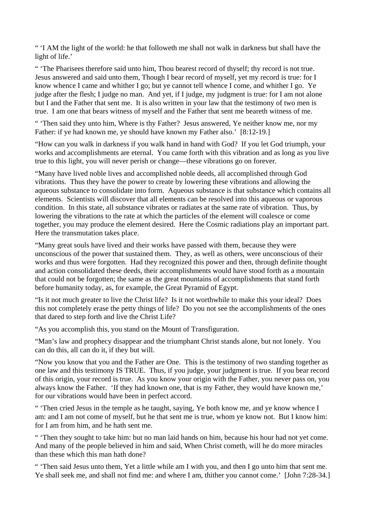" 'I AM the light of the world: he that followeth me shall not walk in darkness but shall have the light of life.'

" 'The Pharisees therefore said unto him, Thou bearest record of thyself; thy record is not true. Jesus answered and said unto them, Though I bear record of myself, yet my record is true: for I know whence I came and whither I go; but ye cannot tell whence I come, and whither I go. Ye judge after the flesh; I judge no man. And yet, if I judge, my judgment is true: for I am not alone but I and the Father that sent me. It is also written in your law that the testimony of two men is true. I am one that bears witness of myself and the Father that sent me beareth witness of me.

" 'Then said they unto him, Where is thy Father? Jesus answered, Ye neither know me, nor my Father: if ye had known me, ye should have known my Father also.' [8:12-19.]

"How can you walk in darkness if you walk hand in hand with God? If you let God triumph, your works and accomplishments are eternal. You came forth with this vibration and as long as you live true to this light, you will never perish or change—these vibrations go on forever.

"Many have lived noble lives and accomplished noble deeds, all accomplished through God vibrations. Thus they have the power to create by lowering these vibrations and allowing the aqueous substance to consolidate into form. Aqueous substance is that substance which contains all elements. Scientists will discover that all elements can be resolved into this aqueous or vaporous condition. In this state, all substance vibrates or radiates at the same rate of vibration. Thus, by lowering the vibrations to the rate at which the particles of the element will coalesce or come together, you may produce the element desired. Here the Cosmic radiations play an important part. Here the transmutation takes place.

"Many great souls have lived and their works have passed with them, because they were unconscious of the power that sustained them. They, as well as others, were unconscious of their works and thus were forgotten. Had they recognized this power and then, through definite thought and action consolidated these deeds, their accomplishments would have stood forth as a mountain that could not be forgotten; the same as the great mountains of accomplishments that stand forth before humanity today, as, for example, the Great Pyramid of Egypt.

"Is it not much greater to live the Christ life? Is it not worthwhile to make this your ideal? Does this not completely erase the petty things of life? Do you not see the accomplishments of the ones that dared to step forth and live the Christ Life?

"As you accomplish this, you stand on the Mount of Transfiguration.

"Man's law and prophecy disappear and the triumphant Christ stands alone, but not lonely. You can do this, all can do it, if they but will.

"Now you know that you and the Father are One. This is the testimony of two standing together as one law and this testimony IS TRUE. Thus, if you judge, your judgment is true. If you bear record of this origin, your record is true. As you know your origin with the Father, you never pass on, you always know the Father. 'If they had known one, that is my Father, they would have known me,' for our vibrations would have been in perfect accord.

" 'Then cried Jesus in the temple as he taught, saying, Ye both know me, and ye know whence I am: and I am not come of myself, but he that sent me is true, whom ye know not. But I know him: for I am from him, and he hath sent me.

" 'Then they sought to take him: but no man laid hands on him, because his hour had not yet come. And many of the people believed in him and said, When Christ cometh, will he do more miracles than these which this man hath done?

" 'Then said Jesus unto them, Yet a little while am I with you, and then I go unto him that sent me. Ye shall seek me, and shall not find me: and where I am, thither you cannot come.' [John 7:28-34.]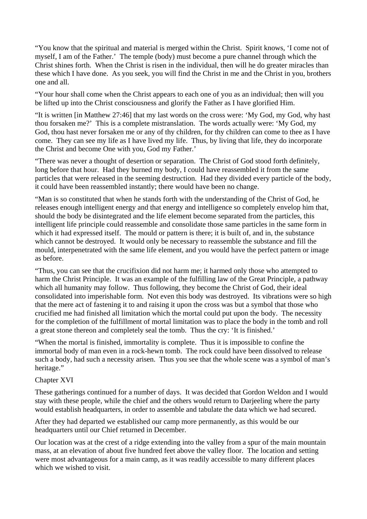"You know that the spiritual and material is merged within the Christ. Spirit knows, 'I come not of myself, I am of the Father.' The temple (body) must become a pure channel through which the Christ shines forth. When the Christ is risen in the individual, then will he do greater miracles than these which I have done. As you seek, you will find the Christ in me and the Christ in you, brothers one and all.

"Your hour shall come when the Christ appears to each one of you as an individual; then will you be lifted up into the Christ consciousness and glorify the Father as I have glorified Him.

"It is written [in Matthew 27:46] that my last words on the cross were: 'My God, my God, why hast thou forsaken me?' This is a complete mistranslation. The words actually were: 'My God, my God, thou hast never forsaken me or any of thy children, for thy children can come to thee as I have come. They can see my life as I have lived my life. Thus, by living that life, they do incorporate the Christ and become One with you, God my Father.'

"There was never a thought of desertion or separation. The Christ of God stood forth definitely, long before that hour. Had they burned my body, I could have reassembled it from the same particles that were released in the seeming destruction. Had they divided every particle of the body, it could have been reassembled instantly; there would have been no change.

"Man is so constituted that when he stands forth with the understanding of the Christ of God, he releases enough intelligent energy and that energy and intelligence so completely envelop him that, should the body be disintegrated and the life element become separated from the particles, this intelligent life principle could reassemble and consolidate those same particles in the same form in which it had expressed itself. The mould or pattern is there; it is built of, and in, the substance which cannot be destroyed. It would only be necessary to reassemble the substance and fill the mould, interpenetrated with the same life element, and you would have the perfect pattern or image as before.

"Thus, you can see that the crucifixion did not harm me; it harmed only those who attempted to harm the Christ Principle. It was an example of the fulfilling law of the Great Principle, a pathway which all humanity may follow. Thus following, they become the Christ of God, their ideal consolidated into imperishable form. Not even this body was destroyed. Its vibrations were so high that the mere act of fastening it to and raising it upon the cross was but a symbol that those who crucified me had finished all limitation which the mortal could put upon the body. The necessity for the completion of the fulfillment of mortal limitation was to place the body in the tomb and roll a great stone thereon and completely seal the tomb. Thus the cry: 'It is finished.'

"When the mortal is finished, immortality is complete. Thus it is impossible to confine the immortal body of man even in a rock-hewn tomb. The rock could have been dissolved to release such a body, had such a necessity arisen. Thus you see that the whole scene was a symbol of man's heritage."

### Chapter XVI

These gatherings continued for a number of days. It was decided that Gordon Weldon and I would stay with these people, while the chief and the others would return to Darjeeling where the party would establish headquarters, in order to assemble and tabulate the data which we had secured.

After they had departed we established our camp more permanently, as this would be our headquarters until our Chief returned in December.

Our location was at the crest of a ridge extending into the valley from a spur of the main mountain mass, at an elevation of about five hundred feet above the valley floor. The location and setting were most advantageous for a main camp, as it was readily accessible to many different places which we wished to visit.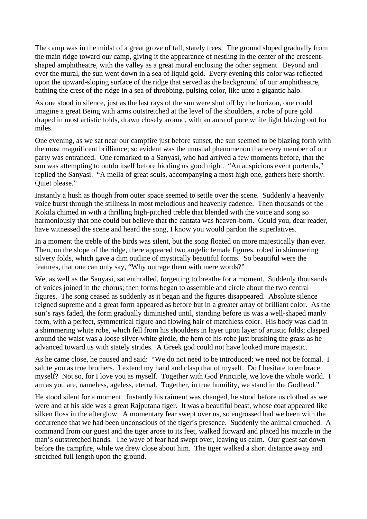The camp was in the midst of a great grove of tall, stately trees. The ground sloped gradually from the main ridge toward our camp, giving it the appearance of nestling in the center of the crescentshaped amphitheatre, with the valley as a great mural enclosing the other segment. Beyond and over the mural, the sun went down in a sea of liquid gold. Every evening this color was reflected upon the upward-sloping surface of the ridge that served as the background of our amphitheatre, bathing the crest of the ridge in a sea of throbbing, pulsing color, like unto a gigantic halo.

As one stood in silence, just as the last rays of the sun were shut off by the horizon, one could imagine a great Being with arms outstretched at the level of the shoulders, a robe of pure gold draped in most artistic folds, drawn closely around, with an aura of pure white light blazing out for miles.

One evening, as we sat near our campfire just before sunset, the sun seemed to be blazing forth with the most magnificent brilliance; so evident was the unusual phenomenon that every member of our party was entranced. One remarked to a Sanyasi, who had arrived a few moments before, that the sun was attempting to outdo itself before bidding us good night. "An auspicious event portends," replied the Sanyasi. "A mella of great souls, accompanying a most high one, gathers here shortly. Quiet please."

Instantly a hush as though from outer space seemed to settle over the scene. Suddenly a heavenly voice burst through the stillness in most melodious and heavenly cadence. Then thousands of the Kokila chimed in with a thrilling high-pitched treble that blended with the voice and song so harmoniously that one could but believe that the cantata was heaven-born. Could you, dear reader, have witnessed the scene and heard the song, I know you would pardon the superlatives.

In a moment the treble of the birds was silent, but the song floated on more majestically than ever. Then, on the slope of the ridge, there appeared two angelic female figures, robed in shimmering silvery folds, which gave a dim outline of mystically beautiful forms. So beautiful were the features, that one can only say, "Why outrage them with mere words?"

We, as well as the Sanyasi, sat enthralled, forgetting to breathe for a moment. Suddenly thousands of voices joined in the chorus; then forms began to assemble and circle about the two central figures. The song ceased as suddenly as it began and the figures disappeared. Absolute silence reigned supreme and a great form appeared as before but in a greater array of brilliant color. As the sun's rays faded, the form gradually diminished until, standing before us was a well-shaped manly form, with a perfect, symmetrical figure and flowing hair of matchless color. His body was clad in a shimmering white robe, which fell from his shoulders in layer upon layer of artistic folds; clasped around the waist was a loose silver-white girdle, the hem of his robe just brushing the grass as he advanced toward us with stately strides. A Greek god could not have looked more majestic.

As he came close, he paused and said: "We do not need to be introduced; we need not be formal. I salute you as true brothers. I extend my hand and clasp that of myself. Do I hesitate to embrace myself? Not so, for I love you as myself. Together with God Principle, we love the whole world. I am as you are, nameless, ageless, eternal. Together, in true humility, we stand in the Godhead."

He stood silent for a moment. Instantly his raiment was changed, he stood before us clothed as we were and at his side was a great Rajputana tiger. It was a beautiful beast, whose coat appeared like silken floss in the afterglow. A momentary fear swept over us, so engrossed had we been with the occurrence that we had been unconscious of the tiger's presence. Suddenly the animal crouched. A command from our guest and the tiger arose to its feet, walked forward and placed his muzzle in the man's outstretched hands. The wave of fear had swept over, leaving us calm. Our guest sat down before the campfire, while we drew close about him. The tiger walked a short distance away and stretched full length upon the ground.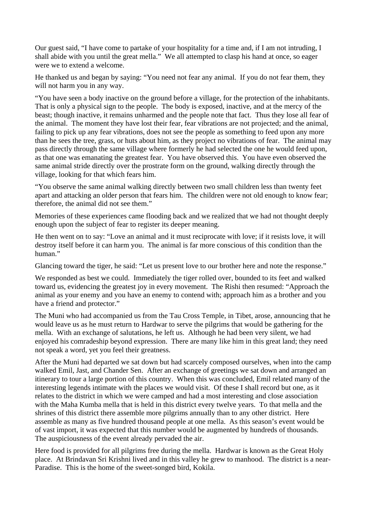Our guest said, "I have come to partake of your hospitality for a time and, if I am not intruding, I shall abide with you until the great mella." We all attempted to clasp his hand at once, so eager were we to extend a welcome.

He thanked us and began by saying: "You need not fear any animal. If you do not fear them, they will not harm you in any way.

"You have seen a body inactive on the ground before a village, for the protection of the inhabitants. That is only a physical sign to the people. The body is exposed, inactive, and at the mercy of the beast; though inactive, it remains unharmed and the people note that fact. Thus they lose all fear of the animal. The moment they have lost their fear, fear vibrations are not projected; and the animal, failing to pick up any fear vibrations, does not see the people as something to feed upon any more than he sees the tree, grass, or huts about him, as they project no vibrations of fear. The animal may pass directly through the same village where formerly he had selected the one he would feed upon, as that one was emanating the greatest fear. You have observed this. You have even observed the same animal stride directly over the prostrate form on the ground, walking directly through the village, looking for that which fears him.

"You observe the same animal walking directly between two small children less than twenty feet apart and attacking an older person that fears him. The children were not old enough to know fear; therefore, the animal did not see them."

Memories of these experiences came flooding back and we realized that we had not thought deeply enough upon the subject of fear to register its deeper meaning.

He then went on to say: "Love an animal and it must reciprocate with love; if it resists love, it will destroy itself before it can harm you. The animal is far more conscious of this condition than the human."

Glancing toward the tiger, he said: "Let us present love to our brother here and note the response."

We responded as best we could. Immediately the tiger rolled over, bounded to its feet and walked toward us, evidencing the greatest joy in every movement. The Rishi then resumed: "Approach the animal as your enemy and you have an enemy to contend with; approach him as a brother and you have a friend and protector."

The Muni who had accompanied us from the Tau Cross Temple, in Tibet, arose, announcing that he would leave us as he must return to Hardwar to serve the pilgrims that would be gathering for the mella. With an exchange of salutations, he left us. Although he had been very silent, we had enjoyed his comradeship beyond expression. There are many like him in this great land; they need not speak a word, yet you feel their greatness.

After the Muni had departed we sat down but had scarcely composed ourselves, when into the camp walked Emil, Jast, and Chander Sen. After an exchange of greetings we sat down and arranged an itinerary to tour a large portion of this country. When this was concluded, Emil related many of the interesting legends intimate with the places we would visit. Of these I shall record but one, as it relates to the district in which we were camped and had a most interesting and close association with the Maha Kumba mella that is held in this district every twelve years. To that mella and the shrines of this district there assemble more pilgrims annually than to any other district. Here assemble as many as five hundred thousand people at one mella. As this season's event would be of vast import, it was expected that this number would be augmented by hundreds of thousands. The auspiciousness of the event already pervaded the air.

Here food is provided for all pilgrims free during the mella. Hardwar is known as the Great Holy place. At Brindavan Sri Krishni lived and in this valley he grew to manhood. The district is a near-Paradise. This is the home of the sweet-songed bird, Kokila.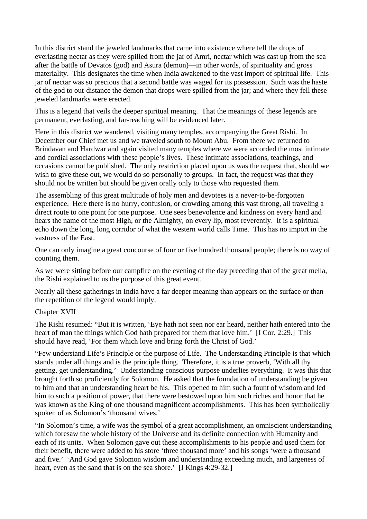In this district stand the jeweled landmarks that came into existence where fell the drops of everlasting nectar as they were spilled from the jar of Amri, nectar which was cast up from the sea after the battle of Devatos (god) and Asura (demon)—in other words, of spirituality and gross materiality. This designates the time when India awakened to the vast import of spiritual life. This jar of nectar was so precious that a second battle was waged for its possession. Such was the haste of the god to out-distance the demon that drops were spilled from the jar; and where they fell these jeweled landmarks were erected.

This is a legend that veils the deeper spiritual meaning. That the meanings of these legends are permanent, everlasting, and far-reaching will be evidenced later.

Here in this district we wandered, visiting many temples, accompanying the Great Rishi. In December our Chief met us and we traveled south to Mount Abu. From there we returned to Brindavan and Hardwar and again visited many temples where we were accorded the most intimate and cordial associations with these people's lives. These intimate associations, teachings, and occasions cannot be published. The only restriction placed upon us was the request that, should we wish to give these out, we would do so personally to groups. In fact, the request was that they should not be written but should be given orally only to those who requested them.

The assembling of this great multitude of holy men and devotees is a never-to-be-forgotten experience. Here there is no hurry, confusion, or crowding among this vast throng, all traveling a direct route to one point for one purpose. One sees benevolence and kindness on every hand and hears the name of the most High, or the Almighty, on every lip, most reverently. It is a spiritual echo down the long, long corridor of what the western world calls Time. This has no import in the vastness of the East.

One can only imagine a great concourse of four or five hundred thousand people; there is no way of counting them.

As we were sitting before our campfire on the evening of the day preceding that of the great mella, the Rishi explained to us the purpose of this great event.

Nearly all these gatherings in India have a far deeper meaning than appears on the surface or than the repetition of the legend would imply.

### Chapter XVII

The Rishi resumed: "But it is written, 'Eye hath not seen nor ear heard, neither hath entered into the heart of man the things which God hath prepared for them that love him.' [I Cor. 2:29.] This should have read, 'For them which love and bring forth the Christ of God.'

"Few understand Life's Principle or the purpose of Life. The Understanding Principle is that which stands under all things and is the principle thing. Therefore, it is a true proverb, 'With all thy getting, get understanding.' Understanding conscious purpose underlies everything. It was this that brought forth so proficiently for Solomon. He asked that the foundation of understanding be given to him and that an understanding heart be his. This opened to him such a fount of wisdom and led him to such a position of power, that there were bestowed upon him such riches and honor that he was known as the King of one thousand magnificent accomplishments. This has been symbolically spoken of as Solomon's 'thousand wives.'

"In Solomon's time, a wife was the symbol of a great accomplishment, an omniscient understanding which foresaw the whole history of the Universe and its definite connection with Humanity and each of its units. When Solomon gave out these accomplishments to his people and used them for their benefit, there were added to his store 'three thousand more' and his songs 'were a thousand and five.' 'And God gave Solomon wisdom and understanding exceeding much, and largeness of heart, even as the sand that is on the sea shore.' [I Kings 4:29-32.]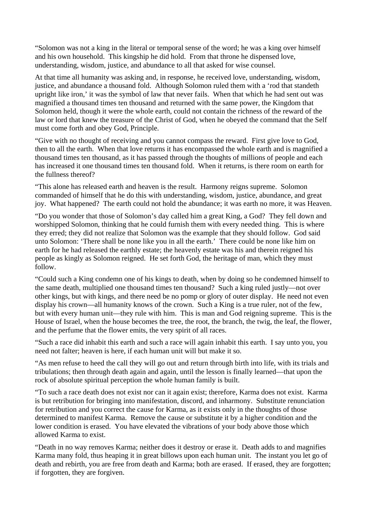"Solomon was not a king in the literal or temporal sense of the word; he was a king over himself and his own household. This kingship he did hold. From that throne he dispensed love, understanding, wisdom, justice, and abundance to all that asked for wise counsel.

At that time all humanity was asking and, in response, he received love, understanding, wisdom, justice, and abundance a thousand fold. Although Solomon ruled them with a 'rod that standeth upright like iron,' it was the symbol of law that never fails. When that which he had sent out was magnified a thousand times ten thousand and returned with the same power, the Kingdom that Solomon held, though it were the whole earth, could not contain the richness of the reward of the law or lord that knew the treasure of the Christ of God, when he obeyed the command that the Self must come forth and obey God, Principle.

"Give with no thought of receiving and you cannot compass the reward. First give love to God, then to all the earth. When that love returns it has encompassed the whole earth and is magnified a thousand times ten thousand, as it has passed through the thoughts of millions of people and each has increased it one thousand times ten thousand fold. When it returns, is there room on earth for the fullness thereof?

"This alone has released earth and heaven is the result. Harmony reigns supreme. Solomon commanded of himself that he do this with understanding, wisdom, justice, abundance, and great joy. What happened? The earth could not hold the abundance; it was earth no more, it was Heaven.

"Do you wonder that those of Solomon's day called him a great King, a God? They fell down and worshipped Solomon, thinking that he could furnish them with every needed thing. This is where they erred; they did not realize that Solomon was the example that they should follow. God said unto Solomon: 'There shall be none like you in all the earth.' There could be none like him on earth for he had released the earthly estate; the heavenly estate was his and therein reigned his people as kingly as Solomon reigned. He set forth God, the heritage of man, which they must follow.

"Could such a King condemn one of his kings to death, when by doing so he condemned himself to the same death, multiplied one thousand times ten thousand? Such a king ruled justly—not over other kings, but with kings, and there need be no pomp or glory of outer display. He need not even display his crown—all humanity knows of the crown. Such a King is a true ruler, not of the few, but with every human unit—they rule with him. This is man and God reigning supreme. This is the House of Israel, when the house becomes the tree, the root, the branch, the twig, the leaf, the flower, and the perfume that the flower emits, the very spirit of all races.

"Such a race did inhabit this earth and such a race will again inhabit this earth. I say unto you, you need not falter; heaven is here, if each human unit will but make it so.

"As men refuse to heed the call they will go out and return through birth into life, with its trials and tribulations; then through death again and again, until the lesson is finally learned—that upon the rock of absolute spiritual perception the whole human family is built.

"To such a race death does not exist nor can it again exist; therefore, Karma does not exist. Karma is but retribution for bringing into manifestation, discord, and inharmony. Substitute renunciation for retribution and you correct the cause for Karma, as it exists only in the thoughts of those determined to manifest Karma. Remove the cause or substitute it by a higher condition and the lower condition is erased. You have elevated the vibrations of your body above those which allowed Karma to exist.

"Death in no way removes Karma; neither does it destroy or erase it. Death adds to and magnifies Karma many fold, thus heaping it in great billows upon each human unit. The instant you let go of death and rebirth, you are free from death and Karma; both are erased. If erased, they are forgotten; if forgotten, they are forgiven.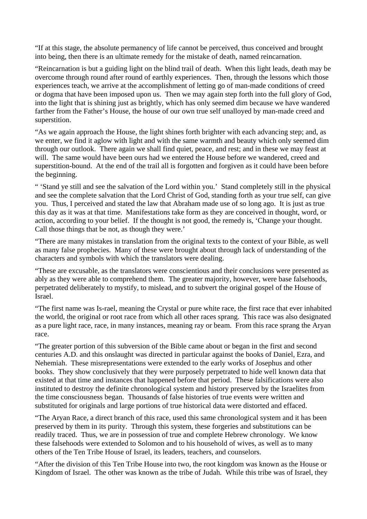"If at this stage, the absolute permanency of life cannot be perceived, thus conceived and brought into being, then there is an ultimate remedy for the mistake of death, named reincarnation.

"Reincarnation is but a guiding light on the blind trail of death. When this light leads, death may be overcome through round after round of earthly experiences. Then, through the lessons which those experiences teach, we arrive at the accomplishment of letting go of man-made conditions of creed or dogma that have been imposed upon us. Then we may again step forth into the full glory of God, into the light that is shining just as brightly, which has only seemed dim because we have wandered farther from the Father's House, the house of our own true self unalloyed by man-made creed and superstition.

"As we again approach the House, the light shines forth brighter with each advancing step; and, as we enter, we find it aglow with light and with the same warmth and beauty which only seemed dim through our outlook. There again we shall find quiet, peace, and rest; and in these we may feast at will. The same would have been ours had we entered the House before we wandered, creed and superstition-bound. At the end of the trail all is forgotten and forgiven as it could have been before the beginning.

" 'Stand ye still and see the salvation of the Lord within you.' Stand completely still in the physical and see the complete salvation that the Lord Christ of God, standing forth as your true self, can give you. Thus, I perceived and stated the law that Abraham made use of so long ago. It is just as true this day as it was at that time. Manifestations take form as they are conceived in thought, word, or action, according to your belief. If the thought is not good, the remedy is, 'Change your thought. Call those things that be not, as though they were.'

"There are many mistakes in translation from the original texts to the context of your Bible, as well as many false prophecies. Many of these were brought about through lack of understanding of the characters and symbols with which the translators were dealing.

"These are excusable, as the translators were conscientious and their conclusions were presented as ably as they were able to comprehend them. The greater majority, however, were base falsehoods, perpetrated deliberately to mystify, to mislead, and to subvert the original gospel of the House of Israel.

"The first name was Is-rael, meaning the Crystal or pure white race, the first race that ever inhabited the world, the original or root race from which all other races sprang. This race was also designated as a pure light race, race, in many instances, meaning ray or beam. From this race sprang the Aryan race.

"The greater portion of this subversion of the Bible came about or began in the first and second centuries A.D. and this onslaught was directed in particular against the books of Daniel, Ezra, and Nehemiah. These misrepresentations were extended to the early works of Josephus and other books. They show conclusively that they were purposely perpetrated to hide well known data that existed at that time and instances that happened before that period. These falsifications were also instituted to destroy the definite chronological system and history preserved by the Israelites from the time consciousness began. Thousands of false histories of true events were written and substituted for originals and large portions of true historical data were distorted and effaced.

"The Aryan Race, a direct branch of this race, used this same chronological system and it has been preserved by them in its purity. Through this system, these forgeries and substitutions can be readily traced. Thus, we are in possession of true and complete Hebrew chronology. We know these falsehoods were extended to Solomon and to his household of wives, as well as to many others of the Ten Tribe House of Israel, its leaders, teachers, and counselors.

"After the division of this Ten Tribe House into two, the root kingdom was known as the House or Kingdom of Israel. The other was known as the tribe of Judah. While this tribe was of Israel, they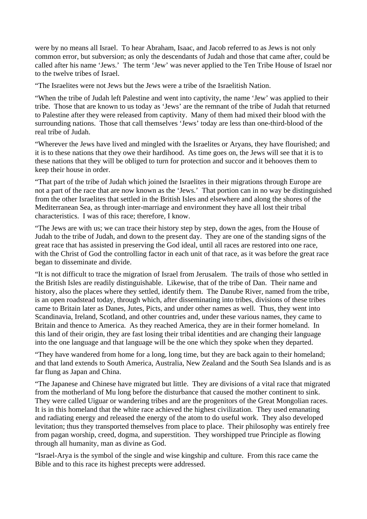were by no means all Israel. To hear Abraham, Isaac, and Jacob referred to as Jews is not only common error, but subversion; as only the descendants of Judah and those that came after, could be called after his name 'Jews.' The term 'Jew' was never applied to the Ten Tribe House of Israel nor to the twelve tribes of Israel.

"The Israelites were not Jews but the Jews were a tribe of the Israelitish Nation.

"When the tribe of Judah left Palestine and went into captivity, the name 'Jew' was applied to their tribe. Those that are known to us today as 'Jews' are the remnant of the tribe of Judah that returned to Palestine after they were released from captivity. Many of them had mixed their blood with the surrounding nations. Those that call themselves 'Jews' today are less than one-third-blood of the real tribe of Judah.

"Wherever the Jews have lived and mingled with the Israelites or Aryans, they have flourished; and it is to these nations that they owe their hardihood. As time goes on, the Jews will see that it is to these nations that they will be obliged to turn for protection and succor and it behooves them to keep their house in order.

"That part of the tribe of Judah which joined the Israelites in their migrations through Europe are not a part of the race that are now known as the 'Jews.' That portion can in no way be distinguished from the other Israelites that settled in the British Isles and elsewhere and along the shores of the Mediterranean Sea, as through inter-marriage and environment they have all lost their tribal characteristics. I was of this race; therefore, I know.

"The Jews are with us; we can trace their history step by step, down the ages, from the House of Judah to the tribe of Judah, and down to the present day. They are one of the standing signs of the great race that has assisted in preserving the God ideal, until all races are restored into one race, with the Christ of God the controlling factor in each unit of that race, as it was before the great race began to disseminate and divide.

"It is not difficult to trace the migration of Israel from Jerusalem. The trails of those who settled in the British Isles are readily distinguishable. Likewise, that of the tribe of Dan. Their name and history, also the places where they settled, identify them. The Danube River, named from the tribe, is an open roadstead today, through which, after disseminating into tribes, divisions of these tribes came to Britain later as Danes, Jutes, Picts, and under other names as well. Thus, they went into Scandinavia, Ireland, Scotland, and other countries and, under these various names, they came to Britain and thence to America. As they reached America, they are in their former homeland. In this land of their origin, they are fast losing their tribal identities and are changing their language into the one language and that language will be the one which they spoke when they departed.

"They have wandered from home for a long, long time, but they are back again to their homeland; and that land extends to South America, Australia, New Zealand and the South Sea Islands and is as far flung as Japan and China.

"The Japanese and Chinese have migrated but little. They are divisions of a vital race that migrated from the motherland of Mu long before the disturbance that caused the mother continent to sink. They were called Uiguar or wandering tribes and are the progenitors of the Great Mongolian races. It is in this homeland that the white race achieved the highest civilization. They used emanating and radiating energy and released the energy of the atom to do useful work. They also developed levitation; thus they transported themselves from place to place. Their philosophy was entirely free from pagan worship, creed, dogma, and superstition. They worshipped true Principle as flowing through all humanity, man as divine as God.

"Israel-Arya is the symbol of the single and wise kingship and culture. From this race came the Bible and to this race its highest precepts were addressed.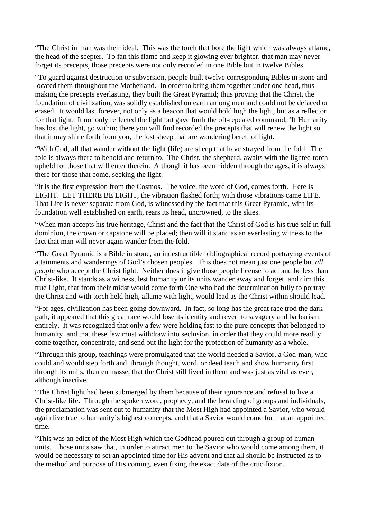"The Christ in man was their ideal. This was the torch that bore the light which was always aflame, the head of the scepter. To fan this flame and keep it glowing ever brighter, that man may never forget its precepts, those precepts were not only recorded in one Bible but in twelve Bibles.

"To guard against destruction or subversion, people built twelve corresponding Bibles in stone and located them throughout the Motherland. In order to bring them together under one head, thus making the precepts everlasting, they built the Great Pyramid; thus proving that the Christ, the foundation of civilization, was solidly established on earth among men and could not be defaced or erased. It would last forever, not only as a beacon that would hold high the light, but as a reflector for that light. It not only reflected the light but gave forth the oft-repeated command, 'If Humanity has lost the light, go within; there you will find recorded the precepts that will renew the light so that it may shine forth from you, the lost sheep that are wandering bereft of light.

"With God, all that wander without the light (life) are sheep that have strayed from the fold. The fold is always there to behold and return to. The Christ, the shepherd, awaits with the lighted torch upheld for those that will enter therein. Although it has been hidden through the ages, it is always there for those that come, seeking the light.

"It is the first expression from the Cosmos. The voice, the word of God, comes forth. Here is LIGHT. LET THERE BE LIGHT, the vibration flashed forth; with those vibrations came LIFE. That Life is never separate from God, is witnessed by the fact that this Great Pyramid, with its foundation well established on earth, rears its head, uncrowned, to the skies.

"When man accepts his true heritage, Christ and the fact that the Christ of God is his true self in full dominion, the crown or capstone will be placed; then will it stand as an everlasting witness to the fact that man will never again wander from the fold.

"The Great Pyramid is a Bible in stone, an indestructible bibliographical record portraying events of attainments and wanderings of God's chosen peoples. This does not mean just one people but *all people* who accept the Christ light. Neither does it give those people license to act and be less than Christ-like. It stands as a witness, lest humanity or its units wander away and forget, and dim this true Light, that from their midst would come forth One who had the determination fully to portray the Christ and with torch held high, aflame with light, would lead as the Christ within should lead.

"For ages, civilization has been going downward. In fact, so long has the great race trod the dark path, it appeared that this great race would lose its identity and revert to savagery and barbarism entirely. It was recognized that only a few were holding fast to the pure concepts that belonged to humanity, and that these few must withdraw into seclusion, in order that they could more readily come together, concentrate, and send out the light for the protection of humanity as a whole.

"Through this group, teachings were promulgated that the world needed a Savior, a God-man, who could and would step forth and, through thought, word, or deed teach and show humanity first through its units, then en masse, that the Christ still lived in them and was just as vital as ever, although inactive.

"The Christ light had been submerged by them because of their ignorance and refusal to live a Christ-like life. Through the spoken word, prophecy, and the heralding of groups and individuals, the proclamation was sent out to humanity that the Most High had appointed a Savior, who would again live true to humanity's highest concepts, and that a Savior would come forth at an appointed time.

"This was an edict of the Most High which the Godhead poured out through a group of human units. Those units saw that, in order to attract men to the Savior who would come among them, it would be necessary to set an appointed time for His advent and that all should be instructed as to the method and purpose of His coming, even fixing the exact date of the crucifixion.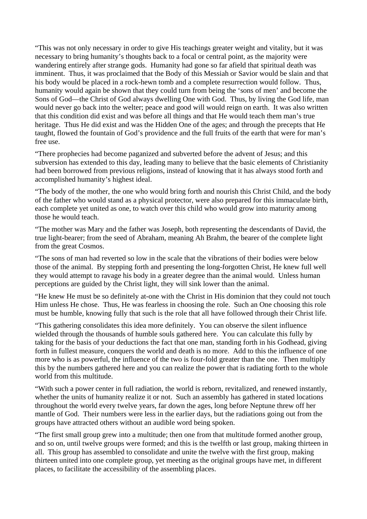"This was not only necessary in order to give His teachings greater weight and vitality, but it was necessary to bring humanity's thoughts back to a focal or central point, as the majority were wandering entirely after strange gods. Humanity had gone so far afield that spiritual death was imminent. Thus, it was proclaimed that the Body of this Messiah or Savior would be slain and that his body would be placed in a rock-hewn tomb and a complete resurrection would follow. Thus, humanity would again be shown that they could turn from being the 'sons of men' and become the Sons of God—the Christ of God always dwelling One with God. Thus, by living the God life, man would never go back into the welter; peace and good will would reign on earth. It was also written that this condition did exist and was before all things and that He would teach them man's true heritage. Thus He did exist and was the Hidden One of the ages; and through the precepts that He taught, flowed the fountain of God's providence and the full fruits of the earth that were for man's free use.

"There prophecies had become paganized and subverted before the advent of Jesus; and this subversion has extended to this day, leading many to believe that the basic elements of Christianity had been borrowed from previous religions, instead of knowing that it has always stood forth and accomplished humanity's highest ideal.

"The body of the mother, the one who would bring forth and nourish this Christ Child, and the body of the father who would stand as a physical protector, were also prepared for this immaculate birth, each complete yet united as one, to watch over this child who would grow into maturity among those he would teach.

"The mother was Mary and the father was Joseph, both representing the descendants of David, the true light-bearer; from the seed of Abraham, meaning Ah Brahm, the bearer of the complete light from the great Cosmos.

"The sons of man had reverted so low in the scale that the vibrations of their bodies were below those of the animal. By stepping forth and presenting the long-forgotten Christ, He knew full well they would attempt to ravage his body in a greater degree than the animal would. Unless human perceptions are guided by the Christ light, they will sink lower than the animal.

"He knew He must be so definitely at-one with the Christ in His dominion that they could not touch Him unless He chose. Thus, He was fearless in choosing the role. Such an One choosing this role must be humble, knowing fully that such is the role that all have followed through their Christ life.

"This gathering consolidates this idea more definitely. You can observe the silent influence wielded through the thousands of humble souls gathered here. You can calculate this fully by taking for the basis of your deductions the fact that one man, standing forth in his Godhead, giving forth in fullest measure, conquers the world and death is no more. Add to this the influence of one more who is as powerful, the influence of the two is four-fold greater than the one. Then multiply this by the numbers gathered here and you can realize the power that is radiating forth to the whole world from this multitude.

"With such a power center in full radiation, the world is reborn, revitalized, and renewed instantly, whether the units of humanity realize it or not. Such an assembly has gathered in stated locations throughout the world every twelve years, far down the ages, long before Neptune threw off her mantle of God. Their numbers were less in the earlier days, but the radiations going out from the groups have attracted others without an audible word being spoken.

"The first small group grew into a multitude; then one from that multitude formed another group, and so on, until twelve groups were formed; and this is the twelfth or last group, making thirteen in all. This group has assembled to consolidate and unite the twelve with the first group, making thirteen united into one complete group, yet meeting as the original groups have met, in different places, to facilitate the accessibility of the assembling places.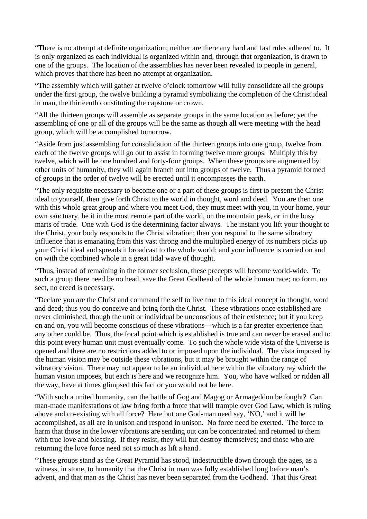"There is no attempt at definite organization; neither are there any hard and fast rules adhered to. It is only organized as each individual is organized within and, through that organization, is drawn to one of the groups. The location of the assemblies has never been revealed to people in general, which proves that there has been no attempt at organization.

"The assembly which will gather at twelve o'clock tomorrow will fully consolidate all the groups under the first group, the twelve building a pyramid symbolizing the completion of the Christ ideal in man, the thirteenth constituting the capstone or crown.

"All the thirteen groups will assemble as separate groups in the same location as before; yet the assembling of one or all of the groups will be the same as though all were meeting with the head group, which will be accomplished tomorrow.

"Aside from just assembling for consolidation of the thirteen groups into one group, twelve from each of the twelve groups will go out to assist in forming twelve more groups. Multiply this by twelve, which will be one hundred and forty-four groups. When these groups are augmented by other units of humanity, they will again branch out into groups of twelve. Thus a pyramid formed of groups in the order of twelve will be erected until it encompasses the earth.

"The only requisite necessary to become one or a part of these groups is first to present the Christ ideal to yourself, then give forth Christ to the world in thought, word and deed. You are then one with this whole great group and where you meet God, they must meet with you, in your home, your own sanctuary, be it in the most remote part of the world, on the mountain peak, or in the busy marts of trade. One with God is the determining factor always. The instant you lift your thought to the Christ, your body responds to the Christ vibration; then you respond to the same vibratory influence that is emanating from this vast throng and the multiplied energy of its numbers picks up your Christ ideal and spreads it broadcast to the whole world; and your influence is carried on and on with the combined whole in a great tidal wave of thought.

"Thus, instead of remaining in the former seclusion, these precepts will become world-wide. To such a group there need be no head, save the Great Godhead of the whole human race; no form, no sect, no creed is necessary.

"Declare you are the Christ and command the self to live true to this ideal concept in thought, word and deed; thus you do conceive and bring forth the Christ. These vibrations once established are never diminished, though the unit or individual be unconscious of their existence; but if you keep on and on, you will become conscious of these vibrations—which is a far greater experience than any other could be. Thus, the focal point which is established is true and can never be erased and to this point every human unit must eventually come. To such the whole wide vista of the Universe is opened and there are no restrictions added to or imposed upon the individual. The vista imposed by the human vision may be outside these vibrations, but it may be brought within the range of vibratory vision. There may not appear to be an individual here within the vibratory ray which the human vision imposes, but each is here and we recognize him. You, who have walked or ridden all the way, have at times glimpsed this fact or you would not be here.

"With such a united humanity, can the battle of Gog and Magog or Armageddon be fought? Can man-made manifestations of law bring forth a force that will trample over God Law, which is ruling above and co-existing with all force? Here but one God-man need say, 'NO,' and it will be accomplished, as all are in unison and respond in unison. No force need be exerted. The force to harm that those in the lower vibrations are sending out can be concentrated and returned to them with true love and blessing. If they resist, they will but destroy themselves; and those who are returning the love force need not so much as lift a hand.

"These groups stand as the Great Pyramid has stood, indestructible down through the ages, as a witness, in stone, to humanity that the Christ in man was fully established long before man's advent, and that man as the Christ has never been separated from the Godhead. That this Great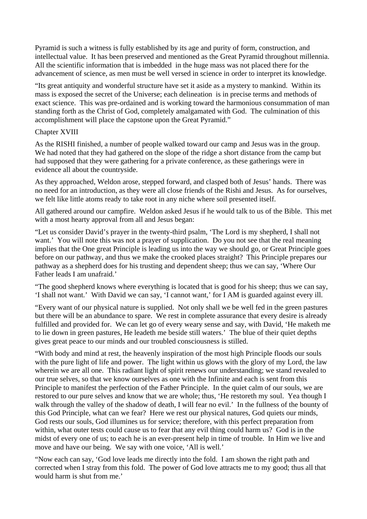Pyramid is such a witness is fully established by its age and purity of form, construction, and intellectual value. It has been preserved and mentioned as the Great Pyramid throughout millennia. All the scientific information that is imbedded in the huge mass was not placed there for the advancement of science, as men must be well versed in science in order to interpret its knowledge.

"Its great antiquity and wonderful structure have set it aside as a mystery to mankind. Within its mass is exposed the secret of the Universe; each delineation is in precise terms and methods of exact science. This was pre-ordained and is working toward the harmonious consummation of man standing forth as the Christ of God, completely amalgamated with God. The culmination of this accomplishment will place the capstone upon the Great Pyramid."

# Chapter XVIII

As the RISHI finished, a number of people walked toward our camp and Jesus was in the group. We had noted that they had gathered on the slope of the ridge a short distance from the camp but had supposed that they were gathering for a private conference, as these gatherings were in evidence all about the countryside.

As they approached, Weldon arose, stepped forward, and clasped both of Jesus' hands. There was no need for an introduction, as they were all close friends of the Rishi and Jesus. As for ourselves, we felt like little atoms ready to take root in any niche where soil presented itself.

All gathered around our campfire. Weldon asked Jesus if he would talk to us of the Bible. This met with a most hearty approval from all and Jesus began:

"Let us consider David's prayer in the twenty-third psalm, 'The Lord is my shepherd, I shall not want.' You will note this was not a prayer of supplication. Do you not see that the real meaning implies that the One great Principle is leading us into the way we should go, or Great Principle goes before on our pathway, and thus we make the crooked places straight? This Principle prepares our pathway as a shepherd does for his trusting and dependent sheep; thus we can say, 'Where Our Father leads I am unafraid.'

"The good shepherd knows where everything is located that is good for his sheep; thus we can say, 'I shall not want.' With David we can say, 'I cannot want,' for I AM is guarded against every ill.

"Every want of our physical nature is supplied. Not only shall we be well fed in the green pastures but there will be an abundance to spare. We rest in complete assurance that every desire is already fulfilled and provided for. We can let go of every weary sense and say, with David, 'He maketh me to lie down in green pastures, He leadeth me beside still waters.' The blue of their quiet depths gives great peace to our minds and our troubled consciousness is stilled.

"With body and mind at rest, the heavenly inspiration of the most high Principle floods our souls with the pure light of life and power. The light within us glows with the glory of my Lord, the law wherein we are all one. This radiant light of spirit renews our understanding; we stand revealed to our true selves, so that we know ourselves as one with the Infinite and each is sent from this Principle to manifest the perfection of the Father Principle. In the quiet calm of our souls, we are restored to our pure selves and know that we are whole; thus, 'He restoreth my soul. Yea though I walk through the valley of the shadow of death, I will fear no evil.' In the fullness of the bounty of this God Principle, what can we fear? Here we rest our physical natures, God quiets our minds, God rests our souls, God illumines us for service; therefore, with this perfect preparation from within, what outer tests could cause us to fear that any evil thing could harm us? God is in the midst of every one of us; to each he is an ever-present help in time of trouble. In Him we live and move and have our being. We say with one voice, 'All is well.'

"Now each can say, 'God love leads me directly into the fold. I am shown the right path and corrected when I stray from this fold. The power of God love attracts me to my good; thus all that would harm is shut from me.'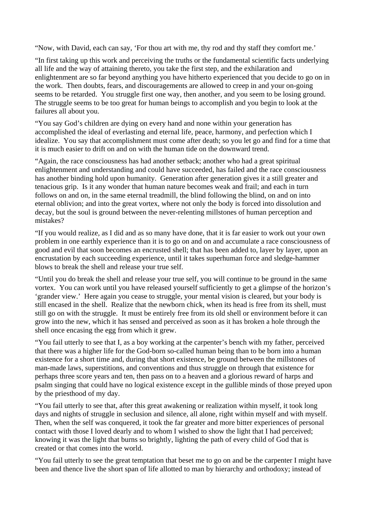"Now, with David, each can say, 'For thou art with me, thy rod and thy staff they comfort me.'

"In first taking up this work and perceiving the truths or the fundamental scientific facts underlying all life and the way of attaining thereto, you take the first step, and the exhilaration and enlightenment are so far beyond anything you have hitherto experienced that you decide to go on in the work. Then doubts, fears, and discouragements are allowed to creep in and your on-going seems to be retarded. You struggle first one way, then another, and you seem to be losing ground. The struggle seems to be too great for human beings to accomplish and you begin to look at the failures all about you.

"You say God's children are dying on every hand and none within your generation has accomplished the ideal of everlasting and eternal life, peace, harmony, and perfection which I idealize. You say that accomplishment must come after death; so you let go and find for a time that it is much easier to drift on and on with the human tide on the downward trend.

"Again, the race consciousness has had another setback; another who had a great spiritual enlightenment and understanding and could have succeeded, has failed and the race consciousness has another binding hold upon humanity. Generation after generation gives it a still greater and tenacious grip. Is it any wonder that human nature becomes weak and frail; and each in turn follows on and on, in the same eternal treadmill, the blind following the blind, on and on into eternal oblivion; and into the great vortex, where not only the body is forced into dissolution and decay, but the soul is ground between the never-relenting millstones of human perception and mistakes?

"If you would realize, as I did and as so many have done, that it is far easier to work out your own problem in one earthly experience than it is to go on and on and accumulate a race consciousness of good and evil that soon becomes an encrusted shell; that has been added to, layer by layer, upon an encrustation by each succeeding experience, until it takes superhuman force and sledge-hammer blows to break the shell and release your true self.

"Until you do break the shell and release your true self, you will continue to be ground in the same vortex. You can work until you have released yourself sufficiently to get a glimpse of the horizon's 'grander view.' Here again you cease to struggle, your mental vision is cleared, but your body is still encased in the shell. Realize that the newborn chick, when its head is free from its shell, must still go on with the struggle. It must be entirely free from its old shell or environment before it can grow into the new, which it has sensed and perceived as soon as it has broken a hole through the shell once encasing the egg from which it grew.

"You fail utterly to see that I, as a boy working at the carpenter's bench with my father, perceived that there was a higher life for the God-born so-called human being than to be born into a human existence for a short time and, during that short existence, be ground between the millstones of man-made laws, superstitions, and conventions and thus struggle on through that existence for perhaps three score years and ten, then pass on to a heaven and a glorious reward of harps and psalm singing that could have no logical existence except in the gullible minds of those preyed upon by the priesthood of my day.

"You fail utterly to see that, after this great awakening or realization within myself, it took long days and nights of struggle in seclusion and silence, all alone, right within myself and with myself. Then, when the self was conquered, it took the far greater and more bitter experiences of personal contact with those I loved dearly and to whom I wished to show the light that I had perceived; knowing it was the light that burns so brightly, lighting the path of every child of God that is created or that comes into the world.

"You fail utterly to see the great temptation that beset me to go on and be the carpenter I might have been and thence live the short span of life allotted to man by hierarchy and orthodoxy; instead of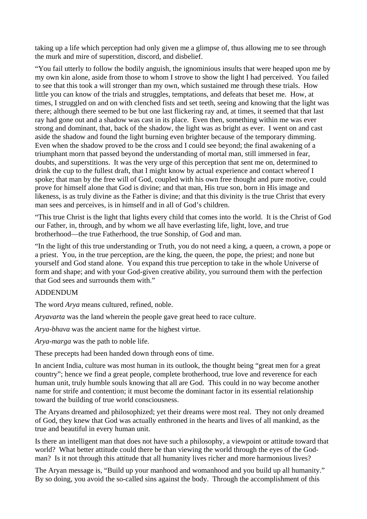taking up a life which perception had only given me a glimpse of, thus allowing me to see through the murk and mire of superstition, discord, and disbelief.

"You fail utterly to follow the bodily anguish, the ignominious insults that were heaped upon me by my own kin alone, aside from those to whom I strove to show the light I had perceived. You failed to see that this took a will stronger than my own, which sustained me through these trials. How little you can know of the trials and struggles, temptations, and defeats that beset me. How, at times, I struggled on and on with clenched fists and set teeth, seeing and knowing that the light was there; although there seemed to be but one last flickering ray and, at times, it seemed that that last ray had gone out and a shadow was cast in its place. Even then, something within me was ever strong and dominant, that, back of the shadow, the light was as bright as ever. I went on and cast aside the shadow and found the light burning even brighter because of the temporary dimming. Even when the shadow proved to be the cross and I could see beyond; the final awakening of a triumphant morn that passed beyond the understanding of mortal man, still immersed in fear, doubts, and superstitions. It was the very urge of this perception that sent me on, determined to drink the cup to the fullest draft, that I might know by actual experience and contact whereof I spoke; that man by the free will of God, coupled with his own free thought and pure motive, could prove for himself alone that God is divine; and that man, His true son, born in His image and likeness, is as truly divine as the Father is divine; and that this divinity is the true Christ that every man sees and perceives, is in himself and in all of God's children.

"This true Christ is the light that lights every child that comes into the world. It is the Christ of God our Father, in, through, and by whom we all have everlasting life, light, love, and true brotherhood—the true Fatherhood, the true Sonship, of God and man.

"In the light of this true understanding or Truth, you do not need a king, a queen, a crown, a pope or a priest. You, in the true perception, are the king, the queen, the pope, the priest; and none but yourself and God stand alone. You expand this true perception to take in the whole Universe of form and shape; and with your God-given creative ability, you surround them with the perfection that God sees and surrounds them with."

### ADDENDUM

The word *Arya* means cultured, refined, noble.

*Aryavarta* was the land wherein the people gave great heed to race culture.

*Arya-bhava* was the ancient name for the highest virtue.

*Arya-marga* was the path to noble life.

These precepts had been handed down through eons of time.

In ancient India, culture was most human in its outlook, the thought being "great men for a great country"; hence we find a great people, complete brotherhood, true love and reverence for each human unit, truly humble souls knowing that all are God. This could in no way become another name for strife and contention; it must become the dominant factor in its essential relationship toward the building of true world consciousness.

The Aryans dreamed and philosophized; yet their dreams were most real. They not only dreamed of God, they knew that God was actually enthroned in the hearts and lives of all mankind, as the true and beautiful in every human unit.

Is there an intelligent man that does not have such a philosophy, a viewpoint or attitude toward that world? What better attitude could there be than viewing the world through the eyes of the Godman? Is it not through this attitude that all humanity lives richer and more harmonious lives?

The Aryan message is, "Build up your manhood and womanhood and you build up all humanity." By so doing, you avoid the so-called sins against the body. Through the accomplishment of this